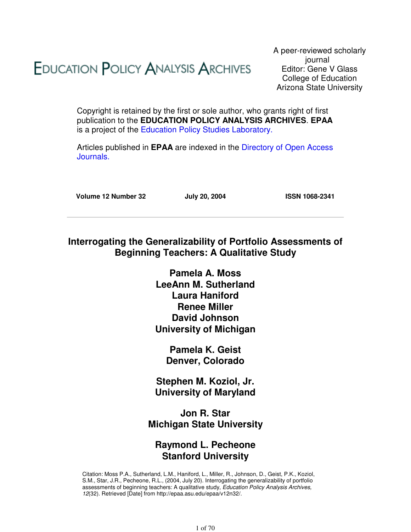# **EDUCATION POLICY ANALYSIS ARCHIVES**

A peer-reviewed scholarly journal Editor: Gene V Glass College of Education Arizona State University

Copyright is retained by the first or sole author, who grants right of first publication to the **EDUCATION POLICY ANALYSIS ARCHIVES**. **EPAA** is a project of the Education Policy Studies Laboratory.

Articles published in **EPAA** are indexed in the Directory of Open Access Journals.

**Volume 12 Number 32 July 20, 2004 ISSN 1068-2341**

# **Interrogating the Generalizability of Portfolio Assessments of Beginning Teachers: A Qualitative Study**

**Pamela A. Moss LeeAnn M. Sutherland Laura Haniford Renee Miller David Johnson University of Michigan**

> **Pamela K. Geist Denver, Colorado**

**Stephen M. Koziol, Jr. University of Maryland**

**Jon R. Star Michigan State University**

# **Raymond L. Pecheone Stanford University**

Citation: Moss P.A., Sutherland, L.M., Haniford, L., Miller, R., Johnson, D., Geist, P.K., Koziol, S.M., Star, J.R., Pecheone, R.L., (2004, July 20). Interrogating the generalizability of portfolio assessments of beginning teachers: A qualitative study, Education Policy Analysis Archives, 12(32). Retrieved [Date] from http://epaa.asu.edu/epaa/v12n32/.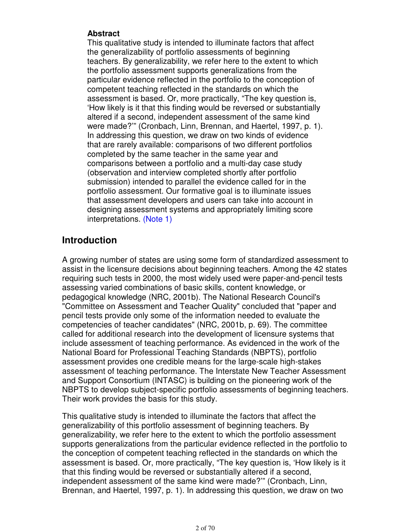#### **Abstract**

This qualitative study is intended to illuminate factors that affect the generalizability of portfolio assessments of beginning teachers. By generalizability, we refer here to the extent to which the portfolio assessment supports generalizations from the particular evidence reflected in the portfolio to the conception of competent teaching reflected in the standards on which the assessment is based. Or, more practically, "The key question is, 'How likely is it that this finding would be reversed or substantially altered if a second, independent assessment of the same kind were made?'" (Cronbach, Linn, Brennan, and Haertel, 1997, p. 1). In addressing this question, we draw on two kinds of evidence that are rarely available: comparisons of two different portfolios completed by the same teacher in the same year and comparisons between a portfolio and a multi-day case study (observation and interview completed shortly after portfolio submission) intended to parallel the evidence called for in the portfolio assessment. Our formative goal is to illuminate issues that assessment developers and users can take into account in designing assessment systems and appropriately limiting score interpretations. (Note 1)

# **Introduction**

A growing number of states are using some form of standardized assessment to assist in the licensure decisions about beginning teachers. Among the 42 states requiring such tests in 2000, the most widely used were paper-and-pencil tests assessing varied combinations of basic skills, content knowledge, or pedagogical knowledge (NRC, 2001b). The National Research Council's "Committee on Assessment and Teacher Quality" concluded that "paper and pencil tests provide only some of the information needed to evaluate the competencies of teacher candidates" (NRC, 2001b, p. 69). The committee called for additional research into the development of licensure systems that include assessment of teaching performance. As evidenced in the work of the National Board for Professional Teaching Standards (NBPTS), portfolio assessment provides one credible means for the large-scale high-stakes assessment of teaching performance. The Interstate New Teacher Assessment and Support Consortium (INTASC) is building on the pioneering work of the NBPTS to develop subject-specific portfolio assessments of beginning teachers. Their work provides the basis for this study.

This qualitative study is intended to illuminate the factors that affect the generalizability of this portfolio assessment of beginning teachers. By generalizability, we refer here to the extent to which the portfolio assessment supports generalizations from the particular evidence reflected in the portfolio to the conception of competent teaching reflected in the standards on which the assessment is based. Or, more practically, "The key question is, 'How likely is it that this finding would be reversed or substantially altered if a second, independent assessment of the same kind were made?'" (Cronbach, Linn, Brennan, and Haertel, 1997, p. 1). In addressing this question, we draw on two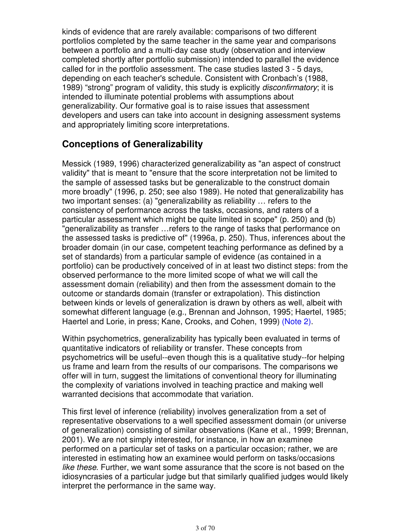kinds of evidence that are rarely available: comparisons of two different portfolios completed by the same teacher in the same year and comparisons between a portfolio and a multi-day case study (observation and interview completed shortly after portfolio submission) intended to parallel the evidence called for in the portfolio assessment. The case studies lasted 3 - 5 days, depending on each teacher's schedule. Consistent with Cronbach's (1988, 1989) "strong" program of validity, this study is explicitly *disconfirmatory*; it is intended to illuminate potential problems with assumptions about generalizability. Our formative goal is to raise issues that assessment developers and users can take into account in designing assessment systems and appropriately limiting score interpretations.

# **Conceptions of Generalizability**

Messick (1989, 1996) characterized generalizability as "an aspect of construct validity" that is meant to "ensure that the score interpretation not be limited to the sample of assessed tasks but be generalizable to the construct domain more broadly" (1996, p. 250; see also 1989). He noted that generalizability has two important senses: (a) "generalizability as reliability … refers to the consistency of performance across the tasks, occasions, and raters of a particular assessment which might be quite limited in scope" (p. 250) and (b) "generalizability as transfer …refers to the range of tasks that performance on the assessed tasks is predictive of" (1996a, p. 250). Thus, inferences about the broader domain (in our case, competent teaching performance as defined by a set of standards) from a particular sample of evidence (as contained in a portfolio) can be productively conceived of in at least two distinct steps: from the observed performance to the more limited scope of what we will call the assessment domain (reliability) and then from the assessment domain to the outcome or standards domain (transfer or extrapolation). This distinction between kinds or levels of generalization is drawn by others as well, albeit with somewhat different language (e.g., Brennan and Johnson, 1995; Haertel, 1985; Haertel and Lorie, in press; Kane, Crooks, and Cohen, 1999) (Note 2).

Within psychometrics, generalizability has typically been evaluated in terms of quantitative indicators of reliability or transfer. These concepts from psychometrics will be useful--even though this is a qualitative study--for helping us frame and learn from the results of our comparisons. The comparisons we offer will in turn, suggest the limitations of conventional theory for illuminating the complexity of variations involved in teaching practice and making well warranted decisions that accommodate that variation.

This first level of inference (reliability) involves generalization from a set of representative observations to a well specified assessment domain (or universe of generalization) consisting of similar observations (Kane et al., 1999; Brennan, 2001). We are not simply interested, for instance, in how an examinee performed on a particular set of tasks on a particular occasion; rather, we are interested in estimating how an examinee would perform on tasks/occasions like these. Further, we want some assurance that the score is not based on the idiosyncrasies of a particular judge but that similarly qualified judges would likely interpret the performance in the same way.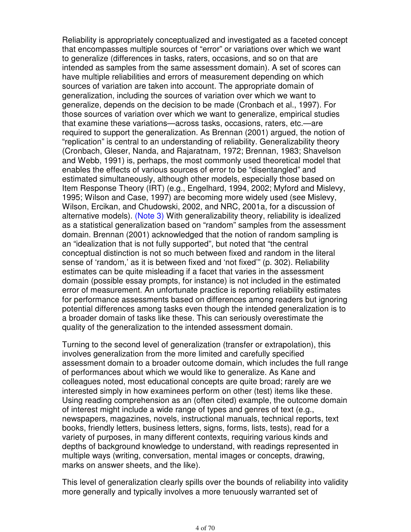Reliability is appropriately conceptualized and investigated as a faceted concept that encompasses multiple sources of "error" or variations over which we want to generalize (differences in tasks, raters, occasions, and so on that are intended as samples from the same assessment domain). A set of scores can have multiple reliabilities and errors of measurement depending on which sources of variation are taken into account. The appropriate domain of generalization, including the sources of variation over which we want to generalize, depends on the decision to be made (Cronbach et al., 1997). For those sources of variation over which we want to generalize, empirical studies that examine these variations—across tasks, occasions, raters, etc.—are required to support the generalization. As Brennan (2001) argued, the notion of "replication" is central to an understanding of reliability. Generalizability theory (Cronbach, Gleser, Nanda, and Rajaratnam, 1972; Brennan, 1983; Shavelson and Webb, 1991) is, perhaps, the most commonly used theoretical model that enables the effects of various sources of error to be "disentangled" and estimated simultaneously, although other models, especially those based on Item Response Theory (IRT) (e.g., Engelhard, 1994, 2002; Myford and Mislevy, 1995; Wilson and Case, 1997) are becoming more widely used (see Mislevy, Wilson, Ercikan, and Chudowski, 2002, and NRC, 2001a, for a discussion of alternative models). (Note 3) With generalizability theory, reliability is idealized as a statistical generalization based on "random" samples from the assessment domain. Brennan (2001) acknowledged that the notion of random sampling is an "idealization that is not fully supported", but noted that "the central conceptual distinction is not so much between fixed and random in the literal sense of 'random,' as it is between fixed and 'not fixed'" (p. 302). Reliability estimates can be quite misleading if a facet that varies in the assessment domain (possible essay prompts, for instance) is not included in the estimated error of measurement. An unfortunate practice is reporting reliability estimates for performance assessments based on differences among readers but ignoring potential differences among tasks even though the intended generalization is to a broader domain of tasks like these. This can seriously overestimate the quality of the generalization to the intended assessment domain.

Turning to the second level of generalization (transfer or extrapolation), this involves generalization from the more limited and carefully specified assessment domain to a broader outcome domain, which includes the full range of performances about which we would like to generalize. As Kane and colleagues noted, most educational concepts are quite broad; rarely are we interested simply in how examinees perform on other (test) items like these. Using reading comprehension as an (often cited) example, the outcome domain of interest might include a wide range of types and genres of text (e.g., newspapers, magazines, novels, instructional manuals, technical reports, text books, friendly letters, business letters, signs, forms, lists, tests), read for a variety of purposes, in many different contexts, requiring various kinds and depths of background knowledge to understand, with readings represented in multiple ways (writing, conversation, mental images or concepts, drawing, marks on answer sheets, and the like).

This level of generalization clearly spills over the bounds of reliability into validity more generally and typically involves a more tenuously warranted set of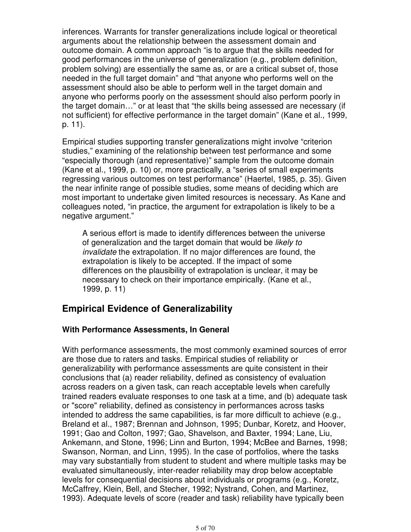inferences. Warrants for transfer generalizations include logical or theoretical arguments about the relationship between the assessment domain and outcome domain. A common approach "is to argue that the skills needed for good performances in the universe of generalization (e.g., problem definition, problem solving) are essentially the same as, or are a critical subset of, those needed in the full target domain" and "that anyone who performs well on the assessment should also be able to perform well in the target domain and anyone who performs poorly on the assessment should also perform poorly in the target domain…" or at least that "the skills being assessed are necessary (if not sufficient) for effective performance in the target domain" (Kane et al., 1999, p. 11).

Empirical studies supporting transfer generalizations might involve "criterion studies," examining of the relationship between test performance and some "especially thorough (and representative)" sample from the outcome domain (Kane et al., 1999, p. 10) or, more practically, a "series of small experiments regressing various outcomes on test performance" (Haertel, 1985, p. 35). Given the near infinite range of possible studies, some means of deciding which are most important to undertake given limited resources is necessary. As Kane and colleagues noted, "in practice, the argument for extrapolation is likely to be a negative argument."

A serious effort is made to identify differences between the universe of generalization and the target domain that would be likely to invalidate the extrapolation. If no major differences are found, the extrapolation is likely to be accepted. If the impact of some differences on the plausibility of extrapolation is unclear, it may be necessary to check on their importance empirically. (Kane et al., 1999, p. 11)

# **Empirical Evidence of Generalizability**

## **With Performance Assessments, In General**

With performance assessments, the most commonly examined sources of error are those due to raters and tasks. Empirical studies of reliability or generalizability with performance assessments are quite consistent in their conclusions that (a) reader reliability, defined as consistency of evaluation across readers on a given task, can reach acceptable levels when carefully trained readers evaluate responses to one task at a time, and (b) adequate task or "score" reliability, defined as consistency in performances across tasks intended to address the same capabilities, is far more difficult to achieve (e.g., Breland et al., 1987; Brennan and Johnson, 1995; Dunbar, Koretz, and Hoover, 1991; Gao and Colton, 1997; Gao, Shavelson, and Baxter, 1994; Lane, Liu, Ankemann, and Stone, 1996; Linn and Burton, 1994; McBee and Barnes, 1998; Swanson, Norman, and Linn, 1995). In the case of portfolios, where the tasks may vary substantially from student to student and where multiple tasks may be evaluated simultaneously, inter-reader reliability may drop below acceptable levels for consequential decisions about individuals or programs (e.g., Koretz, McCaffrey, Klein, Bell, and Stecher, 1992; Nystrand, Cohen, and Martinez, 1993). Adequate levels of score (reader and task) reliability have typically been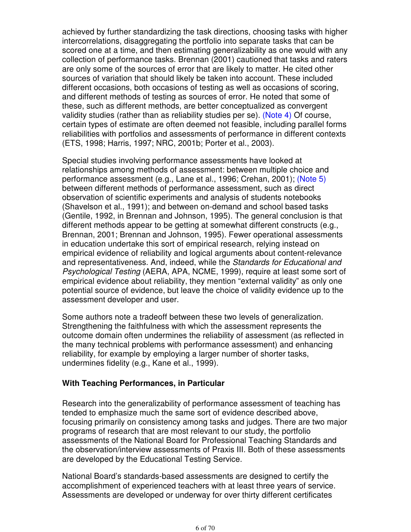achieved by further standardizing the task directions, choosing tasks with higher intercorrelations, disaggregating the portfolio into separate tasks that can be scored one at a time, and then estimating generalizability as one would with any collection of performance tasks. Brennan (2001) cautioned that tasks and raters are only some of the sources of error that are likely to matter. He cited other sources of variation that should likely be taken into account. These included different occasions, both occasions of testing as well as occasions of scoring, and different methods of testing as sources of error. He noted that some of these, such as different methods, are better conceptualized as convergent validity studies (rather than as reliability studies per se). (Note 4) Of course, certain types of estimate are often deemed not feasible, including parallel forms reliabilities with portfolios and assessments of performance in different contexts (ETS, 1998; Harris, 1997; NRC, 2001b; Porter et al., 2003).

Special studies involving performance assessments have looked at relationships among methods of assessment: between multiple choice and performance assessment (e.g., Lane et al., 1996; Crehan, 2001); (Note 5) between different methods of performance assessment, such as direct observation of scientific experiments and analysis of students notebooks (Shavelson et al., 1991); and between on-demand and school based tasks (Gentile, 1992, in Brennan and Johnson, 1995). The general conclusion is that different methods appear to be getting at somewhat different constructs (e.g., Brennan, 2001; Brennan and Johnson, 1995). Fewer operational assessments in education undertake this sort of empirical research, relying instead on empirical evidence of reliability and logical arguments about content-relevance and representativeness. And, indeed, while the Standards for Educational and Psychological Testing (AERA, APA, NCME, 1999), require at least some sort of empirical evidence about reliability, they mention "external validity" as only one potential source of evidence, but leave the choice of validity evidence up to the assessment developer and user.

Some authors note a tradeoff between these two levels of generalization. Strengthening the faithfulness with which the assessment represents the outcome domain often undermines the reliability of assessment (as reflected in the many technical problems with performance assessment) and enhancing reliability, for example by employing a larger number of shorter tasks, undermines fidelity (e.g., Kane et al., 1999).

#### **With Teaching Performances, in Particular**

Research into the generalizability of performance assessment of teaching has tended to emphasize much the same sort of evidence described above, focusing primarily on consistency among tasks and judges. There are two major programs of research that are most relevant to our study, the portfolio assessments of the National Board for Professional Teaching Standards and the observation/interview assessments of Praxis III. Both of these assessments are developed by the Educational Testing Service.

National Board's standards-based assessments are designed to certify the accomplishment of experienced teachers with at least three years of service. Assessments are developed or underway for over thirty different certificates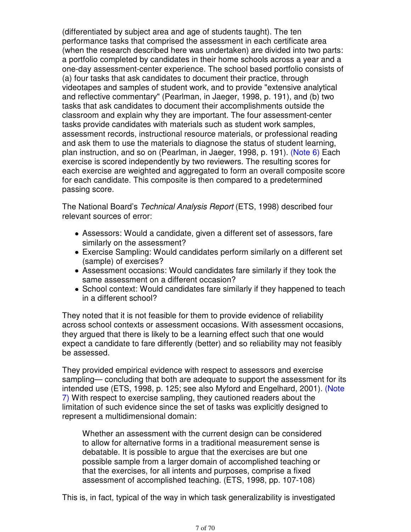(differentiated by subject area and age of students taught). The ten performance tasks that comprised the assessment in each certificate area (when the research described here was undertaken) are divided into two parts: a portfolio completed by candidates in their home schools across a year and a one-day assessment-center experience. The school based portfolio consists of (a) four tasks that ask candidates to document their practice, through videotapes and samples of student work, and to provide "extensive analytical and reflective commentary" (Pearlman, in Jaeger, 1998, p. 191), and (b) two tasks that ask candidates to document their accomplishments outside the classroom and explain why they are important. The four assessment-center tasks provide candidates with materials such as student work samples, assessment records, instructional resource materials, or professional reading and ask them to use the materials to diagnose the status of student learning, plan instruction, and so on (Pearlman, in Jaeger, 1998, p. 191). (Note 6) Each exercise is scored independently by two reviewers. The resulting scores for each exercise are weighted and aggregated to form an overall composite score for each candidate. This composite is then compared to a predetermined passing score.

The National Board's Technical Analysis Report (ETS, 1998) described four relevant sources of error:

- Assessors: Would a candidate, given a different set of assessors, fare similarly on the assessment?
- Exercise Sampling: Would candidates perform similarly on a different set (sample) of exercises?
- Assessment occasions: Would candidates fare similarly if they took the same assessment on a different occasion?
- School context: Would candidates fare similarly if they happened to teach in a different school?

They noted that it is not feasible for them to provide evidence of reliability across school contexts or assessment occasions. With assessment occasions, they argued that there is likely to be a learning effect such that one would expect a candidate to fare differently (better) and so reliability may not feasibly be assessed.

They provided empirical evidence with respect to assessors and exercise sampling— concluding that both are adequate to support the assessment for its intended use (ETS, 1998, p. 125; see also Myford and Engelhard, 2001). (Note 7) With respect to exercise sampling, they cautioned readers about the limitation of such evidence since the set of tasks was explicitly designed to represent a multidimensional domain:

Whether an assessment with the current design can be considered to allow for alternative forms in a traditional measurement sense is debatable. It is possible to argue that the exercises are but one possible sample from a larger domain of accomplished teaching or that the exercises, for all intents and purposes, comprise a fixed assessment of accomplished teaching. (ETS, 1998, pp. 107-108)

This is, in fact, typical of the way in which task generalizability is investigated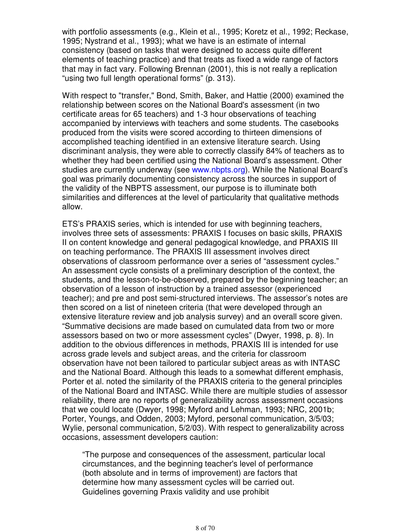with portfolio assessments (e.g., Klein et al., 1995; Koretz et al., 1992; Reckase, 1995; Nystrand et al., 1993); what we have is an estimate of internal consistency (based on tasks that were designed to access quite different elements of teaching practice) and that treats as fixed a wide range of factors that may in fact vary. Following Brennan (2001), this is not really a replication "using two full length operational forms" (p. 313).

With respect to "transfer," Bond, Smith, Baker, and Hattie (2000) examined the relationship between scores on the National Board's assessment (in two certificate areas for 65 teachers) and 1-3 hour observations of teaching accompanied by interviews with teachers and some students. The casebooks produced from the visits were scored according to thirteen dimensions of accomplished teaching identified in an extensive literature search. Using discriminant analysis, they were able to correctly classify 84% of teachers as to whether they had been certified using the National Board's assessment. Other studies are currently underway (see www.nbpts.org). While the National Board's goal was primarily documenting consistency across the sources in support of the validity of the NBPTS assessment, our purpose is to illuminate both similarities and differences at the level of particularity that qualitative methods allow.

ETS's PRAXIS series, which is intended for use with beginning teachers, involves three sets of assessments: PRAXIS I focuses on basic skills, PRAXIS II on content knowledge and general pedagogical knowledge, and PRAXIS III on teaching performance. The PRAXIS III assessment involves direct observations of classroom performance over a series of "assessment cycles." An assessment cycle consists of a preliminary description of the context, the students, and the lesson-to-be-observed, prepared by the beginning teacher; an observation of a lesson of instruction by a trained assessor (experienced teacher); and pre and post semi-structured interviews. The assessor's notes are then scored on a list of nineteen criteria (that were developed through an extensive literature review and job analysis survey) and an overall score given. "Summative decisions are made based on cumulated data from two or more assessors based on two or more assessment cycles" (Dwyer, 1998, p. 8). In addition to the obvious differences in methods, PRAXIS III is intended for use across grade levels and subject areas, and the criteria for classroom observation have not been tailored to particular subject areas as with INTASC and the National Board. Although this leads to a somewhat different emphasis, Porter et al. noted the similarity of the PRAXIS criteria to the general principles of the National Board and INTASC. While there are multiple studies of assessor reliability, there are no reports of generalizability across assessment occasions that we could locate (Dwyer, 1998; Myford and Lehman, 1993; NRC, 2001b; Porter, Youngs, and Odden, 2003; Myford, personal communication, 3/5/03; Wylie, personal communication, 5/2/03). With respect to generalizability across occasions, assessment developers caution:

"The purpose and consequences of the assessment, particular local circumstances, and the beginning teacher's level of performance (both absolute and in terms of improvement) are factors that determine how many assessment cycles will be carried out. Guidelines governing Praxis validity and use prohibit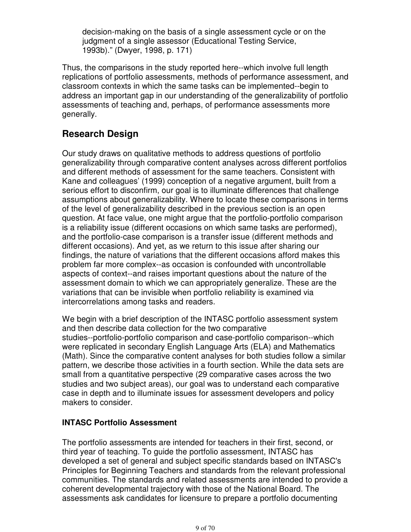decision-making on the basis of a single assessment cycle or on the judgment of a single assessor (Educational Testing Service, 1993b)." (Dwyer, 1998, p. 171)

Thus, the comparisons in the study reported here--which involve full length replications of portfolio assessments, methods of performance assessment, and classroom contexts in which the same tasks can be implemented--begin to address an important gap in our understanding of the generalizability of portfolio assessments of teaching and, perhaps, of performance assessments more generally.

# **Research Design**

Our study draws on qualitative methods to address questions of portfolio generalizability through comparative content analyses across different portfolios and different methods of assessment for the same teachers. Consistent with Kane and colleagues' (1999) conception of a negative argument, built from a serious effort to disconfirm, our goal is to illuminate differences that challenge assumptions about generalizability. Where to locate these comparisons in terms of the level of generalizability described in the previous section is an open question. At face value, one might argue that the portfolio-portfolio comparison is a reliability issue (different occasions on which same tasks are performed), and the portfolio-case comparison is a transfer issue (different methods and different occasions). And yet, as we return to this issue after sharing our findings, the nature of variations that the different occasions afford makes this problem far more complex--as occasion is confounded with uncontrollable aspects of context--and raises important questions about the nature of the assessment domain to which we can appropriately generalize. These are the variations that can be invisible when portfolio reliability is examined via intercorrelations among tasks and readers.

We begin with a brief description of the INTASC portfolio assessment system and then describe data collection for the two comparative studies--portfolio-portfolio comparison and case-portfolio comparison--which were replicated in secondary English Language Arts (ELA) and Mathematics (Math). Since the comparative content analyses for both studies follow a similar pattern, we describe those activities in a fourth section. While the data sets are small from a quantitative perspective (29 comparative cases across the two studies and two subject areas), our goal was to understand each comparative case in depth and to illuminate issues for assessment developers and policy makers to consider.

## **INTASC Portfolio Assessment**

The portfolio assessments are intended for teachers in their first, second, or third year of teaching. To guide the portfolio assessment, INTASC has developed a set of general and subject specific standards based on INTASC's Principles for Beginning Teachers and standards from the relevant professional communities. The standards and related assessments are intended to provide a coherent developmental trajectory with those of the National Board. The assessments ask candidates for licensure to prepare a portfolio documenting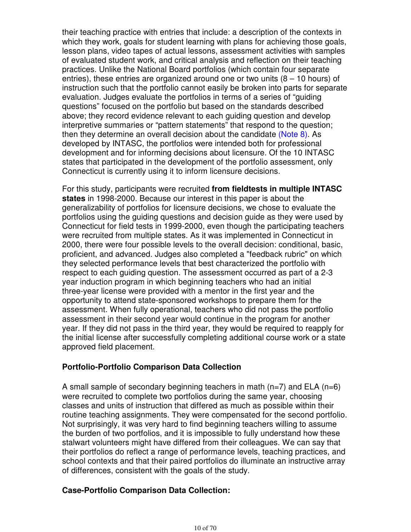their teaching practice with entries that include: a description of the contexts in which they work, goals for student learning with plans for achieving those goals, lesson plans, video tapes of actual lessons, assessment activities with samples of evaluated student work, and critical analysis and reflection on their teaching practices. Unlike the National Board portfolios (which contain four separate entries), these entries are organized around one or two units  $(8 - 10$  hours) of instruction such that the portfolio cannot easily be broken into parts for separate evaluation. Judges evaluate the portfolios in terms of a series of "guiding questions" focused on the portfolio but based on the standards described above; they record evidence relevant to each guiding question and develop interpretive summaries or "pattern statements" that respond to the question; then they determine an overall decision about the candidate (Note 8). As developed by INTASC, the portfolios were intended both for professional development and for informing decisions about licensure. Of the 10 INTASC states that participated in the development of the portfolio assessment, only Connecticut is currently using it to inform licensure decisions.

For this study, participants were recruited **from fieldtests in multiple INTASC states** in 1998-2000. Because our interest in this paper is about the generalizability of portfolios for licensure decisions, we chose to evaluate the portfolios using the guiding questions and decision guide as they were used by Connecticut for field tests in 1999-2000, even though the participating teachers were recruited from multiple states. As it was implemented in Connecticut in 2000, there were four possible levels to the overall decision: conditional, basic, proficient, and advanced. Judges also completed a "feedback rubric" on which they selected performance levels that best characterized the portfolio with respect to each guiding question. The assessment occurred as part of a 2-3 year induction program in which beginning teachers who had an initial three-year license were provided with a mentor in the first year and the opportunity to attend state-sponsored workshops to prepare them for the assessment. When fully operational, teachers who did not pass the portfolio assessment in their second year would continue in the program for another year. If they did not pass in the third year, they would be required to reapply for the initial license after successfully completing additional course work or a state approved field placement.

#### **Portfolio-Portfolio Comparison Data Collection**

A small sample of secondary beginning teachers in math  $(n=7)$  and ELA  $(n=6)$ were recruited to complete two portfolios during the same year, choosing classes and units of instruction that differed as much as possible within their routine teaching assignments. They were compensated for the second portfolio. Not surprisingly, it was very hard to find beginning teachers willing to assume the burden of two portfolios, and it is impossible to fully understand how these stalwart volunteers might have differed from their colleagues. We can say that their portfolios do reflect a range of performance levels, teaching practices, and school contexts and that their paired portfolios do illuminate an instructive array of differences, consistent with the goals of the study.

#### **Case-Portfolio Comparison Data Collection:**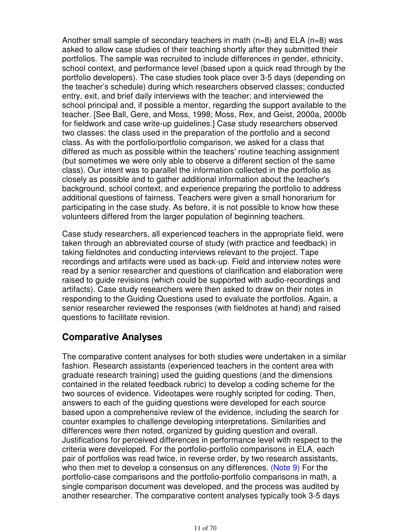Another small sample of secondary teachers in math  $(n=8)$  and ELA  $(n=8)$  was asked to allow case studies of their teaching shortly after they submitted their portfolios. The sample was recruited to include differences in gender, ethnicity, school context, and performance level (based upon a quick read through by the portfolio developers). The case studies took place over 3-5 days (depending on the teacher's schedule) during which researchers observed classes; conducted entry, exit, and brief daily interviews with the teacher; and interviewed the school principal and, if possible a mentor, regarding the support available to the teacher. [See Ball, Gere, and Moss, 1998; Moss, Rex, and Geist, 2000a, 2000b for fieldwork and case write-up guidelines.] Case study researchers observed two classes: the class used in the preparation of the portfolio and a second class. As with the portfolio/portfolio comparison, we asked for a class that differed as much as possible within the teachers' routine teaching assignment (but sometimes we were only able to observe a different section of the same class). Our intent was to parallel the information collected in the portfolio as closely as possible and to gather additional information about the teacher's background, school context, and experience preparing the portfolio to address additional questions of fairness. Teachers were given a small honorarium for participating in the case study. As before, it is not possible to know how these volunteers differed from the larger population of beginning teachers.

Case study researchers, all experienced teachers in the appropriate field, were taken through an abbreviated course of study (with practice and feedback) in taking fieldnotes and conducting interviews relevant to the project. Tape recordings and artifacts were used as back-up. Field and interview notes were read by a senior researcher and questions of clarification and elaboration were raised to guide revisions (which could be supported with audio-recordings and artifacts). Case study researchers were then asked to draw on their notes in responding to the Guiding Questions used to evaluate the portfolios. Again, a senior researcher reviewed the responses (with fieldnotes at hand) and raised questions to facilitate revision.

# **Comparative Analyses**

The comparative content analyses for both studies were undertaken in a similar fashion. Research assistants (experienced teachers in the content area with graduate research training) used the guiding questions (and the dimensions contained in the related feedback rubric) to develop a coding scheme for the two sources of evidence. Videotapes were roughly scripted for coding. Then, answers to each of the guiding questions were developed for each source based upon a comprehensive review of the evidence, including the search for counter examples to challenge developing interpretations. Similarities and differences were then noted, organized by guiding question and overall. Justifications for perceived differences in performance level with respect to the criteria were developed. For the portfolio-portfolio comparisons in ELA, each pair of portfolios was read twice, in reverse order, by two research assistants, who then met to develop a consensus on any differences. (Note 9) For the portfolio-case comparisons and the portfolio-portfolio comparisons in math, a single comparison document was developed, and the process was audited by another researcher. The comparative content analyses typically took 3-5 days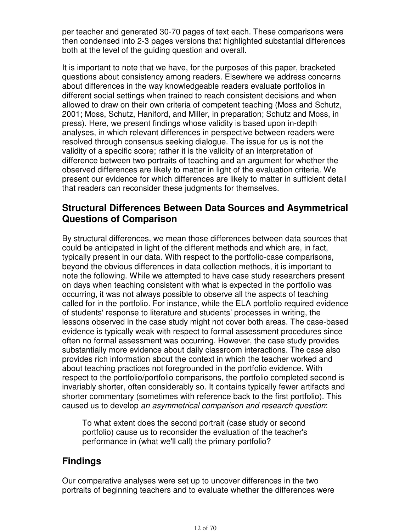per teacher and generated 30-70 pages of text each. These comparisons were then condensed into 2-3 pages versions that highlighted substantial differences both at the level of the guiding question and overall.

It is important to note that we have, for the purposes of this paper, bracketed questions about consistency among readers. Elsewhere we address concerns about differences in the way knowledgeable readers evaluate portfolios in different social settings when trained to reach consistent decisions and when allowed to draw on their own criteria of competent teaching (Moss and Schutz, 2001; Moss, Schutz, Haniford, and Miller, in preparation; Schutz and Moss, in press). Here, we present findings whose validity is based upon in-depth analyses, in which relevant differences in perspective between readers were resolved through consensus seeking dialogue. The issue for us is not the validity of a specific score; rather it is the validity of an interpretation of difference between two portraits of teaching and an argument for whether the observed differences are likely to matter in light of the evaluation criteria. We present our evidence for which differences are likely to matter in sufficient detail that readers can reconsider these judgments for themselves.

# **Structural Differences Between Data Sources and Asymmetrical Questions of Comparison**

By structural differences, we mean those differences between data sources that could be anticipated in light of the different methods and which are, in fact, typically present in our data. With respect to the portfolio-case comparisons, beyond the obvious differences in data collection methods, it is important to note the following. While we attempted to have case study researchers present on days when teaching consistent with what is expected in the portfolio was occurring, it was not always possible to observe all the aspects of teaching called for in the portfolio. For instance, while the ELA portfolio required evidence of students' response to literature and students' processes in writing, the lessons observed in the case study might not cover both areas. The case-based evidence is typically weak with respect to formal assessment procedures since often no formal assessment was occurring. However, the case study provides substantially more evidence about daily classroom interactions. The case also provides rich information about the context in which the teacher worked and about teaching practices not foregrounded in the portfolio evidence. With respect to the portfolio/portfolio comparisons, the portfolio completed second is invariably shorter, often considerably so. It contains typically fewer artifacts and shorter commentary (sometimes with reference back to the first portfolio). This caused us to develop an asymmetrical comparison and research question:

To what extent does the second portrait (case study or second portfolio) cause us to reconsider the evaluation of the teacher's performance in (what we'll call) the primary portfolio?

# **Findings**

Our comparative analyses were set up to uncover differences in the two portraits of beginning teachers and to evaluate whether the differences were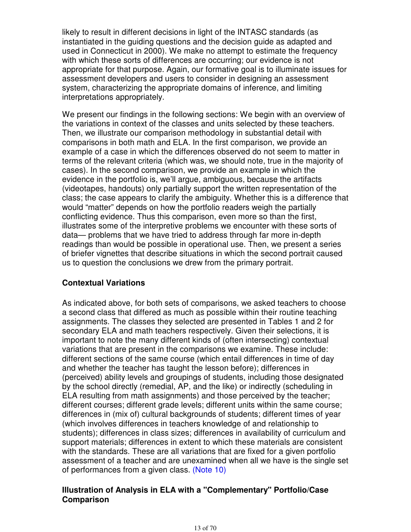likely to result in different decisions in light of the INTASC standards (as instantiated in the guiding questions and the decision guide as adapted and used in Connecticut in 2000). We make no attempt to estimate the frequency with which these sorts of differences are occurring; our evidence is not appropriate for that purpose. Again, our formative goal is to illuminate issues for assessment developers and users to consider in designing an assessment system, characterizing the appropriate domains of inference, and limiting interpretations appropriately.

We present our findings in the following sections: We begin with an overview of the variations in context of the classes and units selected by these teachers. Then, we illustrate our comparison methodology in substantial detail with comparisons in both math and ELA. In the first comparison, we provide an example of a case in which the differences observed do not seem to matter in terms of the relevant criteria (which was, we should note, true in the majority of cases). In the second comparison, we provide an example in which the evidence in the portfolio is, we'll argue, ambiguous, because the artifacts (videotapes, handouts) only partially support the written representation of the class; the case appears to clarify the ambiguity. Whether this is a difference that would "matter" depends on how the portfolio readers weigh the partially conflicting evidence. Thus this comparison, even more so than the first, illustrates some of the interpretive problems we encounter with these sorts of data— problems that we have tried to address through far more in-depth readings than would be possible in operational use. Then, we present a series of briefer vignettes that describe situations in which the second portrait caused us to question the conclusions we drew from the primary portrait.

## **Contextual Variations**

As indicated above, for both sets of comparisons, we asked teachers to choose a second class that differed as much as possible within their routine teaching assignments. The classes they selected are presented in Tables 1 and 2 for secondary ELA and math teachers respectively. Given their selections, it is important to note the many different kinds of (often intersecting) contextual variations that are present in the comparisons we examine. These include: different sections of the same course (which entail differences in time of day and whether the teacher has taught the lesson before); differences in (perceived) ability levels and groupings of students, including those designated by the school directly (remedial, AP, and the like) or indirectly (scheduling in ELA resulting from math assignments) and those perceived by the teacher; different courses; different grade levels; different units within the same course; differences in (mix of) cultural backgrounds of students; different times of year (which involves differences in teachers knowledge of and relationship to students); differences in class sizes; differences in availability of curriculum and support materials; differences in extent to which these materials are consistent with the standards. These are all variations that are fixed for a given portfolio assessment of a teacher and are unexamined when all we have is the single set of performances from a given class. (Note 10)

#### **Illustration of Analysis in ELA with a "Complementary" Portfolio/Case Comparison**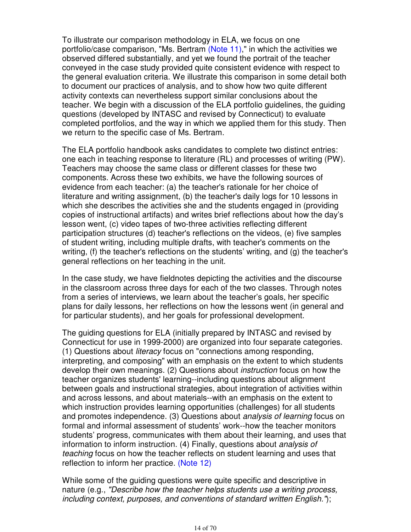To illustrate our comparison methodology in ELA, we focus on one portfolio/case comparison, "Ms. Bertram (Note 11)," in which the activities we observed differed substantially, and yet we found the portrait of the teacher conveyed in the case study provided quite consistent evidence with respect to the general evaluation criteria. We illustrate this comparison in some detail both to document our practices of analysis, and to show how two quite different activity contexts can nevertheless support similar conclusions about the teacher. We begin with a discussion of the ELA portfolio guidelines, the guiding questions (developed by INTASC and revised by Connecticut) to evaluate completed portfolios, and the way in which we applied them for this study. Then we return to the specific case of Ms. Bertram.

The ELA portfolio handbook asks candidates to complete two distinct entries: one each in teaching response to literature (RL) and processes of writing (PW). Teachers may choose the same class or different classes for these two components. Across these two exhibits, we have the following sources of evidence from each teacher: (a) the teacher's rationale for her choice of literature and writing assignment, (b) the teacher's daily logs for 10 lessons in which she describes the activities she and the students engaged in (providing copies of instructional artifacts) and writes brief reflections about how the day's lesson went, (c) video tapes of two-three activities reflecting different participation structures (d) teacher's reflections on the videos, (e) five samples of student writing, including multiple drafts, with teacher's comments on the writing, (f) the teacher's reflections on the students' writing, and (g) the teacher's general reflections on her teaching in the unit.

In the case study, we have fieldnotes depicting the activities and the discourse in the classroom across three days for each of the two classes. Through notes from a series of interviews, we learn about the teacher's goals, her specific plans for daily lessons, her reflections on how the lessons went (in general and for particular students), and her goals for professional development.

The guiding questions for ELA (initially prepared by INTASC and revised by Connecticut for use in 1999-2000) are organized into four separate categories. (1) Questions about literacy focus on "connections among responding, interpreting, and composing" with an emphasis on the extent to which students develop their own meanings. (2) Questions about instruction focus on how the teacher organizes students' learning--including questions about alignment between goals and instructional strategies, about integration of activities within and across lessons, and about materials--with an emphasis on the extent to which instruction provides learning opportunities (challenges) for all students and promotes independence. (3) Questions about analysis of learning focus on formal and informal assessment of students' work--how the teacher monitors students' progress, communicates with them about their learning, and uses that information to inform instruction. (4) Finally, questions about analysis of teaching focus on how the teacher reflects on student learning and uses that reflection to inform her practice. (Note 12)

While some of the guiding questions were quite specific and descriptive in nature (e.g., "Describe how the teacher helps students use a writing process, including context, purposes, and conventions of standard written English.");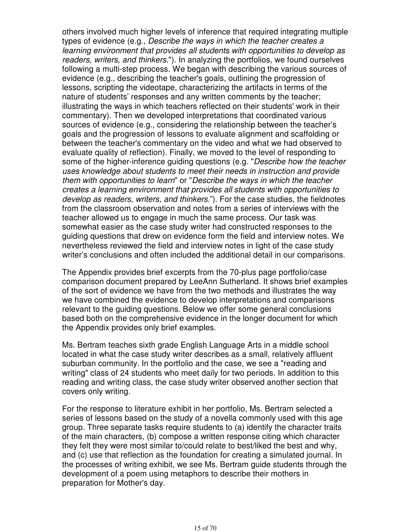others involved much higher levels of inference that required integrating multiple types of evidence (e.g., Describe the ways in which the teacher creates a learning environment that provides all students with opportunities to develop as readers, writers, and thinkers."). In analyzing the portfolios, we found ourselves following a multi-step process. We began with describing the various sources of evidence (e.g., describing the teacher's goals, outlining the progression of lessons, scripting the videotape, characterizing the artifacts in terms of the nature of students' responses and any written comments by the teacher; illustrating the ways in which teachers reflected on their students' work in their commentary). Then we developed interpretations that coordinated various sources of evidence (e.g., considering the relationship between the teacher's goals and the progression of lessons to evaluate alignment and scaffolding or between the teacher's commentary on the video and what we had observed to evaluate quality of reflection). Finally, we moved to the level of responding to some of the higher-inference guiding questions (e.g. "Describe how the teacher uses knowledge about students to meet their needs in instruction and provide them with opportunities to learn" or "Describe the ways in which the teacher creates a learning environment that provides all students with opportunities to develop as readers, writers, and thinkers."). For the case studies, the fieldnotes from the classroom observation and notes from a series of interviews with the teacher allowed us to engage in much the same process. Our task was somewhat easier as the case study writer had constructed responses to the guiding questions that drew on evidence form the field and interview notes. We nevertheless reviewed the field and interview notes in light of the case study writer's conclusions and often included the additional detail in our comparisons.

The Appendix provides brief excerpts from the 70-plus page portfolio/case comparison document prepared by LeeAnn Sutherland. It shows brief examples of the sort of evidence we have from the two methods and illustrates the way we have combined the evidence to develop interpretations and comparisons relevant to the guiding questions. Below we offer some general conclusions based both on the comprehensive evidence in the longer document for which the Appendix provides only brief examples.

Ms. Bertram teaches sixth grade English Language Arts in a middle school located in what the case study writer describes as a small, relatively affluent suburban community. In the portfolio and the case, we see a "reading and writing" class of 24 students who meet daily for two periods. In addition to this reading and writing class, the case study writer observed another section that covers only writing.

For the response to literature exhibit in her portfolio, Ms. Bertram selected a series of lessons based on the study of a novella commonly used with this age group. Three separate tasks require students to (a) identify the character traits of the main characters, (b) compose a written response citing which character they felt they were most similar to/could relate to best/liked the best and why, and (c) use that reflection as the foundation for creating a simulated journal. In the processes of writing exhibit, we see Ms. Bertram guide students through the development of a poem using metaphors to describe their mothers in preparation for Mother's day.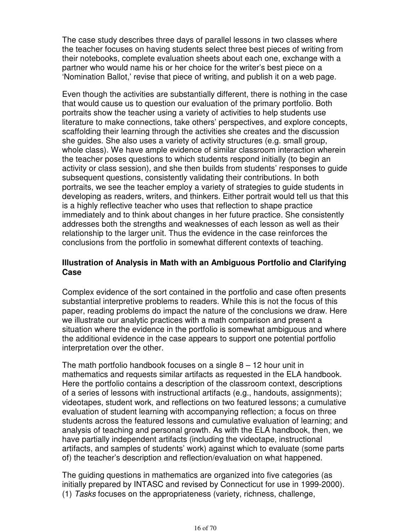The case study describes three days of parallel lessons in two classes where the teacher focuses on having students select three best pieces of writing from their notebooks, complete evaluation sheets about each one, exchange with a partner who would name his or her choice for the writer's best piece on a 'Nomination Ballot,' revise that piece of writing, and publish it on a web page.

Even though the activities are substantially different, there is nothing in the case that would cause us to question our evaluation of the primary portfolio. Both portraits show the teacher using a variety of activities to help students use literature to make connections, take others' perspectives, and explore concepts, scaffolding their learning through the activities she creates and the discussion she guides. She also uses a variety of activity structures (e.g. small group, whole class). We have ample evidence of similar classroom interaction wherein the teacher poses questions to which students respond initially (to begin an activity or class session), and she then builds from students' responses to guide subsequent questions, consistently validating their contributions. In both portraits, we see the teacher employ a variety of strategies to guide students in developing as readers, writers, and thinkers. Either portrait would tell us that this is a highly reflective teacher who uses that reflection to shape practice immediately and to think about changes in her future practice. She consistently addresses both the strengths and weaknesses of each lesson as well as their relationship to the larger unit. Thus the evidence in the case reinforces the conclusions from the portfolio in somewhat different contexts of teaching.

#### **Illustration of Analysis in Math with an Ambiguous Portfolio and Clarifying Case**

Complex evidence of the sort contained in the portfolio and case often presents substantial interpretive problems to readers. While this is not the focus of this paper, reading problems do impact the nature of the conclusions we draw. Here we illustrate our analytic practices with a math comparison and present a situation where the evidence in the portfolio is somewhat ambiguous and where the additional evidence in the case appears to support one potential portfolio interpretation over the other.

The math portfolio handbook focuses on a single  $8 - 12$  hour unit in mathematics and requests similar artifacts as requested in the ELA handbook. Here the portfolio contains a description of the classroom context, descriptions of a series of lessons with instructional artifacts (e.g., handouts, assignments); videotapes, student work, and reflections on two featured lessons; a cumulative evaluation of student learning with accompanying reflection; a focus on three students across the featured lessons and cumulative evaluation of learning; and analysis of teaching and personal growth. As with the ELA handbook, then, we have partially independent artifacts (including the videotape, instructional artifacts, and samples of students' work) against which to evaluate (some parts of) the teacher's description and reflection/evaluation on what happened.

The guiding questions in mathematics are organized into five categories (as initially prepared by INTASC and revised by Connecticut for use in 1999-2000). (1) Tasks focuses on the appropriateness (variety, richness, challenge,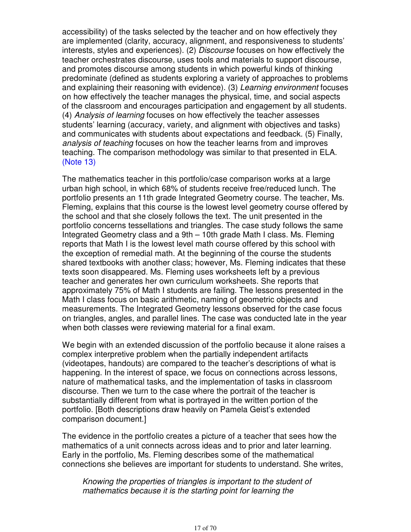accessibility) of the tasks selected by the teacher and on how effectively they are implemented (clarity, accuracy, alignment, and responsiveness to students' interests, styles and experiences). (2) Discourse focuses on how effectively the teacher orchestrates discourse, uses tools and materials to support discourse, and promotes discourse among students in which powerful kinds of thinking predominate (defined as students exploring a variety of approaches to problems and explaining their reasoning with evidence). (3) Learning environment focuses on how effectively the teacher manages the physical, time, and social aspects of the classroom and encourages participation and engagement by all students. (4) Analysis of learning focuses on how effectively the teacher assesses students' learning (accuracy, variety, and alignment with objectives and tasks) and communicates with students about expectations and feedback. (5) Finally, analysis of teaching focuses on how the teacher learns from and improves teaching. The comparison methodology was similar to that presented in ELA. (Note 13)

The mathematics teacher in this portfolio/case comparison works at a large urban high school, in which 68% of students receive free/reduced lunch. The portfolio presents an 11th grade Integrated Geometry course. The teacher, Ms. Fleming, explains that this course is the lowest level geometry course offered by the school and that she closely follows the text. The unit presented in the portfolio concerns tessellations and triangles. The case study follows the same Integrated Geometry class and a 9th – 10th grade Math I class. Ms. Fleming reports that Math I is the lowest level math course offered by this school with the exception of remedial math. At the beginning of the course the students shared textbooks with another class; however, Ms. Fleming indicates that these texts soon disappeared. Ms. Fleming uses worksheets left by a previous teacher and generates her own curriculum worksheets. She reports that approximately 75% of Math I students are failing. The lessons presented in the Math I class focus on basic arithmetic, naming of geometric objects and measurements. The Integrated Geometry lessons observed for the case focus on triangles, angles, and parallel lines. The case was conducted late in the year when both classes were reviewing material for a final exam.

We begin with an extended discussion of the portfolio because it alone raises a complex interpretive problem when the partially independent artifacts (videotapes, handouts) are compared to the teacher's descriptions of what is happening. In the interest of space, we focus on connections across lessons, nature of mathematical tasks, and the implementation of tasks in classroom discourse. Then we turn to the case where the portrait of the teacher is substantially different from what is portrayed in the written portion of the portfolio. [Both descriptions draw heavily on Pamela Geist's extended comparison document.]

The evidence in the portfolio creates a picture of a teacher that sees how the mathematics of a unit connects across ideas and to prior and later learning. Early in the portfolio, Ms. Fleming describes some of the mathematical connections she believes are important for students to understand. She writes,

Knowing the properties of triangles is important to the student of mathematics because it is the starting point for learning the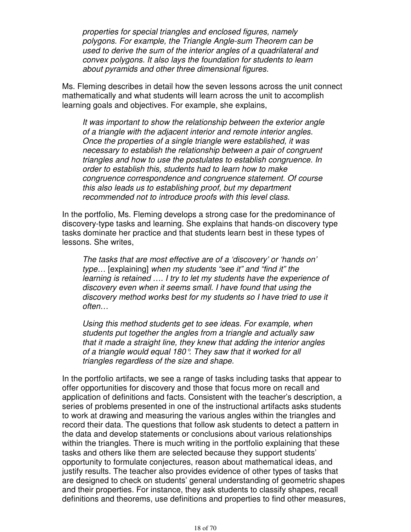properties for special triangles and enclosed figures, namely polygons. For example, the Triangle Angle-sum Theorem can be used to derive the sum of the interior angles of a quadrilateral and convex polygons. It also lays the foundation for students to learn about pyramids and other three dimensional figures.

Ms. Fleming describes in detail how the seven lessons across the unit connect mathematically and what students will learn across the unit to accomplish learning goals and objectives. For example, she explains,

It was important to show the relationship between the exterior angle of a triangle with the adjacent interior and remote interior angles. Once the properties of a single triangle were established, it was necessary to establish the relationship between a pair of congruent triangles and how to use the postulates to establish congruence. In order to establish this, students had to learn how to make congruence correspondence and congruence statement. Of course this also leads us to establishing proof, but my department recommended not to introduce proofs with this level class.

In the portfolio, Ms. Fleming develops a strong case for the predominance of discovery-type tasks and learning. She explains that hands-on discovery type tasks dominate her practice and that students learn best in these types of lessons. She writes,

The tasks that are most effective are of a 'discovery' or 'hands on' type… [explaining] when my students "see it" and "find it" the learning is retained …. I try to let my students have the experience of discovery even when it seems small. I have found that using the discovery method works best for my students so I have tried to use it often…

Using this method students get to see ideas. For example, when students put together the angles from a triangle and actually saw that it made a straight line, they knew that adding the interior angles of a triangle would equal 180°. They saw that it worked for all triangles regardless of the size and shape.

In the portfolio artifacts, we see a range of tasks including tasks that appear to offer opportunities for discovery and those that focus more on recall and application of definitions and facts. Consistent with the teacher's description, a series of problems presented in one of the instructional artifacts asks students to work at drawing and measuring the various angles within the triangles and record their data. The questions that follow ask students to detect a pattern in the data and develop statements or conclusions about various relationships within the triangles. There is much writing in the portfolio explaining that these tasks and others like them are selected because they support students' opportunity to formulate conjectures, reason about mathematical ideas, and justify results. The teacher also provides evidence of other types of tasks that are designed to check on students' general understanding of geometric shapes and their properties. For instance, they ask students to classify shapes, recall definitions and theorems, use definitions and properties to find other measures,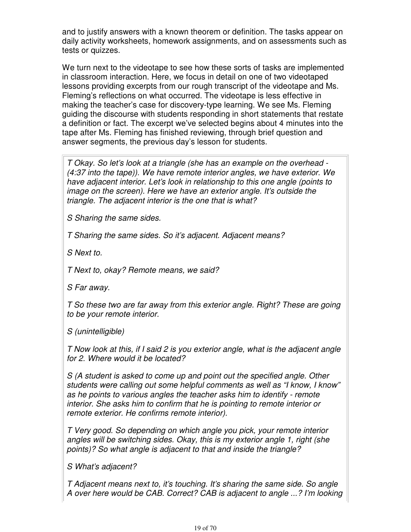and to justify answers with a known theorem or definition. The tasks appear on daily activity worksheets, homework assignments, and on assessments such as tests or quizzes.

We turn next to the videotape to see how these sorts of tasks are implemented in classroom interaction. Here, we focus in detail on one of two videotaped lessons providing excerpts from our rough transcript of the videotape and Ms. Fleming's reflections on what occurred. The videotape is less effective in making the teacher's case for discovery-type learning. We see Ms. Fleming guiding the discourse with students responding in short statements that restate a definition or fact. The excerpt we've selected begins about 4 minutes into the tape after Ms. Fleming has finished reviewing, through brief question and answer segments, the previous day's lesson for students.

T Okay. So let's look at a triangle (she has an example on the overhead - (4:37 into the tape)). We have remote interior angles, we have exterior. We have adjacent interior. Let's look in relationship to this one angle (points to image on the screen). Here we have an exterior angle. It's outside the triangle. The adjacent interior is the one that is what?

S Sharing the same sides.

T Sharing the same sides. So it's adjacent. Adjacent means?

S Next to.

T Next to, okay? Remote means, we said?

S Far away.

T So these two are far away from this exterior angle. Right? These are going to be your remote interior.

S (unintelligible)

T Now look at this, if I said 2 is you exterior angle, what is the adjacent angle for 2. Where would it be located?

S (A student is asked to come up and point out the specified angle. Other students were calling out some helpful comments as well as "I know, I know" as he points to various angles the teacher asks him to identify - remote interior. She asks him to confirm that he is pointing to remote interior or remote exterior. He confirms remote interior).

T Very good. So depending on which angle you pick, your remote interior angles will be switching sides. Okay, this is my exterior angle 1, right (she points)? So what angle is adjacent to that and inside the triangle?

S What's adjacent?

T Adjacent means next to, it's touching. It's sharing the same side. So angle A over here would be CAB. Correct? CAB is adjacent to angle ...? I'm looking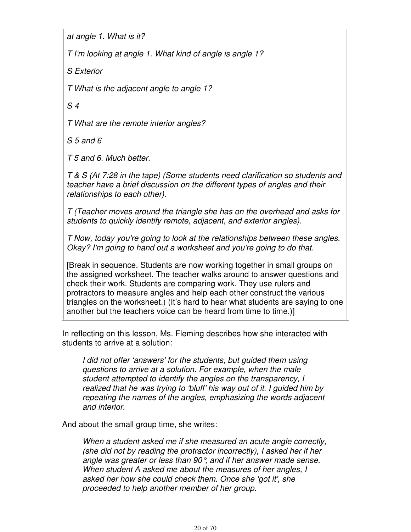at angle 1. What is it?

T I'm looking at angle 1. What kind of angle is angle 1?

S Exterior

T What is the adjacent angle to angle 1?

S 4

T What are the remote interior angles?

S 5 and 6

T 5 and 6. Much better.

T & S (At 7:28 in the tape) (Some students need clarification so students and teacher have a brief discussion on the different types of angles and their relationships to each other).

T (Teacher moves around the triangle she has on the overhead and asks for students to quickly identify remote, adjacent, and exterior angles).

T Now, today you're going to look at the relationships between these angles. Okay? I'm going to hand out a worksheet and you're going to do that.

[Break in sequence. Students are now working together in small groups on the assigned worksheet. The teacher walks around to answer questions and check their work. Students are comparing work. They use rulers and protractors to measure angles and help each other construct the various triangles on the worksheet.) (It's hard to hear what students are saying to one another but the teachers voice can be heard from time to time.)]

In reflecting on this lesson, Ms. Fleming describes how she interacted with students to arrive at a solution:

I did not offer 'answers' for the students, but guided them using questions to arrive at a solution. For example, when the male student attempted to identify the angles on the transparency, I realized that he was trying to 'bluff' his way out of it. I guided him by repeating the names of the angles, emphasizing the words adjacent and interior.

And about the small group time, she writes:

When a student asked me if she measured an acute angle correctly, (she did not by reading the protractor incorrectly), I asked her if her angle was greater or less than 90°, and if her answer made sense. When student A asked me about the measures of her angles, I asked her how she could check them. Once she 'got it', she proceeded to help another member of her group.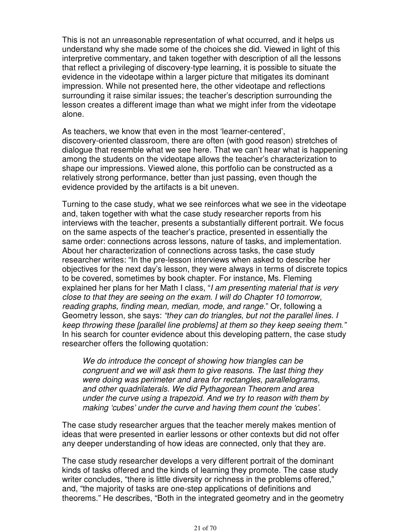This is not an unreasonable representation of what occurred, and it helps us understand why she made some of the choices she did. Viewed in light of this interpretive commentary, and taken together with description of all the lessons that reflect a privileging of discovery-type learning, it is possible to situate the evidence in the videotape within a larger picture that mitigates its dominant impression. While not presented here, the other videotape and reflections surrounding it raise similar issues; the teacher's description surrounding the lesson creates a different image than what we might infer from the videotape alone.

As teachers, we know that even in the most 'learner-centered', discovery-oriented classroom, there are often (with good reason) stretches of dialogue that resemble what we see here. That we can't hear what is happening among the students on the videotape allows the teacher's characterization to shape our impressions. Viewed alone, this portfolio can be constructed as a relatively strong performance, better than just passing, even though the evidence provided by the artifacts is a bit uneven.

Turning to the case study, what we see reinforces what we see in the videotape and, taken together with what the case study researcher reports from his interviews with the teacher, presents a substantially different portrait. We focus on the same aspects of the teacher's practice, presented in essentially the same order: connections across lessons, nature of tasks, and implementation. About her characterization of connections across tasks, the case study researcher writes: "In the pre-lesson interviews when asked to describe her objectives for the next day's lesson, they were always in terms of discrete topics to be covered, sometimes by book chapter. For instance, Ms. Fleming explained her plans for her Math I class, "I am presenting material that is very close to that they are seeing on the exam. I will do Chapter 10 tomorrow, reading graphs, finding mean, median, mode, and range." Or, following a Geometry lesson, she says: "they can do triangles, but not the parallel lines. I keep throwing these [parallel line problems] at them so they keep seeing them." In his search for counter evidence about this developing pattern, the case study researcher offers the following quotation:

We do introduce the concept of showing how triangles can be congruent and we will ask them to give reasons. The last thing they were doing was perimeter and area for rectangles, parallelograms, and other quadrilaterals. We did Pythagorean Theorem and area under the curve using a trapezoid. And we try to reason with them by making 'cubes' under the curve and having them count the 'cubes'.

The case study researcher argues that the teacher merely makes mention of ideas that were presented in earlier lessons or other contexts but did not offer any deeper understanding of how ideas are connected, only that they are.

The case study researcher develops a very different portrait of the dominant kinds of tasks offered and the kinds of learning they promote. The case study writer concludes, "there is little diversity or richness in the problems offered," and, "the majority of tasks are one-step applications of definitions and theorems." He describes, "Both in the integrated geometry and in the geometry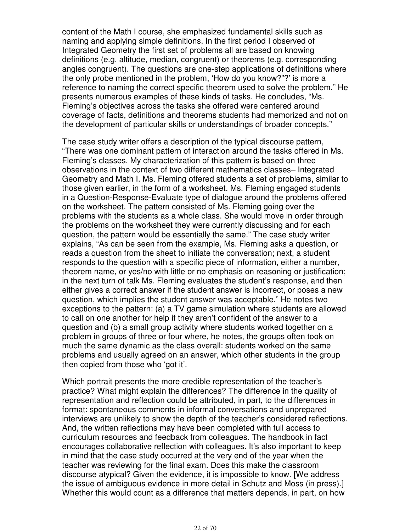content of the Math I course, she emphasized fundamental skills such as naming and applying simple definitions. In the first period I observed of Integrated Geometry the first set of problems all are based on knowing definitions (e.g. altitude, median, congruent) or theorems (e.g. corresponding angles congruent). The questions are one-step applications of definitions where the only probe mentioned in the problem, 'How do you know?"?' is more a reference to naming the correct specific theorem used to solve the problem." He presents numerous examples of these kinds of tasks. He concludes, "Ms. Fleming's objectives across the tasks she offered were centered around coverage of facts, definitions and theorems students had memorized and not on the development of particular skills or understandings of broader concepts."

The case study writer offers a description of the typical discourse pattern, "There was one dominant pattern of interaction around the tasks offered in Ms. Fleming's classes. My characterization of this pattern is based on three observations in the context of two different mathematics classes– Integrated Geometry and Math I. Ms. Fleming offered students a set of problems, similar to those given earlier, in the form of a worksheet. Ms. Fleming engaged students in a Question-Response-Evaluate type of dialogue around the problems offered on the worksheet. The pattern consisted of Ms. Fleming going over the problems with the students as a whole class. She would move in order through the problems on the worksheet they were currently discussing and for each question, the pattern would be essentially the same." The case study writer explains, "As can be seen from the example, Ms. Fleming asks a question, or reads a question from the sheet to initiate the conversation; next, a student responds to the question with a specific piece of information, either a number, theorem name, or yes/no with little or no emphasis on reasoning or justification; in the next turn of talk Ms. Fleming evaluates the student's response, and then either gives a correct answer if the student answer is incorrect, or poses a new question, which implies the student answer was acceptable." He notes two exceptions to the pattern: (a) a TV game simulation where students are allowed to call on one another for help if they aren't confident of the answer to a question and (b) a small group activity where students worked together on a problem in groups of three or four where, he notes, the groups often took on much the same dynamic as the class overall: students worked on the same problems and usually agreed on an answer, which other students in the group then copied from those who 'got it'.

Which portrait presents the more credible representation of the teacher's practice? What might explain the differences? The difference in the quality of representation and reflection could be attributed, in part, to the differences in format: spontaneous comments in informal conversations and unprepared interviews are unlikely to show the depth of the teacher's considered reflections. And, the written reflections may have been completed with full access to curriculum resources and feedback from colleagues. The handbook in fact encourages collaborative reflection with colleagues. It's also important to keep in mind that the case study occurred at the very end of the year when the teacher was reviewing for the final exam. Does this make the classroom discourse atypical? Given the evidence, it is impossible to know. [We address the issue of ambiguous evidence in more detail in Schutz and Moss (in press).] Whether this would count as a difference that matters depends, in part, on how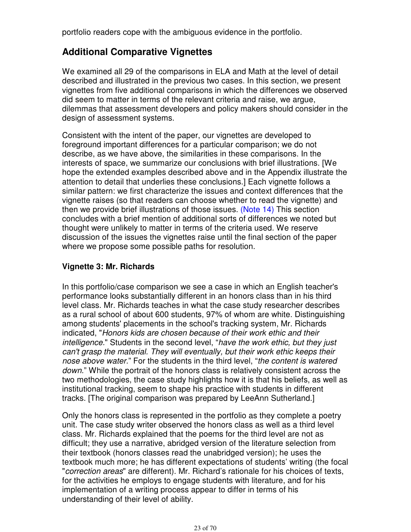portfolio readers cope with the ambiguous evidence in the portfolio.

# **Additional Comparative Vignettes**

We examined all 29 of the comparisons in ELA and Math at the level of detail described and illustrated in the previous two cases. In this section, we present vignettes from five additional comparisons in which the differences we observed did seem to matter in terms of the relevant criteria and raise, we argue, dilemmas that assessment developers and policy makers should consider in the design of assessment systems.

Consistent with the intent of the paper, our vignettes are developed to foreground important differences for a particular comparison; we do not describe, as we have above, the similarities in these comparisons. In the interests of space, we summarize our conclusions with brief illustrations. [We hope the extended examples described above and in the Appendix illustrate the attention to detail that underlies these conclusions.] Each vignette follows a similar pattern: we first characterize the issues and context differences that the vignette raises (so that readers can choose whether to read the vignette) and then we provide brief illustrations of those issues. (Note 14) This section concludes with a brief mention of additional sorts of differences we noted but thought were unlikely to matter in terms of the criteria used. We reserve discussion of the issues the vignettes raise until the final section of the paper where we propose some possible paths for resolution.

## **Vignette 3: Mr. Richards**

In this portfolio/case comparison we see a case in which an English teacher's performance looks substantially different in an honors class than in his third level class. Mr. Richards teaches in what the case study researcher describes as a rural school of about 600 students, 97% of whom are white. Distinguishing among students' placements in the school's tracking system, Mr. Richards indicated, "Honors kids are chosen because of their work ethic and their intelligence." Students in the second level, "have the work ethic, but they just can't grasp the material. They will eventually, but their work ethic keeps their nose above water." For the students in the third level, "the content is watered down." While the portrait of the honors class is relatively consistent across the two methodologies, the case study highlights how it is that his beliefs, as well as institutional tracking, seem to shape his practice with students in different tracks. [The original comparison was prepared by LeeAnn Sutherland.]

Only the honors class is represented in the portfolio as they complete a poetry unit. The case study writer observed the honors class as well as a third level class. Mr. Richards explained that the poems for the third level are not as difficult; they use a narrative, abridged version of the literature selection from their textbook (honors classes read the unabridged version); he uses the textbook much more; he has different expectations of students' writing (the focal "correction areas" are different). Mr. Richard's rationale for his choices of texts, for the activities he employs to engage students with literature, and for his implementation of a writing process appear to differ in terms of his understanding of their level of ability.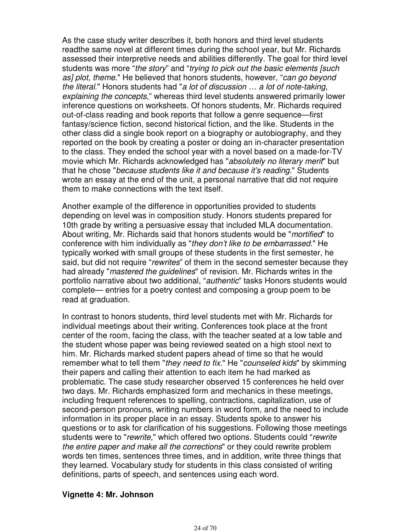As the case study writer describes it, both honors and third level students readthe same novel at different times during the school year, but Mr. Richards assessed their interpretive needs and abilities differently. The goal for third level students was more "the story" and "trying to pick out the basic elements [such as] plot, theme." He believed that honors students, however, "can go beyond the literal." Honors students had "a lot of discussion … a lot of note-taking, explaining the concepts," whereas third level students answered primarily lower inference questions on worksheets. Of honors students, Mr. Richards required out-of-class reading and book reports that follow a genre sequence—first fantasy/science fiction, second historical fiction, and the like. Students in the other class did a single book report on a biography or autobiography, and they reported on the book by creating a poster or doing an in-character presentation to the class. They ended the school year with a novel based on a made-for-TV movie which Mr. Richards acknowledged has "absolutely no literary merit" but that he chose "because students like it and because it's reading." Students wrote an essay at the end of the unit, a personal narrative that did not require them to make connections with the text itself.

Another example of the difference in opportunities provided to students depending on level was in composition study. Honors students prepared for 10th grade by writing a persuasive essay that included MLA documentation. About writing, Mr. Richards said that honors students would be "mortified" to conference with him individually as "they don't like to be embarrassed." He typically worked with small groups of these students in the first semester, he said, but did not require "rewrites" of them in the second semester because they had already "mastered the guidelines" of revision. Mr. Richards writes in the portfolio narrative about two additional, "authentic" tasks Honors students would complete— entries for a poetry contest and composing a group poem to be read at graduation.

In contrast to honors students, third level students met with Mr. Richards for individual meetings about their writing. Conferences took place at the front center of the room, facing the class, with the teacher seated at a low table and the student whose paper was being reviewed seated on a high stool next to him. Mr. Richards marked student papers ahead of time so that he would remember what to tell them "they need to fix." He "counseled kids" by skimming their papers and calling their attention to each item he had marked as problematic. The case study researcher observed 15 conferences he held over two days. Mr. Richards emphasized form and mechanics in these meetings, including frequent references to spelling, contractions, capitalization, use of second-person pronouns, writing numbers in word form, and the need to include information in its proper place in an essay. Students spoke to answer his questions or to ask for clarification of his suggestions. Following those meetings students were to "rewrite," which offered two options. Students could "rewrite the entire paper and make all the corrections" or they could rewrite problem words ten times, sentences three times, and in addition, write three things that they learned. Vocabulary study for students in this class consisted of writing definitions, parts of speech, and sentences using each word.

#### **Vignette 4: Mr. Johnson**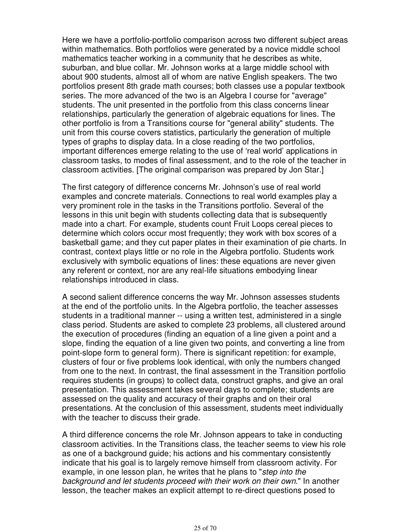Here we have a portfolio-portfolio comparison across two different subject areas within mathematics. Both portfolios were generated by a novice middle school mathematics teacher working in a community that he describes as white, suburban, and blue collar. Mr. Johnson works at a large middle school with about 900 students, almost all of whom are native English speakers. The two portfolios present 8th grade math courses; both classes use a popular textbook series. The more advanced of the two is an Algebra I course for "average" students. The unit presented in the portfolio from this class concerns linear relationships, particularly the generation of algebraic equations for lines. The other portfolio is from a Transitions course for "general ability" students. The unit from this course covers statistics, particularly the generation of multiple types of graphs to display data. In a close reading of the two portfolios, important differences emerge relating to the use of 'real world' applications in classroom tasks, to modes of final assessment, and to the role of the teacher in classroom activities. [The original comparison was prepared by Jon Star.]

The first category of difference concerns Mr. Johnson's use of real world examples and concrete materials. Connections to real world examples play a very prominent role in the tasks in the Transitions portfolio. Several of the lessons in this unit begin with students collecting data that is subsequently made into a chart. For example, students count Fruit Loops cereal pieces to determine which colors occur most frequently; they work with box scores of a basketball game; and they cut paper plates in their examination of pie charts. In contrast, context plays little or no role in the Algebra portfolio. Students work exclusively with symbolic equations of lines: these equations are never given any referent or context, nor are any real-life situations embodying linear relationships introduced in class.

A second salient difference concerns the way Mr. Johnson assesses students at the end of the portfolio units. In the Algebra portfolio, the teacher assesses students in a traditional manner -- using a written test, administered in a single class period. Students are asked to complete 23 problems, all clustered around the execution of procedures (finding an equation of a line given a point and a slope, finding the equation of a line given two points, and converting a line from point-slope form to general form). There is significant repetition: for example, clusters of four or five problems look identical, with only the numbers changed from one to the next. In contrast, the final assessment in the Transition portfolio requires students (in groups) to collect data, construct graphs, and give an oral presentation. This assessment takes several days to complete; students are assessed on the quality and accuracy of their graphs and on their oral presentations. At the conclusion of this assessment, students meet individually with the teacher to discuss their grade.

A third difference concerns the role Mr. Johnson appears to take in conducting classroom activities. In the Transitions class, the teacher seems to view his role as one of a background guide; his actions and his commentary consistently indicate that his goal is to largely remove himself from classroom activity. For example, in one lesson plan, he writes that he plans to "step into the background and let students proceed with their work on their own." In another lesson, the teacher makes an explicit attempt to re-direct questions posed to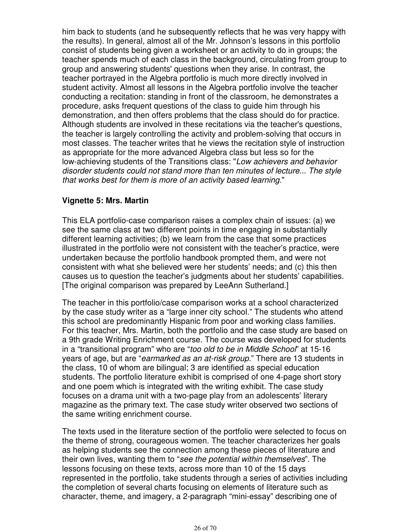him back to students (and he subsequently reflects that he was very happy with the results). In general, almost all of the Mr. Johnson's lessons in this portfolio consist of students being given a worksheet or an activity to do in groups; the teacher spends much of each class in the background, circulating from group to group and answering students' questions when they arise. In contrast, the teacher portrayed in the Algebra portfolio is much more directly involved in student activity. Almost all lessons in the Algebra portfolio involve the teacher conducting a recitation: standing in front of the classroom, he demonstrates a procedure, asks frequent questions of the class to guide him through his demonstration, and then offers problems that the class should do for practice. Although students are involved in these recitations via the teacher's questions, the teacher is largely controlling the activity and problem-solving that occurs in most classes. The teacher writes that he views the recitation style of instruction as appropriate for the more advanced Algebra class but less so for the low-achieving students of the Transitions class: "Low achievers and behavior disorder students could not stand more than ten minutes of lecture... The style that works best for them is more of an activity based learning."

#### **Vignette 5: Mrs. Martin**

This ELA portfolio-case comparison raises a complex chain of issues: (a) we see the same class at two different points in time engaging in substantially different learning activities; (b) we learn from the case that some practices illustrated in the portfolio were not consistent with the teacher's practice, were undertaken because the portfolio handbook prompted them, and were not consistent with what she believed were her students' needs; and (c) this then causes us to question the teacher's judgments about her students' capabilities. [The original comparison was prepared by LeeAnn Sutherland.]

The teacher in this portfolio/case comparison works at a school characterized by the case study writer as a "large inner city school." The students who attend this school are predominantly Hispanic from poor and working class families. For this teacher, Mrs. Martin, both the portfolio and the case study are based on a 9th grade Writing Enrichment course. The course was developed for students in a "transitional program" who are "too old to be in Middle School" at 15-16 years of age, but are "earmarked as an at-risk group." There are 13 students in the class, 10 of whom are bilingual; 3 are identified as special education students. The portfolio literature exhibit is comprised of one 4-page short story and one poem which is integrated with the writing exhibit. The case study focuses on a drama unit with a two-page play from an adolescents' literary magazine as the primary text. The case study writer observed two sections of the same writing enrichment course.

The texts used in the literature section of the portfolio were selected to focus on the theme of strong, courageous women. The teacher characterizes her goals as helping students see the connection among these pieces of literature and their own lives, wanting them to "see the potential within themselves". The lessons focusing on these texts, across more than 10 of the 15 days represented in the portfolio, take students through a series of activities including the completion of several charts focusing on elements of literature such as character, theme, and imagery, a 2-paragraph "mini-essay" describing one of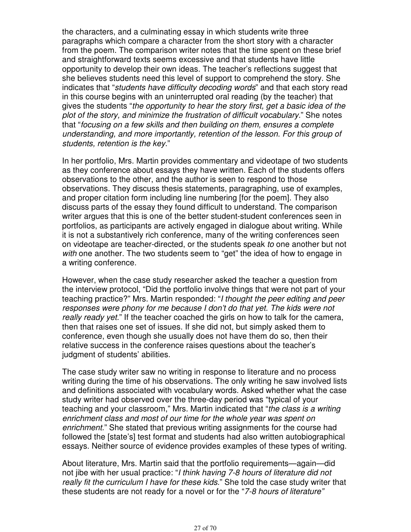the characters, and a culminating essay in which students write three paragraphs which compare a character from the short story with a character from the poem. The comparison writer notes that the time spent on these brief and straightforward texts seems excessive and that students have little opportunity to develop their own ideas. The teacher's reflections suggest that she believes students need this level of support to comprehend the story. She indicates that "students have difficulty decoding words" and that each story read in this course begins with an uninterrupted oral reading (by the teacher) that gives the students "the opportunity to hear the story first, get a basic idea of the plot of the story, and minimize the frustration of difficult vocabulary." She notes that "focusing on a few skills and then building on them, ensures a complete understanding, and more importantly, retention of the lesson. For this group of students, retention is the key."

In her portfolio, Mrs. Martin provides commentary and videotape of two students as they conference about essays they have written. Each of the students offers observations to the other, and the author is seen to respond to those observations. They discuss thesis statements, paragraphing, use of examples, and proper citation form including line numbering [for the poem]. They also discuss parts of the essay they found difficult to understand. The comparison writer argues that this is one of the better student-student conferences seen in portfolios, as participants are actively engaged in dialogue about writing. While it is not a substantively rich conference, many of the writing conferences seen on videotape are teacher-directed, or the students speak to one another but not with one another. The two students seem to "get" the idea of how to engage in a writing conference.

However, when the case study researcher asked the teacher a question from the interview protocol, "Did the portfolio involve things that were not part of your teaching practice?" Mrs. Martin responded: "I thought the peer editing and peer responses were phony for me because I don't do that yet. The kids were not really ready yet." If the teacher coached the girls on how to talk for the camera, then that raises one set of issues. If she did not, but simply asked them to conference, even though she usually does not have them do so, then their relative success in the conference raises questions about the teacher's judgment of students' abilities.

The case study writer saw no writing in response to literature and no process writing during the time of his observations. The only writing he saw involved lists and definitions associated with vocabulary words. Asked whether what the case study writer had observed over the three-day period was "typical of your teaching and your classroom," Mrs. Martin indicated that "the class is a writing enrichment class and most of our time for the whole year was spent on enrichment." She stated that previous writing assignments for the course had followed the [state's] test format and students had also written autobiographical essays. Neither source of evidence provides examples of these types of writing.

About literature, Mrs. Martin said that the portfolio requirements—again—did not jibe with her usual practice: "I think having 7-8 hours of literature did not really fit the curriculum I have for these kids." She told the case study writer that these students are not ready for a novel or for the "7-8 hours of literature"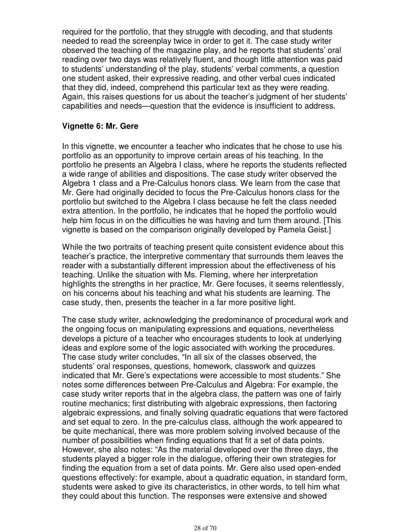required for the portfolio, that they struggle with decoding, and that students needed to read the screenplay twice in order to get it. The case study writer observed the teaching of the magazine play, and he reports that students' oral reading over two days was relatively fluent, and though little attention was paid to students' understanding of the play, students' verbal comments, a question one student asked, their expressive reading, and other verbal cues indicated that they did, indeed, comprehend this particular text as they were reading. Again, this raises questions for us about the teacher's judgment of her students' capabilities and needs—question that the evidence is insufficient to address.

#### **Vignette 6: Mr. Gere**

In this vignette, we encounter a teacher who indicates that he chose to use his portfolio as an opportunity to improve certain areas of his teaching. In the portfolio he presents an Algebra I class, where he reports the students reflected a wide range of abilities and dispositions. The case study writer observed the Algebra 1 class and a Pre-Calculus honors class. We learn from the case that Mr. Gere had originally decided to focus the Pre-Calculus honors class for the portfolio but switched to the Algebra I class because he felt the class needed extra attention. In the portfolio, he indicates that he hoped the portfolio would help him focus in on the difficulties he was having and turn them around. [This vignette is based on the comparison originally developed by Pamela Geist.]

While the two portraits of teaching present quite consistent evidence about this teacher's practice, the interpretive commentary that surrounds them leaves the reader with a substantially different impression about the effectiveness of his teaching. Unlike the situation with Ms. Fleming, where her interpretation highlights the strengths in her practice, Mr. Gere focuses, it seems relentlessly, on his concerns about his teaching and what his students are learning. The case study, then, presents the teacher in a far more positive light.

The case study writer, acknowledging the predominance of procedural work and the ongoing focus on manipulating expressions and equations, nevertheless develops a picture of a teacher who encourages students to look at underlying ideas and explore some of the logic associated with working the procedures. The case study writer concludes, "In all six of the classes observed, the students' oral responses, questions, homework, classwork and quizzes indicated that Mr. Gere's expectations were accessible to most students." She notes some differences between Pre-Calculus and Algebra: For example, the case study writer reports that in the algebra class, the pattern was one of fairly routine mechanics; first distributing with algebraic expressions, then factoring algebraic expressions, and finally solving quadratic equations that were factored and set equal to zero. In the pre-calculus class, although the work appeared to be quite mechanical, there was more problem solving involved because of the number of possibilities when finding equations that fit a set of data points. However, she also notes: "As the material developed over the three days, the students played a bigger role in the dialogue, offering their own strategies for finding the equation from a set of data points. Mr. Gere also used open-ended questions effectively: for example, about a quadratic equation, in standard form, students were asked to give its characteristics, in other words, to tell him what they could about this function. The responses were extensive and showed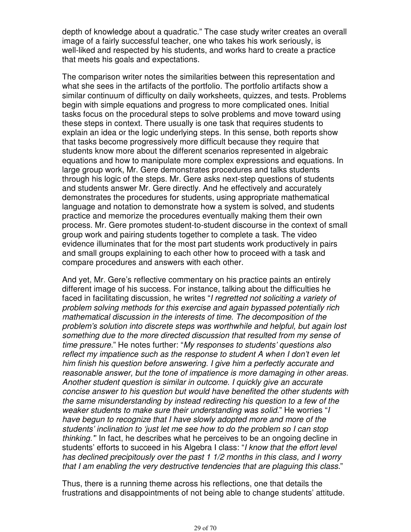depth of knowledge about a quadratic." The case study writer creates an overall image of a fairly successful teacher, one who takes his work seriously, is well-liked and respected by his students, and works hard to create a practice that meets his goals and expectations.

The comparison writer notes the similarities between this representation and what she sees in the artifacts of the portfolio. The portfolio artifacts show a similar continuum of difficulty on daily worksheets, quizzes, and tests. Problems begin with simple equations and progress to more complicated ones. Initial tasks focus on the procedural steps to solve problems and move toward using these steps in context. There usually is one task that requires students to explain an idea or the logic underlying steps. In this sense, both reports show that tasks become progressively more difficult because they require that students know more about the different scenarios represented in algebraic equations and how to manipulate more complex expressions and equations. In large group work, Mr. Gere demonstrates procedures and talks students through his logic of the steps. Mr. Gere asks next-step questions of students and students answer Mr. Gere directly. And he effectively and accurately demonstrates the procedures for students, using appropriate mathematical language and notation to demonstrate how a system is solved, and students practice and memorize the procedures eventually making them their own process. Mr. Gere promotes student-to-student discourse in the context of small group work and pairing students together to complete a task. The video evidence illuminates that for the most part students work productively in pairs and small groups explaining to each other how to proceed with a task and compare procedures and answers with each other.

And yet, Mr. Gere's reflective commentary on his practice paints an entirely different image of his success. For instance, talking about the difficulties he faced in facilitating discussion, he writes "I regretted not soliciting a variety of problem solving methods for this exercise and again bypassed potentially rich mathematical discussion in the interests of time. The decomposition of the problem's solution into discrete steps was worthwhile and helpful, but again lost something due to the more directed discussion that resulted from my sense of time pressure." He notes further: "My responses to students' questions also reflect my impatience such as the response to student A when I don't even let him finish his question before answering. I give him a perfectly accurate and reasonable answer, but the tone of impatience is more damaging in other areas. Another student question is similar in outcome. I quickly give an accurate concise answer to his question but would have benefited the other students with the same misunderstanding by instead redirecting his question to a few of the weaker students to make sure their understanding was solid." He worries "I have begun to recognize that I have slowly adopted more and more of the students' inclination to 'just let me see how to do the problem so I can stop thinking.'" In fact, he describes what he perceives to be an ongoing decline in students' efforts to succeed in his Algebra I class: "I know that the effort level has declined precipitously over the past 1 1/2 months in this class, and I worry that I am enabling the very destructive tendencies that are plaguing this class."

Thus, there is a running theme across his reflections, one that details the frustrations and disappointments of not being able to change students' attitude.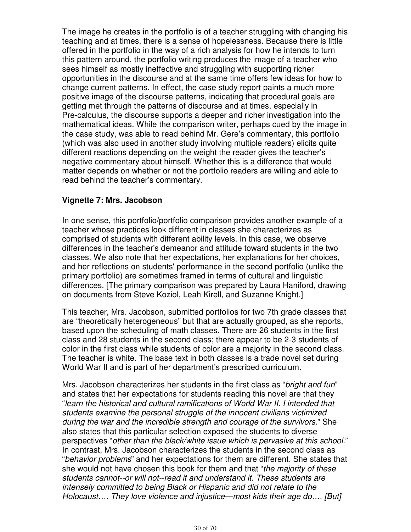The image he creates in the portfolio is of a teacher struggling with changing his teaching and at times, there is a sense of hopelessness. Because there is little offered in the portfolio in the way of a rich analysis for how he intends to turn this pattern around, the portfolio writing produces the image of a teacher who sees himself as mostly ineffective and struggling with supporting richer opportunities in the discourse and at the same time offers few ideas for how to change current patterns. In effect, the case study report paints a much more positive image of the discourse patterns, indicating that procedural goals are getting met through the patterns of discourse and at times, especially in Pre-calculus, the discourse supports a deeper and richer investigation into the mathematical ideas. While the comparison writer, perhaps cued by the image in the case study, was able to read behind Mr. Gere's commentary, this portfolio (which was also used in another study involving multiple readers) elicits quite different reactions depending on the weight the reader gives the teacher's negative commentary about himself. Whether this is a difference that would matter depends on whether or not the portfolio readers are willing and able to read behind the teacher's commentary.

#### **Vignette 7: Mrs. Jacobson**

In one sense, this portfolio/portfolio comparison provides another example of a teacher whose practices look different in classes she characterizes as comprised of students with different ability levels. In this case, we observe differences in the teacher's demeanor and attitude toward students in the two classes. We also note that her expectations, her explanations for her choices, and her reflections on students' performance in the second portfolio (unlike the primary portfolio) are sometimes framed in terms of cultural and linguistic differences. [The primary comparison was prepared by Laura Haniford, drawing on documents from Steve Koziol, Leah Kirell, and Suzanne Knight.]

This teacher, Mrs. Jacobson, submitted portfolios for two 7th grade classes that are "theoretically heterogeneous" but that are actually grouped, as she reports, based upon the scheduling of math classes. There are 26 students in the first class and 28 students in the second class; there appear to be 2-3 students of color in the first class while students of color are a majority in the second class. The teacher is white. The base text in both classes is a trade novel set during World War II and is part of her department's prescribed curriculum.

Mrs. Jacobson characterizes her students in the first class as "*bright and fun*" and states that her expectations for students reading this novel are that they "learn the historical and cultural ramifications of World War II. I intended that students examine the personal struggle of the innocent civilians victimized during the war and the incredible strength and courage of the survivors." She also states that this particular selection exposed the students to diverse perspectives "other than the black/white issue which is pervasive at this school." In contrast, Mrs. Jacobson characterizes the students in the second class as "behavior problems" and her expectations for them are different. She states that she would not have chosen this book for them and that "*the majority of these* students cannot--or will not--read it and understand it. These students are intensely committed to being Black or Hispanic and did not relate to the Holocaust.... They love violence and injustice—most kids their age do.... [But]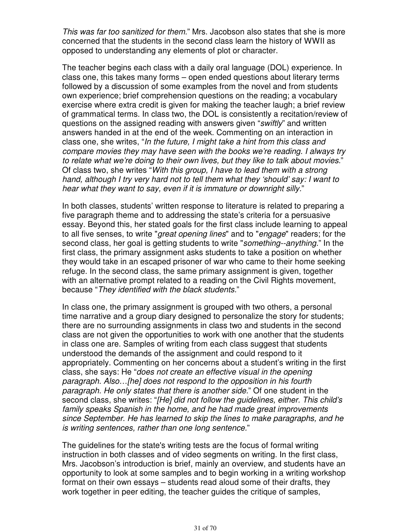This was far too sanitized for them." Mrs. Jacobson also states that she is more concerned that the students in the second class learn the history of WWII as opposed to understanding any elements of plot or character.

The teacher begins each class with a daily oral language (DOL) experience. In class one, this takes many forms – open ended questions about literary terms followed by a discussion of some examples from the novel and from students own experience; brief comprehension questions on the reading; a vocabulary exercise where extra credit is given for making the teacher laugh; a brief review of grammatical terms. In class two, the DOL is consistently a recitation/review of questions on the assigned reading with answers given "swiftly" and written answers handed in at the end of the week. Commenting on an interaction in class one, she writes, "In the future, I might take a hint from this class and compare movies they may have seen with the books we're reading. I always try to relate what we're doing to their own lives, but they like to talk about movies." Of class two, she writes "With this group, I have to lead them with a strong hand, although I try very hard not to tell them what they 'should' say: I want to hear what they want to say, even if it is immature or downright silly."

In both classes, students' written response to literature is related to preparing a five paragraph theme and to addressing the state's criteria for a persuasive essay. Beyond this, her stated goals for the first class include learning to appeal to all five senses, to write "great opening lines" and to "engage" readers; for the second class, her goal is getting students to write "something--anything." In the first class, the primary assignment asks students to take a position on whether they would take in an escaped prisoner of war who came to their home seeking refuge. In the second class, the same primary assignment is given, together with an alternative prompt related to a reading on the Civil Rights movement, because "They identified with the black students."

In class one, the primary assignment is grouped with two others, a personal time narrative and a group diary designed to personalize the story for students; there are no surrounding assignments in class two and students in the second class are not given the opportunities to work with one another that the students in class one are. Samples of writing from each class suggest that students understood the demands of the assignment and could respond to it appropriately. Commenting on her concerns about a student's writing in the first class, she says: He "does not create an effective visual in the opening paragraph. Also…[he] does not respond to the opposition in his fourth paragraph. He only states that there is another side." Of one student in the second class, she writes: "[He] did not follow the guidelines, either. This child's family speaks Spanish in the home, and he had made great improvements since September. He has learned to skip the lines to make paragraphs, and he is writing sentences, rather than one long sentence."

The guidelines for the state's writing tests are the focus of formal writing instruction in both classes and of video segments on writing. In the first class, Mrs. Jacobson's introduction is brief, mainly an overview, and students have an opportunity to look at some samples and to begin working in a writing workshop format on their own essays – students read aloud some of their drafts, they work together in peer editing, the teacher guides the critique of samples,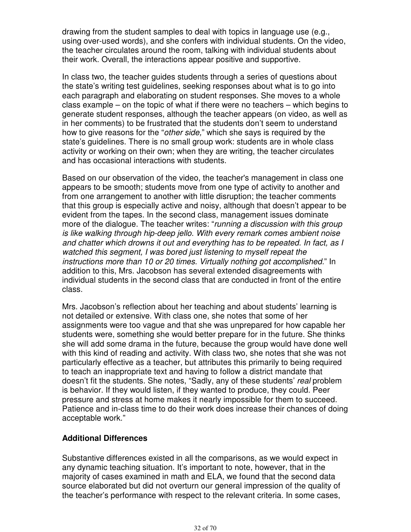drawing from the student samples to deal with topics in language use (e.g., using over-used words), and she confers with individual students. On the video, the teacher circulates around the room, talking with individual students about their work. Overall, the interactions appear positive and supportive.

In class two, the teacher guides students through a series of questions about the state's writing test guidelines, seeking responses about what is to go into each paragraph and elaborating on student responses. She moves to a whole class example – on the topic of what if there were no teachers – which begins to generate student responses, although the teacher appears (on video, as well as in her comments) to be frustrated that the students don't seem to understand how to give reasons for the "other side," which she says is required by the state's guidelines. There is no small group work: students are in whole class activity or working on their own; when they are writing, the teacher circulates and has occasional interactions with students.

Based on our observation of the video, the teacher's management in class one appears to be smooth; students move from one type of activity to another and from one arrangement to another with little disruption; the teacher comments that this group is especially active and noisy, although that doesn't appear to be evident from the tapes. In the second class, management issues dominate more of the dialogue. The teacher writes: "running a discussion with this group is like walking through hip-deep jello. With every remark comes ambient noise and chatter which drowns it out and everything has to be repeated. In fact, as I watched this segment, I was bored just listening to myself repeat the instructions more than 10 or 20 times. Virtually nothing got accomplished." In addition to this, Mrs. Jacobson has several extended disagreements with individual students in the second class that are conducted in front of the entire class.

Mrs. Jacobson's reflection about her teaching and about students' learning is not detailed or extensive. With class one, she notes that some of her assignments were too vague and that she was unprepared for how capable her students were, something she would better prepare for in the future. She thinks she will add some drama in the future, because the group would have done well with this kind of reading and activity. With class two, she notes that she was not particularly effective as a teacher, but attributes this primarily to being required to teach an inappropriate text and having to follow a district mandate that doesn't fit the students. She notes, "Sadly, any of these students' real problem is behavior. If they would listen, if they wanted to produce, they could. Peer pressure and stress at home makes it nearly impossible for them to succeed. Patience and in-class time to do their work does increase their chances of doing acceptable work."

#### **Additional Differences**

Substantive differences existed in all the comparisons, as we would expect in any dynamic teaching situation. It's important to note, however, that in the majority of cases examined in math and ELA, we found that the second data source elaborated but did not overturn our general impression of the quality of the teacher's performance with respect to the relevant criteria. In some cases,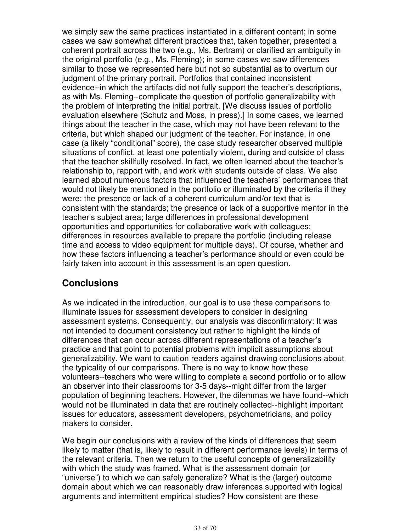we simply saw the same practices instantiated in a different content; in some cases we saw somewhat different practices that, taken together, presented a coherent portrait across the two (e.g., Ms. Bertram) or clarified an ambiguity in the original portfolio (e.g., Ms. Fleming); in some cases we saw differences similar to those we represented here but not so substantial as to overturn our judgment of the primary portrait. Portfolios that contained inconsistent evidence--in which the artifacts did not fully support the teacher's descriptions, as with Ms. Fleming--complicate the question of portfolio generalizability with the problem of interpreting the initial portrait. [We discuss issues of portfolio evaluation elsewhere (Schutz and Moss, in press).] In some cases, we learned things about the teacher in the case, which may not have been relevant to the criteria, but which shaped our judgment of the teacher. For instance, in one case (a likely "conditional" score), the case study researcher observed multiple situations of conflict, at least one potentially violent, during and outside of class that the teacher skillfully resolved. In fact, we often learned about the teacher's relationship to, rapport with, and work with students outside of class. We also learned about numerous factors that influenced the teachers' performances that would not likely be mentioned in the portfolio or illuminated by the criteria if they were: the presence or lack of a coherent curriculum and/or text that is consistent with the standards; the presence or lack of a supportive mentor in the teacher's subject area; large differences in professional development opportunities and opportunities for collaborative work with colleagues; differences in resources available to prepare the portfolio (including release time and access to video equipment for multiple days). Of course, whether and how these factors influencing a teacher's performance should or even could be fairly taken into account in this assessment is an open question.

# **Conclusions**

As we indicated in the introduction, our goal is to use these comparisons to illuminate issues for assessment developers to consider in designing assessment systems. Consequently, our analysis was disconfirmatory: It was not intended to document consistency but rather to highlight the kinds of differences that can occur across different representations of a teacher's practice and that point to potential problems with implicit assumptions about generalizability. We want to caution readers against drawing conclusions about the typicality of our comparisons. There is no way to know how these volunteers--teachers who were willing to complete a second portfolio or to allow an observer into their classrooms for 3-5 days--might differ from the larger population of beginning teachers. However, the dilemmas we have found--which would not be illuminated in data that are routinely collected--highlight important issues for educators, assessment developers, psychometricians, and policy makers to consider.

We begin our conclusions with a review of the kinds of differences that seem likely to matter (that is, likely to result in different performance levels) in terms of the relevant criteria. Then we return to the useful concepts of generalizability with which the study was framed. What is the assessment domain (or "universe") to which we can safely generalize? What is the (larger) outcome domain about which we can reasonably draw inferences supported with logical arguments and intermittent empirical studies? How consistent are these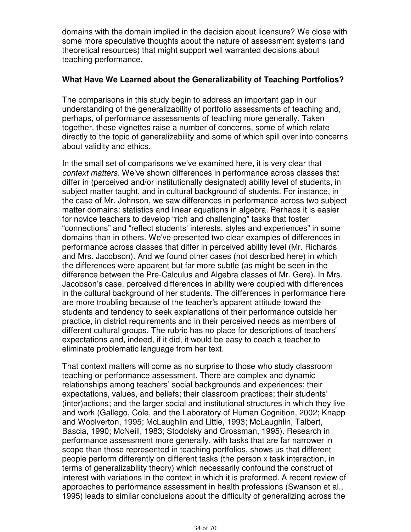domains with the domain implied in the decision about licensure? We close with some more speculative thoughts about the nature of assessment systems (and theoretical resources) that might support well warranted decisions about teaching performance.

#### **What Have We Learned about the Generalizability of Teaching Portfolios?**

The comparisons in this study begin to address an important gap in our understanding of the generalizability of portfolio assessments of teaching and, perhaps, of performance assessments of teaching more generally. Taken together, these vignettes raise a number of concerns, some of which relate directly to the topic of generalizability and some of which spill over into concerns about validity and ethics.

In the small set of comparisons we've examined here, it is very clear that context matters. We've shown differences in performance across classes that differ in (perceived and/or institutionally designated) ability level of students, in subject matter taught, and in cultural background of students. For instance, in the case of Mr. Johnson, we saw differences in performance across two subject matter domains: statistics and linear equations in algebra. Perhaps it is easier for novice teachers to develop "rich and challenging" tasks that foster "connections" and "reflect students' interests, styles and experiences" in some domains than in others. We've presented two clear examples of differences in performance across classes that differ in perceived ability level (Mr. Richards and Mrs. Jacobson). And we found other cases (not described here) in which the differences were apparent but far more subtle (as might be seen in the difference between the Pre-Calculus and Algebra classes of Mr. Gere). In Mrs. Jacobson's case, perceived differences in ability were coupled with differences in the cultural background of her students. The differences in performance here are more troubling because of the teacher's apparent attitude toward the students and tendency to seek explanations of their performance outside her practice, in district requirements and in their perceived needs as members of different cultural groups. The rubric has no place for descriptions of teachers' expectations and, indeed, if it did, it would be easy to coach a teacher to eliminate problematic language from her text.

That context matters will come as no surprise to those who study classroom teaching or performance assessment. There are complex and dynamic relationships among teachers' social backgrounds and experiences; their expectations, values, and beliefs; their classroom practices; their students' (inter)actions; and the larger social and institutional structures in which they live and work (Gallego, Cole, and the Laboratory of Human Cognition, 2002; Knapp and Woolverton, 1995; McLaughlin and Little, 1993; McLaughlin, Talbert, Bascia, 1990; McNeill, 1983; Stodolsky and Grossman, 1995). Research in performance assessment more generally, with tasks that are far narrower in scope than those represented in teaching portfolios, shows us that different people perform differently on different tasks (the person x task interaction, in terms of generalizability theory) which necessarily confound the construct of interest with variations in the context in which it is preformed. A recent review of approaches to performance assessment in health professions (Swanson et al., 1995) leads to similar conclusions about the difficulty of generalizing across the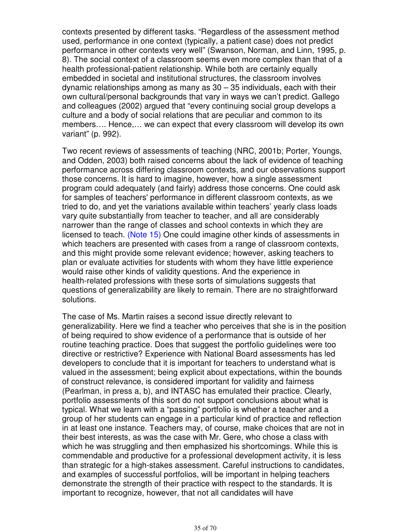contexts presented by different tasks. "Regardless of the assessment method used, performance in one context (typically, a patient case) does not predict performance in other contexts very well" (Swanson, Norman, and Linn, 1995, p. 8). The social context of a classroom seems even more complex than that of a health professional-patient relationship. While both are certainly equally embedded in societal and institutional structures, the classroom involves dynamic relationships among as many as 30 – 35 individuals, each with their own cultural/personal backgrounds that vary in ways we can't predict. Gallego and colleagues (2002) argued that "every continuing social group develops a culture and a body of social relations that are peculiar and common to its members…. Hence,… we can expect that every classroom will develop its own variant" (p. 992).

Two recent reviews of assessments of teaching (NRC, 2001b; Porter, Youngs, and Odden, 2003) both raised concerns about the lack of evidence of teaching performance across differing classroom contexts, and our observations support those concerns. It is hard to imagine, however, how a single assessment program could adequately (and fairly) address those concerns. One could ask for samples of teachers' performance in different classroom contexts, as we tried to do, and yet the variations available within teachers' yearly class loads vary quite substantially from teacher to teacher, and all are considerably narrower than the range of classes and school contexts in which they are licensed to teach. (Note 15) One could imagine other kinds of assessments in which teachers are presented with cases from a range of classroom contexts, and this might provide some relevant evidence; however, asking teachers to plan or evaluate activities for students with whom they have little experience would raise other kinds of validity questions. And the experience in health-related professions with these sorts of simulations suggests that questions of generalizability are likely to remain. There are no straightforward solutions.

The case of Ms. Martin raises a second issue directly relevant to generalizability. Here we find a teacher who perceives that she is in the position of being required to show evidence of a performance that is outside of her routine teaching practice. Does that suggest the portfolio guidelines were too directive or restrictive? Experience with National Board assessments has led developers to conclude that it is important for teachers to understand what is valued in the assessment; being explicit about expectations, within the bounds of construct relevance, is considered important for validity and fairness (Pearlman, in press a, b), and INTASC has emulated their practice. Clearly, portfolio assessments of this sort do not support conclusions about what is typical. What we learn with a "passing" portfolio is whether a teacher and a group of her students can engage in a particular kind of practice and reflection in at least one instance. Teachers may, of course, make choices that are not in their best interests, as was the case with Mr. Gere, who chose a class with which he was struggling and then emphasized his shortcomings. While this is commendable and productive for a professional development activity, it is less than strategic for a high-stakes assessment. Careful instructions to candidates, and examples of successful portfolios, will be important in helping teachers demonstrate the strength of their practice with respect to the standards. It is important to recognize, however, that not all candidates will have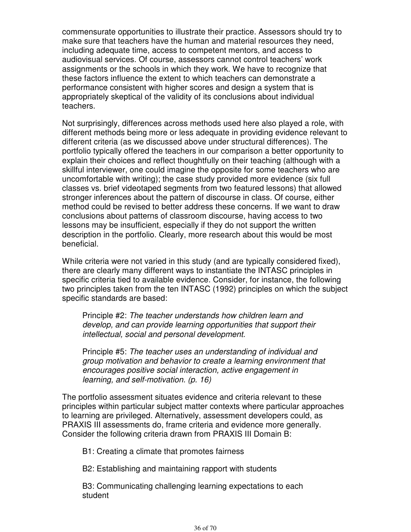commensurate opportunities to illustrate their practice. Assessors should try to make sure that teachers have the human and material resources they need, including adequate time, access to competent mentors, and access to audiovisual services. Of course, assessors cannot control teachers' work assignments or the schools in which they work. We have to recognize that these factors influence the extent to which teachers can demonstrate a performance consistent with higher scores and design a system that is appropriately skeptical of the validity of its conclusions about individual teachers.

Not surprisingly, differences across methods used here also played a role, with different methods being more or less adequate in providing evidence relevant to different criteria (as we discussed above under structural differences). The portfolio typically offered the teachers in our comparison a better opportunity to explain their choices and reflect thoughtfully on their teaching (although with a skillful interviewer, one could imagine the opposite for some teachers who are uncomfortable with writing); the case study provided more evidence (six full classes vs. brief videotaped segments from two featured lessons) that allowed stronger inferences about the pattern of discourse in class. Of course, either method could be revised to better address these concerns. If we want to draw conclusions about patterns of classroom discourse, having access to two lessons may be insufficient, especially if they do not support the written description in the portfolio. Clearly, more research about this would be most beneficial.

While criteria were not varied in this study (and are typically considered fixed), there are clearly many different ways to instantiate the INTASC principles in specific criteria tied to available evidence. Consider, for instance, the following two principles taken from the ten INTASC (1992) principles on which the subject specific standards are based:

Principle #2: The teacher understands how children learn and develop, and can provide learning opportunities that support their intellectual, social and personal development.

Principle #5: The teacher uses an understanding of individual and group motivation and behavior to create a learning environment that encourages positive social interaction, active engagement in learning, and self-motivation. (p. 16)

The portfolio assessment situates evidence and criteria relevant to these principles within particular subject matter contexts where particular approaches to learning are privileged. Alternatively, assessment developers could, as PRAXIS III assessments do, frame criteria and evidence more generally. Consider the following criteria drawn from PRAXIS III Domain B:

B1: Creating a climate that promotes fairness

B2: Establishing and maintaining rapport with students

B3: Communicating challenging learning expectations to each student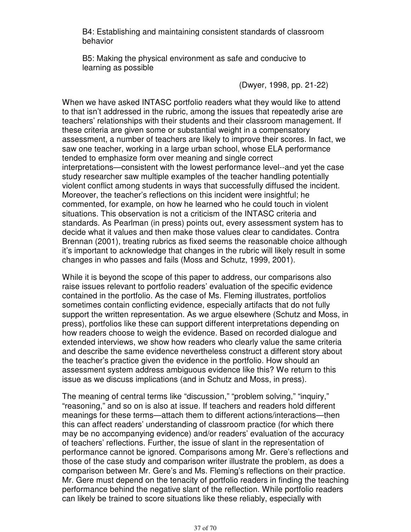B4: Establishing and maintaining consistent standards of classroom behavior

B5: Making the physical environment as safe and conducive to learning as possible

(Dwyer, 1998, pp. 21-22)

When we have asked INTASC portfolio readers what they would like to attend to that isn't addressed in the rubric, among the issues that repeatedly arise are teachers' relationships with their students and their classroom management. If these criteria are given some or substantial weight in a compensatory assessment, a number of teachers are likely to improve their scores. In fact, we saw one teacher, working in a large urban school, whose ELA performance tended to emphasize form over meaning and single correct interpretations—consistent with the lowest performance level--and yet the case study researcher saw multiple examples of the teacher handling potentially violent conflict among students in ways that successfully diffused the incident. Moreover, the teacher's reflections on this incident were insightful; he commented, for example, on how he learned who he could touch in violent situations. This observation is not a criticism of the INTASC criteria and standards. As Pearlman (in press) points out, every assessment system has to decide what it values and then make those values clear to candidates. Contra Brennan (2001), treating rubrics as fixed seems the reasonable choice although it's important to acknowledge that changes in the rubric will likely result in some changes in who passes and fails (Moss and Schutz, 1999, 2001).

While it is beyond the scope of this paper to address, our comparisons also raise issues relevant to portfolio readers' evaluation of the specific evidence contained in the portfolio. As the case of Ms. Fleming illustrates, portfolios sometimes contain conflicting evidence, especially artifacts that do not fully support the written representation. As we argue elsewhere (Schutz and Moss, in press), portfolios like these can support different interpretations depending on how readers choose to weigh the evidence. Based on recorded dialogue and extended interviews, we show how readers who clearly value the same criteria and describe the same evidence nevertheless construct a different story about the teacher's practice given the evidence in the portfolio. How should an assessment system address ambiguous evidence like this? We return to this issue as we discuss implications (and in Schutz and Moss, in press).

The meaning of central terms like "discussion," "problem solving," "inquiry," "reasoning," and so on is also at issue. If teachers and readers hold different meanings for these terms—attach them to different actions/interactions—then this can affect readers' understanding of classroom practice (for which there may be no accompanying evidence) and/or readers' evaluation of the accuracy of teachers' reflections. Further, the issue of slant in the representation of performance cannot be ignored. Comparisons among Mr. Gere's reflections and those of the case study and comparison writer illustrate the problem, as does a comparison between Mr. Gere's and Ms. Fleming's reflections on their practice. Mr. Gere must depend on the tenacity of portfolio readers in finding the teaching performance behind the negative slant of the reflection. While portfolio readers can likely be trained to score situations like these reliably, especially with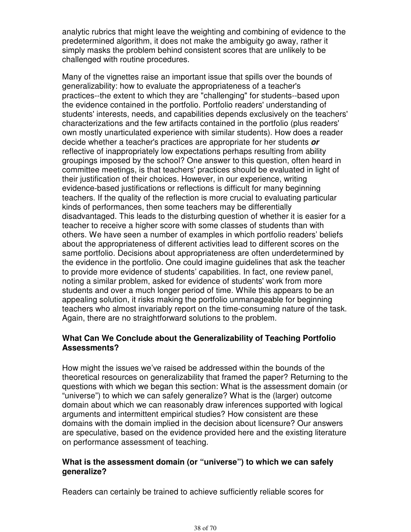analytic rubrics that might leave the weighting and combining of evidence to the predetermined algorithm, it does not make the ambiguity go away, rather it simply masks the problem behind consistent scores that are unlikely to be challenged with routine procedures.

Many of the vignettes raise an important issue that spills over the bounds of generalizability: how to evaluate the appropriateness of a teacher's practices--the extent to which they are "challenging" for students--based upon the evidence contained in the portfolio. Portfolio readers' understanding of students' interests, needs, and capabilities depends exclusively on the teachers' characterizations and the few artifacts contained in the portfolio (plus readers' own mostly unarticulated experience with similar students). How does a reader decide whether a teacher's practices are appropriate for her students **or** reflective of inappropriately low expectations perhaps resulting from ability groupings imposed by the school? One answer to this question, often heard in committee meetings, is that teachers' practices should be evaluated in light of their justification of their choices. However, in our experience, writing evidence-based justifications or reflections is difficult for many beginning teachers. If the quality of the reflection is more crucial to evaluating particular kinds of performances, then some teachers may be differentially disadvantaged. This leads to the disturbing question of whether it is easier for a teacher to receive a higher score with some classes of students than with others. We have seen a number of examples in which portfolio readers' beliefs about the appropriateness of different activities lead to different scores on the same portfolio. Decisions about appropriateness are often underdetermined by the evidence in the portfolio. One could imagine guidelines that ask the teacher to provide more evidence of students' capabilities. In fact, one review panel, noting a similar problem, asked for evidence of students' work from more students and over a much longer period of time. While this appears to be an appealing solution, it risks making the portfolio unmanageable for beginning teachers who almost invariably report on the time-consuming nature of the task. Again, there are no straightforward solutions to the problem.

#### **What Can We Conclude about the Generalizability of Teaching Portfolio Assessments?**

How might the issues we've raised be addressed within the bounds of the theoretical resources on generalizability that framed the paper? Returning to the questions with which we began this section: What is the assessment domain (or "universe") to which we can safely generalize? What is the (larger) outcome domain about which we can reasonably draw inferences supported with logical arguments and intermittent empirical studies? How consistent are these domains with the domain implied in the decision about licensure? Our answers are speculative, based on the evidence provided here and the existing literature on performance assessment of teaching.

#### **What is the assessment domain (or "universe") to which we can safely generalize?**

Readers can certainly be trained to achieve sufficiently reliable scores for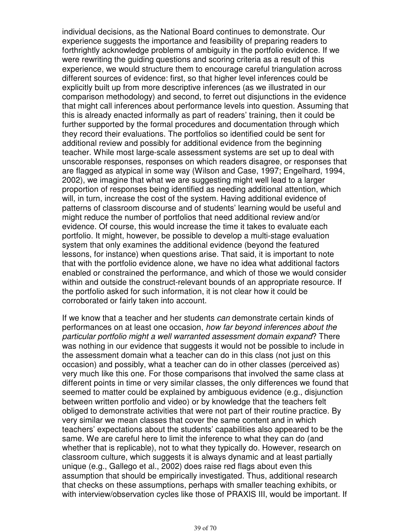individual decisions, as the National Board continues to demonstrate. Our experience suggests the importance and feasibility of preparing readers to forthrightly acknowledge problems of ambiguity in the portfolio evidence. If we were rewriting the guiding questions and scoring criteria as a result of this experience, we would structure them to encourage careful triangulation across different sources of evidence: first, so that higher level inferences could be explicitly built up from more descriptive inferences (as we illustrated in our comparison methodology) and second, to ferret out disjunctions in the evidence that might call inferences about performance levels into question. Assuming that this is already enacted informally as part of readers' training, then it could be further supported by the formal procedures and documentation through which they record their evaluations. The portfolios so identified could be sent for additional review and possibly for additional evidence from the beginning teacher. While most large-scale assessment systems are set up to deal with unscorable responses, responses on which readers disagree, or responses that are flagged as atypical in some way (Wilson and Case, 1997; Engelhard, 1994, 2002), we imagine that what we are suggesting might well lead to a larger proportion of responses being identified as needing additional attention, which will, in turn, increase the cost of the system. Having additional evidence of patterns of classroom discourse and of students' learning would be useful and might reduce the number of portfolios that need additional review and/or evidence. Of course, this would increase the time it takes to evaluate each portfolio. It might, however, be possible to develop a multi-stage evaluation system that only examines the additional evidence (beyond the featured lessons, for instance) when questions arise. That said, it is important to note that with the portfolio evidence alone, we have no idea what additional factors enabled or constrained the performance, and which of those we would consider within and outside the construct-relevant bounds of an appropriate resource. If the portfolio asked for such information, it is not clear how it could be corroborated or fairly taken into account.

If we know that a teacher and her students can demonstrate certain kinds of performances on at least one occasion, how far beyond inferences about the particular portfolio might a well warranted assessment domain expand? There was nothing in our evidence that suggests it would not be possible to include in the assessment domain what a teacher can do in this class (not just on this occasion) and possibly, what a teacher can do in other classes (perceived as) very much like this one. For those comparisons that involved the same class at different points in time or very similar classes, the only differences we found that seemed to matter could be explained by ambiguous evidence (e.g., disjunction between written portfolio and video) or by knowledge that the teachers felt obliged to demonstrate activities that were not part of their routine practice. By very similar we mean classes that cover the same content and in which teachers' expectations about the students' capabilities also appeared to be the same. We are careful here to limit the inference to what they can do (and whether that is replicable), not to what they typically do. However, research on classroom culture, which suggests it is always dynamic and at least partially unique (e.g., Gallego et al., 2002) does raise red flags about even this assumption that should be empirically investigated. Thus, additional research that checks on these assumptions, perhaps with smaller teaching exhibits, or with interview/observation cycles like those of PRAXIS III, would be important. If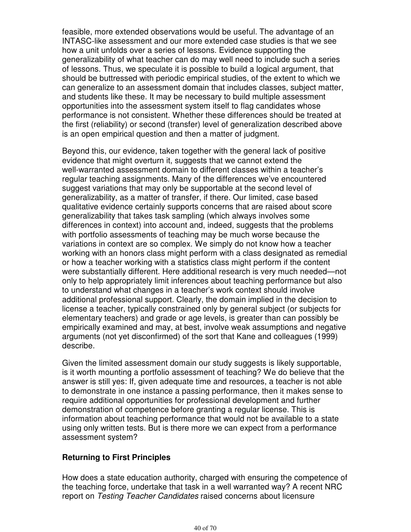feasible, more extended observations would be useful. The advantage of an INTASC-like assessment and our more extended case studies is that we see how a unit unfolds over a series of lessons. Evidence supporting the generalizability of what teacher can do may well need to include such a series of lessons. Thus, we speculate it is possible to build a logical argument, that should be buttressed with periodic empirical studies, of the extent to which we can generalize to an assessment domain that includes classes, subject matter, and students like these. It may be necessary to build multiple assessment opportunities into the assessment system itself to flag candidates whose performance is not consistent. Whether these differences should be treated at the first (reliability) or second (transfer) level of generalization described above is an open empirical question and then a matter of judgment.

Beyond this, our evidence, taken together with the general lack of positive evidence that might overturn it, suggests that we cannot extend the well-warranted assessment domain to different classes within a teacher's regular teaching assignments. Many of the differences we've encountered suggest variations that may only be supportable at the second level of generalizability, as a matter of transfer, if there. Our limited, case based qualitative evidence certainly supports concerns that are raised about score generalizability that takes task sampling (which always involves some differences in context) into account and, indeed, suggests that the problems with portfolio assessments of teaching may be much worse because the variations in context are so complex. We simply do not know how a teacher working with an honors class might perform with a class designated as remedial or how a teacher working with a statistics class might perform if the content were substantially different. Here additional research is very much needed—not only to help appropriately limit inferences about teaching performance but also to understand what changes in a teacher's work context should involve additional professional support. Clearly, the domain implied in the decision to license a teacher, typically constrained only by general subject (or subjects for elementary teachers) and grade or age levels, is greater than can possibly be empirically examined and may, at best, involve weak assumptions and negative arguments (not yet disconfirmed) of the sort that Kane and colleagues (1999) describe.

Given the limited assessment domain our study suggests is likely supportable, is it worth mounting a portfolio assessment of teaching? We do believe that the answer is still yes: If, given adequate time and resources, a teacher is not able to demonstrate in one instance a passing performance, then it makes sense to require additional opportunities for professional development and further demonstration of competence before granting a regular license. This is information about teaching performance that would not be available to a state using only written tests. But is there more we can expect from a performance assessment system?

#### **Returning to First Principles**

How does a state education authority, charged with ensuring the competence of the teaching force, undertake that task in a well warranted way? A recent NRC report on Testing Teacher Candidates raised concerns about licensure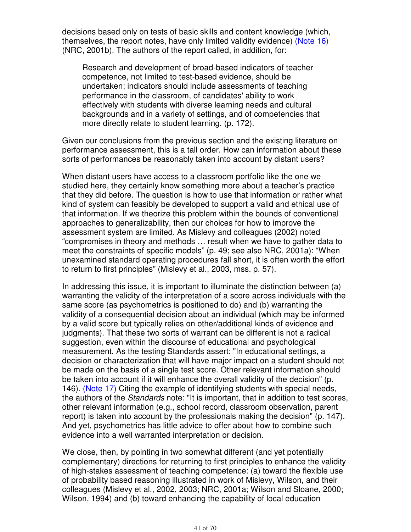decisions based only on tests of basic skills and content knowledge (which, themselves, the report notes, have only limited validity evidence) (Note 16) (NRC, 2001b). The authors of the report called, in addition, for:

Research and development of broad-based indicators of teacher competence, not limited to test-based evidence, should be undertaken; indicators should include assessments of teaching performance in the classroom, of candidates' ability to work effectively with students with diverse learning needs and cultural backgrounds and in a variety of settings, and of competencies that more directly relate to student learning. (p. 172).

Given our conclusions from the previous section and the existing literature on performance assessment, this is a tall order. How can information about these sorts of performances be reasonably taken into account by distant users?

When distant users have access to a classroom portfolio like the one we studied here, they certainly know something more about a teacher's practice that they did before. The question is how to use that information or rather what kind of system can feasibly be developed to support a valid and ethical use of that information. If we theorize this problem within the bounds of conventional approaches to generalizability, then our choices for how to improve the assessment system are limited. As Mislevy and colleagues (2002) noted "compromises in theory and methods … result when we have to gather data to meet the constraints of specific models" (p. 49; see also NRC, 2001a): "When unexamined standard operating procedures fall short, it is often worth the effort to return to first principles" (Mislevy et al., 2003, mss. p. 57).

In addressing this issue, it is important to illuminate the distinction between (a) warranting the validity of the interpretation of a score across individuals with the same score (as psychometrics is positioned to do) and (b) warranting the validity of a consequential decision about an individual (which may be informed by a valid score but typically relies on other/additional kinds of evidence and judgments). That these two sorts of warrant can be different is not a radical suggestion, even within the discourse of educational and psychological measurement. As the testing Standards assert: "In educational settings, a decision or characterization that will have major impact on a student should not be made on the basis of a single test score. Other relevant information should be taken into account if it will enhance the overall validity of the decision" (p. 146). (Note 17) Citing the example of identifying students with special needs, the authors of the Standards note: "It is important, that in addition to test scores, other relevant information (e.g., school record, classroom observation, parent report) is taken into account by the professionals making the decision" (p. 147). And yet, psychometrics has little advice to offer about how to combine such evidence into a well warranted interpretation or decision.

We close, then, by pointing in two somewhat different (and yet potentially complementary) directions for returning to first principles to enhance the validity of high-stakes assessment of teaching competence: (a) toward the flexible use of probability based reasoning illustrated in work of Mislevy, Wilson, and their colleagues (Mislevy et al., 2002, 2003; NRC, 2001a; Wilson and Sloane, 2000; Wilson, 1994) and (b) toward enhancing the capability of local education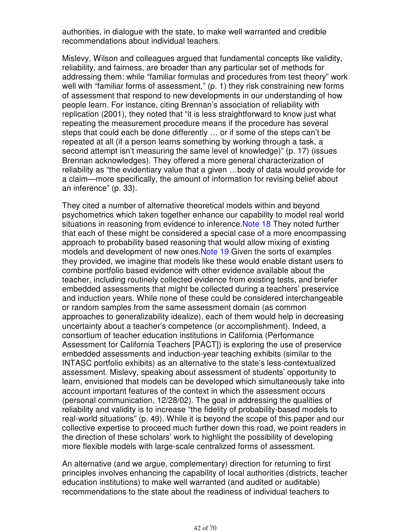authorities, in dialogue with the state, to make well warranted and credible recommendations about individual teachers.

Mislevy, Wilson and colleagues argued that fundamental concepts like validity, reliability, and fairness, are broader than any particular set of methods for addressing them: while "familiar formulas and procedures from test theory" work well with "familiar forms of assessment," (p. 1) they risk constraining new forms of assessment that respond to new developments in our understanding of how people learn. For instance, citing Brennan's association of reliability with replication (2001), they noted that "it is less straightforward to know just what repeating the measurement procedure means if the procedure has several steps that could each be done differently … or if some of the steps can't be repeated at all (if a person learns something by working through a task, a second attempt isn't measuring the same level of knowledge)" (p. 17) (issues Brennan acknowledges). They offered a more general characterization of reliability as "the evidentiary value that a given …body of data would provide for a claim—more specifically, the amount of information for revising belief about an inference" (p. 33).

They cited a number of alternative theoretical models within and beyond psychometrics which taken together enhance our capability to model real world situations in reasoning from evidence to inference.Note 18 They noted further that each of these might be considered a special case of a more encompassing approach to probability based reasoning that would allow mixing of existing models and development of new ones.Note 19 Given the sorts of examples they provided, we imagine that models like these would enable distant users to combine portfolio based evidence with other evidence available about the teacher, including routinely collected evidence from existing tests, and briefer embedded assessments that might be collected during a teachers' preservice and induction years. While none of these could be considered interchangeable or random samples from the same assessment domain (as common approaches to generalizability idealize), each of them would help in decreasing uncertainty about a teacher's competence (or accomplishment). Indeed, a consortium of teacher education institutions in California (Performance Assessment for California Teachers [PACT]) is exploring the use of preservice embedded assessments and induction-year teaching exhibits (similar to the INTASC portfolio exhibits) as an alternative to the state's less-contextualized assessment. Mislevy, speaking about assessment of students' opportunity to learn, envisioned that models can be developed which simultaneously take into account important features of the context in which the assessment occurs (personal communication, 12/28/02). The goal in addressing the qualities of reliability and validity is to increase "the fidelity of probability-based models to real-world situations" (p. 49). While it is beyond the scope of this paper and our collective expertise to proceed much further down this road, we point readers in the direction of these scholars' work to highlight the possibility of developing more flexible models with large-scale centralized forms of assessment.

An alternative (and we argue, complementary) direction for returning to first principles involves enhancing the capability of local authorities (districts, teacher education institutions) to make well warranted (and audited or auditable) recommendations to the state about the readiness of individual teachers to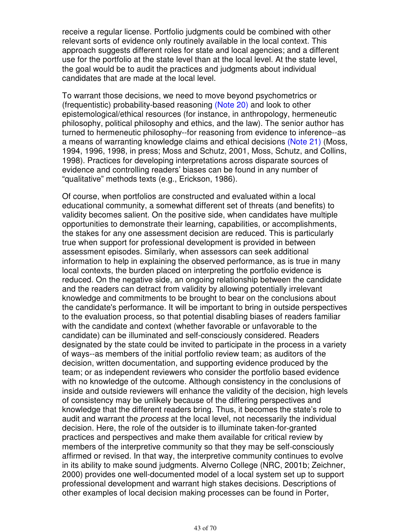receive a regular license. Portfolio judgments could be combined with other relevant sorts of evidence only routinely available in the local context. This approach suggests different roles for state and local agencies; and a different use for the portfolio at the state level than at the local level. At the state level, the goal would be to audit the practices and judgments about individual candidates that are made at the local level.

To warrant those decisions, we need to move beyond psychometrics or (frequentistic) probability-based reasoning (Note 20) and look to other epistemological/ethical resources (for instance, in anthropology, hermeneutic philosophy, political philosophy and ethics, and the law). The senior author has turned to hermeneutic philosophy--for reasoning from evidence to inference--as a means of warranting knowledge claims and ethical decisions (Note 21) (Moss, 1994, 1996, 1998, in press; Moss and Schutz, 2001, Moss, Schutz, and Collins, 1998). Practices for developing interpretations across disparate sources of evidence and controlling readers' biases can be found in any number of "qualitative" methods texts (e.g., Erickson, 1986).

Of course, when portfolios are constructed and evaluated within a local educational community, a somewhat different set of threats (and benefits) to validity becomes salient. On the positive side, when candidates have multiple opportunities to demonstrate their learning, capabilities, or accomplishments, the stakes for any one assessment decision are reduced. This is particularly true when support for professional development is provided in between assessment episodes. Similarly, when assessors can seek additional information to help in explaining the observed performance, as is true in many local contexts, the burden placed on interpreting the portfolio evidence is reduced. On the negative side, an ongoing relationship between the candidate and the readers can detract from validity by allowing potentially irrelevant knowledge and commitments to be brought to bear on the conclusions about the candidate's performance. It will be important to bring in outside perspectives to the evaluation process, so that potential disabling biases of readers familiar with the candidate and context (whether favorable or unfavorable to the candidate) can be illuminated and self-consciously considered. Readers designated by the state could be invited to participate in the process in a variety of ways--as members of the initial portfolio review team; as auditors of the decision, written documentation, and supporting evidence produced by the team; or as independent reviewers who consider the portfolio based evidence with no knowledge of the outcome. Although consistency in the conclusions of inside and outside reviewers will enhance the validity of the decision, high levels of consistency may be unlikely because of the differing perspectives and knowledge that the different readers bring. Thus, it becomes the state's role to audit and warrant the process at the local level, not necessarily the individual decision. Here, the role of the outsider is to illuminate taken-for-granted practices and perspectives and make them available for critical review by members of the interpretive community so that they may be self-consciously affirmed or revised. In that way, the interpretive community continues to evolve in its ability to make sound judgments. Alverno College (NRC, 2001b; Zeichner, 2000) provides one well-documented model of a local system set up to support professional development and warrant high stakes decisions. Descriptions of other examples of local decision making processes can be found in Porter,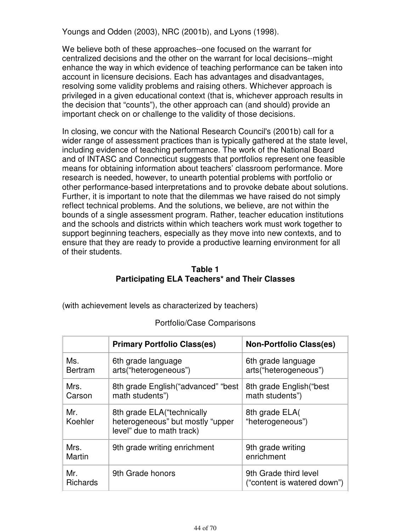Youngs and Odden (2003), NRC (2001b), and Lyons (1998).

We believe both of these approaches--one focused on the warrant for centralized decisions and the other on the warrant for local decisions--might enhance the way in which evidence of teaching performance can be taken into account in licensure decisions. Each has advantages and disadvantages, resolving some validity problems and raising others. Whichever approach is privileged in a given educational context (that is, whichever approach results in the decision that "counts"), the other approach can (and should) provide an important check on or challenge to the validity of those decisions.

In closing, we concur with the National Research Council's (2001b) call for a wider range of assessment practices than is typically gathered at the state level, including evidence of teaching performance. The work of the National Board and of INTASC and Connecticut suggests that portfolios represent one feasible means for obtaining information about teachers' classroom performance. More research is needed, however, to unearth potential problems with portfolio or other performance-based interpretations and to provoke debate about solutions. Further, it is important to note that the dilemmas we have raised do not simply reflect technical problems. And the solutions, we believe, are not within the bounds of a single assessment program. Rather, teacher education institutions and the schools and districts within which teachers work must work together to support beginning teachers, especially as they move into new contexts, and to ensure that they are ready to provide a productive learning environment for all of their students.

#### **Table 1 Participating ELA Teachers\* and Their Classes**

(with achievement levels as characterized by teachers)

|                        | <b>Primary Portfolio Class(es)</b>                                                            | <b>Non-Portfolio Class(es)</b>                       |
|------------------------|-----------------------------------------------------------------------------------------------|------------------------------------------------------|
| Ms.<br><b>Bertram</b>  | 6th grade language<br>arts("heterogeneous")                                                   | 6th grade language<br>arts("heterogeneous")          |
| Mrs.<br>Carson         | 8th grade English ("advanced" "best<br>math students")                                        | 8th grade English ("best<br>math students")          |
| Mr.<br>Koehler         | 8th grade ELA ("technically"<br>heterogeneous" but mostly "upper<br>level" due to math track) | 8th grade ELA<br>"heterogeneous")                    |
| Mrs.<br>Martin         | 9th grade writing enrichment                                                                  | 9th grade writing<br>enrichment                      |
| Mr.<br><b>Richards</b> | 9th Grade honors                                                                              | 9th Grade third level<br>("content is watered down") |

#### Portfolio/Case Comparisons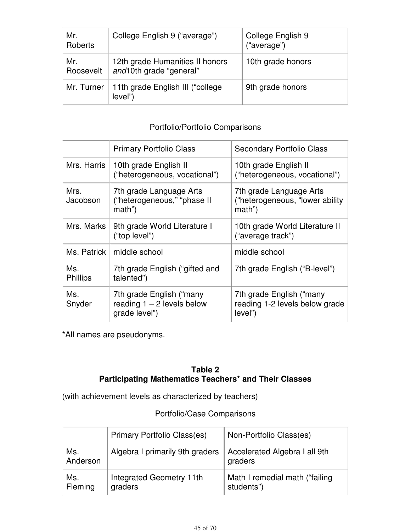| Mr.<br>Roberts   | College English 9 ("average")                              | College English 9<br>("average") |
|------------------|------------------------------------------------------------|----------------------------------|
| Mr.<br>Roosevelt | 12th grade Humanities II honors<br>and10th grade "general" | 10th grade honors                |
| Mr. Turner       | 11th grade English III ("college<br>level")                | 9th grade honors                 |

# Portfolio/Portfolio Comparisons

|                        | <b>Primary Portfolio Class</b>                                             | <b>Secondary Portfolio Class</b>                                       |
|------------------------|----------------------------------------------------------------------------|------------------------------------------------------------------------|
| Mrs. Harris            | 10th grade English II<br>("heterogeneous, vocational")                     | 10th grade English II<br>("heterogeneous, vocational")                 |
| Mrs.<br>Jacobson       | 7th grade Language Arts<br>("heterogeneous," "phase II<br>math")           | 7th grade Language Arts<br>("heterogeneous, "lower ability<br>math")   |
| Mrs. Marks             | 9th grade World Literature I<br>("top level")                              | 10th grade World Literature II<br>("average track")                    |
| Ms. Patrick            | middle school                                                              | middle school                                                          |
| Ms.<br><b>Phillips</b> | 7th grade English ("gifted and<br>talented")                               | 7th grade English ("B-level")                                          |
| Ms.<br>Snyder          | 7th grade English ("many"<br>reading $1 - 2$ levels below<br>grade level") | 7th grade English ("many"<br>reading 1-2 levels below grade<br>level") |

\*All names are pseudonyms.

# **Table 2 Participating Mathematics Teachers\* and Their Classes**

(with achievement levels as characterized by teachers)

# Portfolio/Case Comparisons

|                 | <b>Primary Portfolio Class(es)</b>  | Non-Portfolio Class(es)                       |
|-----------------|-------------------------------------|-----------------------------------------------|
| Ms.<br>Anderson | Algebra I primarily 9th graders     | Accelerated Algebra I all 9th<br>graders      |
| Ms.<br>Fleming  | Integrated Geometry 11th<br>graders | Math I remedial math ("failing"<br>students") |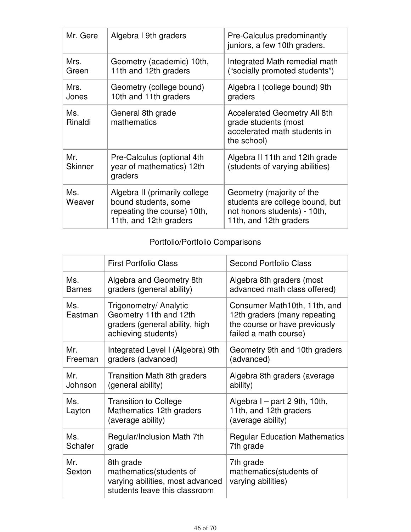| Mr. Gere              | Algebra I 9th graders                                                                                          | Pre-Calculus predominantly<br>juniors, a few 10th graders.                                                             |
|-----------------------|----------------------------------------------------------------------------------------------------------------|------------------------------------------------------------------------------------------------------------------------|
| Mrs.<br>Green         | Geometry (academic) 10th,<br>11th and 12th graders                                                             | Integrated Math remedial math<br>("socially promoted students")                                                        |
| Mrs.<br>Jones         | Geometry (college bound)<br>10th and 11th graders                                                              | Algebra I (college bound) 9th<br>graders                                                                               |
| Ms.<br>Rinaldi        | General 8th grade<br>mathematics                                                                               | <b>Accelerated Geometry All 8th</b><br>grade students (most<br>accelerated math students in<br>the school)             |
| Mr.<br><b>Skinner</b> | Pre-Calculus (optional 4th<br>year of mathematics) 12th<br>graders                                             | Algebra II 11th and 12th grade<br>(students of varying abilities)                                                      |
| Ms.<br>Weaver         | Algebra II (primarily college<br>bound students, some<br>repeating the course) 10th,<br>11th, and 12th graders | Geometry (majority of the<br>students are college bound, but<br>not honors students) - 10th,<br>11th, and 12th graders |

# Portfolio/Portfolio Comparisons

|                | <b>First Portfolio Class</b>                                                                              | <b>Second Portfolio Class</b>                                                                                          |
|----------------|-----------------------------------------------------------------------------------------------------------|------------------------------------------------------------------------------------------------------------------------|
| Ms.            | Algebra and Geometry 8th                                                                                  | Algebra 8th graders (most                                                                                              |
| <b>Barnes</b>  | graders (general ability)                                                                                 | advanced math class offered)                                                                                           |
| Ms.<br>Eastman | Trigonometry/ Analytic<br>Geometry 11th and 12th<br>graders (general ability, high<br>achieving students) | Consumer Math10th, 11th, and<br>12th graders (many repeating<br>the course or have previously<br>failed a math course) |
| Mr.            | Integrated Level I (Algebra) 9th                                                                          | Geometry 9th and 10th graders                                                                                          |
| Freeman        | graders (advanced)                                                                                        | (advanced)                                                                                                             |
| Mr.            | <b>Transition Math 8th graders</b>                                                                        | Algebra 8th graders (average                                                                                           |
| Johnson        | (general ability)                                                                                         | ability)                                                                                                               |
| Ms.<br>Layton  | <b>Transition to College</b><br>Mathematics 12th graders<br>(average ability)                             | Algebra I – part 2 9th, 10th,<br>11th, and 12th graders<br>(average ability)                                           |
| Ms.            | Regular/Inclusion Math 7th                                                                                | <b>Regular Education Mathematics</b>                                                                                   |
| Schafer        | grade                                                                                                     | 7th grade                                                                                                              |
| Mr.<br>Sexton  | 8th grade<br>mathematics(students of<br>varying abilities, most advanced<br>students leave this classroom | 7th grade<br>mathematics (students of<br>varying abilities)                                                            |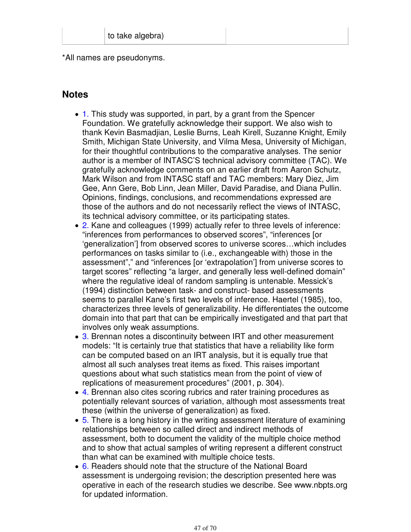\*All names are pseudonyms.

# **Notes**

- 1. This study was supported, in part, by a grant from the Spencer Foundation. We gratefully acknowledge their support. We also wish to thank Kevin Basmadjian, Leslie Burns, Leah Kirell, Suzanne Knight, Emily Smith, Michigan State University, and Vilma Mesa, University of Michigan, for their thoughtful contributions to the comparative analyses. The senior author is a member of INTASC'S technical advisory committee (TAC). We gratefully acknowledge comments on an earlier draft from Aaron Schutz, Mark Wilson and from INTASC staff and TAC members: Mary Diez, Jim Gee, Ann Gere, Bob Linn, Jean Miller, David Paradise, and Diana Pullin. Opinions, findings, conclusions, and recommendations expressed are those of the authors and do not necessarily reflect the views of INTASC, its technical advisory committee, or its participating states.
- 2. Kane and colleagues (1999) actually refer to three levels of inference: "inferences from performances to observed scores", "inferences [or 'generalization'] from observed scores to universe scores…which includes performances on tasks similar to (i.e., exchangeable with) those in the assessment"," and "inferences [or 'extrapolation'] from universe scores to target scores" reflecting "a larger, and generally less well-defined domain" where the regulative ideal of random sampling is untenable. Messick's (1994) distinction between task- and construct- based assessments seems to parallel Kane's first two levels of inference. Haertel (1985), too, characterizes three levels of generalizability. He differentiates the outcome domain into that part that can be empirically investigated and that part that involves only weak assumptions.
- 3. Brennan notes a discontinuity between IRT and other measurement models: "It is certainly true that statistics that have a reliability like form can be computed based on an IRT analysis, but it is equally true that almost all such analyses treat items as fixed. This raises important questions about what such statistics mean from the point of view of replications of measurement procedures" (2001, p. 304).
- 4. Brennan also cites scoring rubrics and rater training procedures as potentially relevant sources of variation, although most assessments treat these (within the universe of generalization) as fixed.
- 5. There is a long history in the writing assessment literature of examining relationships between so called direct and indirect methods of assessment, both to document the validity of the multiple choice method and to show that actual samples of writing represent a different construct than what can be examined with multiple choice tests.
- 6. Readers should note that the structure of the National Board assessment is undergoing revision; the description presented here was operative in each of the research studies we describe. See www.nbpts.org for updated information.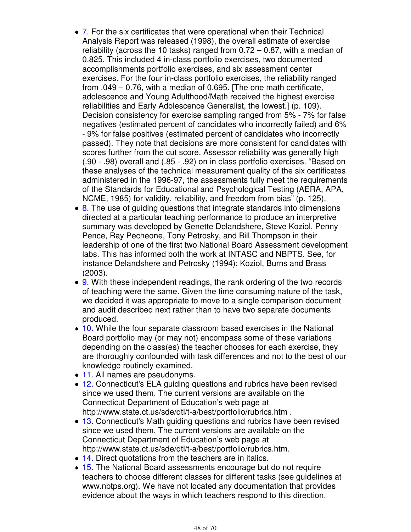- 7. For the six certificates that were operational when their Technical Analysis Report was released (1998), the overall estimate of exercise reliability (across the 10 tasks) ranged from  $0.72 - 0.87$ , with a median of 0.825. This included 4 in-class portfolio exercises, two documented accomplishments portfolio exercises, and six assessment center exercises. For the four in-class portfolio exercises, the reliability ranged from .049 – 0.76, with a median of 0.695. [The one math certificate, adolescence and Young Adulthood/Math received the highest exercise reliabilities and Early Adolescence Generalist, the lowest.] (p. 109). Decision consistency for exercise sampling ranged from 5% - 7% for false negatives (estimated percent of candidates who incorrectly failed) and 6% - 9% for false positives (estimated percent of candidates who incorrectly passed). They note that decisions are more consistent for candidates with scores further from the cut score. Assessor reliability was generally high (.90 - .98) overall and (.85 - .92) on in class portfolio exercises. "Based on these analyses of the technical measurement quality of the six certificates administered in the 1996-97, the assessments fully meet the requirements of the Standards for Educational and Psychological Testing (AERA, APA, NCME, 1985) for validity, reliability, and freedom from bias" (p. 125).
- 8. The use of quiding questions that integrate standards into dimensions directed at a particular teaching performance to produce an interpretive summary was developed by Genette Delandshere, Steve Koziol, Penny Pence, Ray Pecheone, Tony Petrosky, and Bill Thompson in their leadership of one of the first two National Board Assessment development labs. This has informed both the work at INTASC and NBPTS. See, for instance Delandshere and Petrosky (1994); Koziol, Burns and Brass (2003).
- 9. With these independent readings, the rank ordering of the two records of teaching were the same. Given the time consuming nature of the task, we decided it was appropriate to move to a single comparison document and audit described next rather than to have two separate documents produced.
- 10. While the four separate classroom based exercises in the National Board portfolio may (or may not) encompass some of these variations depending on the class(es) the teacher chooses for each exercise, they are thoroughly confounded with task differences and not to the best of our knowledge routinely examined.
- 11. All names are pseudonyms.
- 12. Connecticut's ELA guiding questions and rubrics have been revised since we used them. The current versions are available on the Connecticut Department of Education's web page at http://www.state.ct.us/sde/dtl/t-a/best/portfolio/rubrics.htm .
- 13. Connecticut's Math guiding questions and rubrics have been revised since we used them. The current versions are available on the Connecticut Department of Education's web page at http://www.state.ct.us/sde/dtl/t-a/best/portfolio/rubrics.htm.
- 14. Direct quotations from the teachers are in italics.
- 15. The National Board assessments encourage but do not require teachers to choose different classes for different tasks (see guidelines at www.nbtps.org). We have not located any documentation that provides evidence about the ways in which teachers respond to this direction,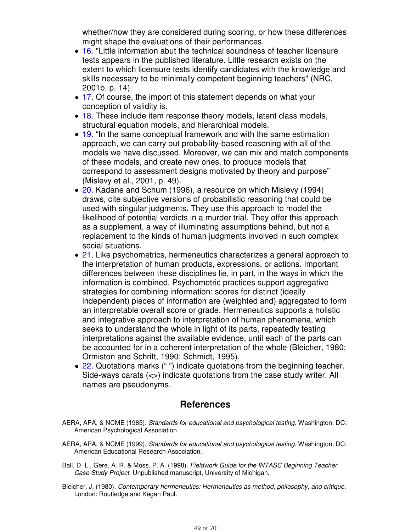whether/how they are considered during scoring, or how these differences might shape the evaluations of their performances.

- 16. "Little information abut the technical soundness of teacher licensure tests appears in the published literature. Little research exists on the extent to which licensure tests identify candidates with the knowledge and skills necessary to be minimally competent beginning teachers" (NRC, 2001b, p. 14).
- 17. Of course, the import of this statement depends on what your conception of validity is.
- 18. These include item response theory models, latent class models, structural equation models, and hierarchical models.
- 19. "In the same conceptual framework and with the same estimation approach, we can carry out probability-based reasoning with all of the models we have discussed. Moreover, we can mix and match components of these models, and create new ones, to produce models that correspond to assessment designs motivated by theory and purpose" (Mislevy et al., 2001, p. 49).
- 20. Kadane and Schum (1996), a resource on which Mislevy (1994) draws, cite subjective versions of probabilistic reasoning that could be used with singular judgments. They use this approach to model the likelihood of potential verdicts in a murder trial. They offer this approach as a supplement, a way of illuminating assumptions behind, but not a replacement to the kinds of human judgments involved in such complex social situations.
- 21. Like psychometrics, hermeneutics characterizes a general approach to the interpretation of human products, expressions, or actions. Important differences between these disciplines lie, in part, in the ways in which the information is combined. Psychometric practices support aggregative strategies for combining information: scores for distinct (ideally independent) pieces of information are (weighted and) aggregated to form an interpretable overall score or grade. Hermeneutics supports a holistic and integrative approach to interpretation of human phenomena, which seeks to understand the whole in light of its parts, repeatedly testing interpretations against the available evidence, until each of the parts can be accounted for in a coherent interpretation of the whole (Bleicher, 1980; Ormiston and Schrift, 1990; Schmidt, 1995).
- 22. Quotations marks ("") indicate quotations from the beginning teacher. Side-ways carats (<>) indicate quotations from the case study writer. All names are pseudonyms.

# **References**

- AERA, APA, & NCME (1985). Standards for educational and psychological testing. Washington, DC: American Psychological Association.
- AERA, APA, & NCME (1999). Standards for educational and psychological testing. Washington, DC: American Educational Research Association.
- Ball, D. L., Gere, A. R. & Moss, P. A. (1998). Fieldwork Guide for the INTASC Beginning Teacher Case Study Project. Unpublished manuscript, University of Michigan.
- Bleicher, J. (1980). Contemporary hermeneutics: Hermeneutics as method, philosophy, and critique. London: Routledge and Kegan Paul.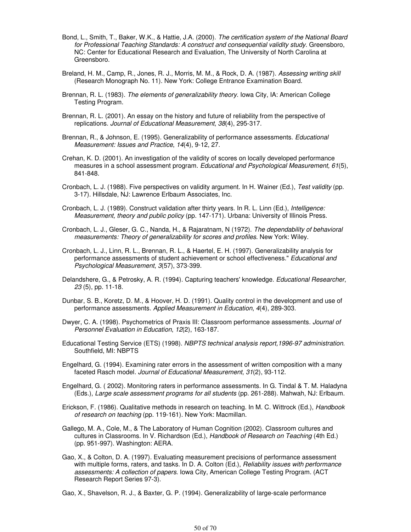- Bond, L., Smith, T., Baker, W.K., & Hattie, J.A. (2000). The certification system of the National Board for Professional Teaching Standards: A construct and consequential validity study. Greensboro, NC: Center for Educational Research and Evaluation, The University of North Carolina at Greensboro.
- Breland, H. M., Camp, R., Jones, R. J., Morris, M. M., & Rock, D. A. (1987). Assessing writing skill (Research Monograph No. 11). New York: College Entrance Examination Board.
- Brennan, R. L. (1983). The elements of generalizability theory. Iowa City, IA: American College Testing Program.
- Brennan, R. L. (2001). An essay on the history and future of reliability from the perspective of replications. Journal of Educational Measurement, 38(4), 295-317.
- Brennan, R., & Johnson, E. (1995). Generalizability of performance assessments. Educational Measurement: Issues and Practice, 14(4), 9-12, 27.
- Crehan, K. D. (2001). An investigation of the validity of scores on locally developed performance measures in a school assessment program. Educational and Psychological Measurement, 61(5), 841-848.
- Cronbach, L. J. (1988). Five perspectives on validity argument. In H. Wainer (Ed.), Test validity (pp. 3-17). Hillsdale, NJ: Lawrence Erlbaum Associates, Inc.
- Cronbach, L. J. (1989). Construct validation after thirty years. In R. L. Linn (Ed.), Intelligence: Measurement, theory and public policy (pp. 147-171). Urbana: University of Illinois Press.
- Cronbach, L. J., Gleser, G. C., Nanda, H., & Rajaratnam, N (1972). The dependability of behavioral measurements: Theory of generalizability for scores and profiles. New York: Wiley.
- Cronbach, L. J., Linn, R. L., Brennan, R. L., & Haertel, E. H. (1997). Generalizability analysis for performance assessments of student achievement or school effectiveness." Educational and Psychological Measurement, 3(57), 373-399.
- Delandshere, G., & Petrosky, A. R. (1994). Capturing teachers' knowledge. Educational Researcher, 23 (5), pp. 11-18.
- Dunbar, S. B., Koretz, D. M., & Hoover, H. D. (1991). Quality control in the development and use of performance assessments. Applied Measurement in Education, 4(4), 289-303.
- Dwyer, C. A. (1998). Psychometrics of Praxis III: Classroom performance assessments. Journal of Personnel Evaluation in Education, 12(2), 163-187.
- Educational Testing Service (ETS) (1998). NBPTS technical analysis report,1996-97 administration. Southfield, MI: NBPTS
- Engelhard, G. (1994). Examining rater errors in the assessment of written composition with a many faceted Rasch model. Journal of Educational Measurement, 31(2), 93-112.
- Engelhard, G. ( 2002). Monitoring raters in performance assessments. In G. Tindal & T. M. Haladyna (Eds.), Large scale assessment programs for all students (pp. 261-288). Mahwah, NJ: Erlbaum.
- Erickson, F. (1986). Qualitative methods in research on teaching. In M. C. Wittrock (Ed.), Handbook of research on teaching (pp. 119-161). New York: Macmillan.
- Gallego, M. A., Cole, M., & The Laboratory of Human Cognition (2002). Classroom cultures and cultures in Classrooms. In V. Richardson (Ed.), Handbook of Research on Teaching (4th Ed.) (pp. 951-997). Washington: AERA.
- Gao, X., & Colton, D. A. (1997). Evaluating measurement precisions of performance assessment with multiple forms, raters, and tasks. In D. A. Colton (Ed.), *Reliability issues with performance* assessments: A collection of papers. Iowa City, American College Testing Program. (ACT Research Report Series 97-3).
- Gao, X., Shavelson, R. J., & Baxter, G. P. (1994). Generalizability of large-scale performance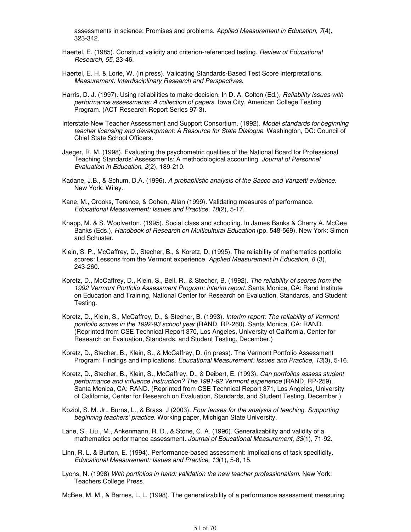assessments in science: Promises and problems. Applied Measurement in Education, 7(4), 323-342.

- Haertel, E. (1985). Construct validity and criterion-referenced testing. Review of Educational Research, 55, 23-46.
- Haertel, E. H. & Lorie, W. (in press). Validating Standards-Based Test Score interpretations. Measurement: Interdisciplinary Research and Perspectives.
- Harris, D. J. (1997). Using reliabilities to make decision. In D. A. Colton (Ed.), Reliability issues with performance assessments: A collection of papers. Iowa City, American College Testing Program. (ACT Research Report Series 97-3).
- Interstate New Teacher Assessment and Support Consortium. (1992). Model standards for beginning teacher licensing and development: A Resource for State Dialogue. Washington, DC: Council of Chief State School Officers.
- Jaeger, R. M. (1998). Evaluating the psychometric qualities of the National Board for Professional Teaching Standards' Assessments: A methodological accounting. Journal of Personnel Evaluation in Education, 2(2), 189-210.
- Kadane, J.B., & Schum, D.A. (1996). A probabilistic analysis of the Sacco and Vanzetti evidence. New York: Wiley.
- Kane, M., Crooks, Terence, & Cohen, Allan (1999). Validating measures of performance. Educational Measurement: Issues and Practice, 18(2), 5-17.
- Knapp, M. & S. Woolverton. (1995). Social class and schooling. In James Banks & Cherry A. McGee Banks (Eds.), Handbook of Research on Multicultural Education (pp. 548-569). New York: Simon and Schuster.
- Klein, S. P., McCaffrey, D., Stecher, B., & Koretz, D. (1995). The reliability of mathematics portfolio scores: Lessons from the Vermont experience. Applied Measurement in Education, 8(3), 243-260.
- Koretz, D., McCaffrey, D., Klein, S., Bell, R., & Stecher, B. (1992). The reliability of scores from the 1992 Vermont Portfolio Assessment Program: Interim report. Santa Monica, CA: Rand Institute on Education and Training, National Center for Research on Evaluation, Standards, and Student Testing.
- Koretz, D., Klein, S., McCaffrey, D., & Stecher, B. (1993). Interim report: The reliability of Vermont portfolio scores in the 1992-93 school year (RAND, RP-260). Santa Monica, CA: RAND. (Reprinted from CSE Technical Report 370, Los Angeles, University of California, Center for Research on Evaluation, Standards, and Student Testing, December.)
- Koretz, D., Stecher, B., Klein, S., & McCaffrey, D. (in press). The Vermont Portfolio Assessment Program: Findings and implications. Educational Measurement: Issues and Practice, 13(3), 5-16.
- Koretz, D., Stecher, B., Klein, S., McCaffrey, D., & Deibert, E. (1993). Can portfolios assess student performance and influence instruction? The 1991-92 Vermont experience (RAND, RP-259). Santa Monica, CA: RAND. (Reprinted from CSE Technical Report 371, Los Angeles, University of California, Center for Research on Evaluation, Standards, and Student Testing, December.)
- Koziol, S. M. Jr., Burns, L., & Brass, J (2003). Four lenses for the analysis of teaching. Supporting beginning teachers' practice. Working paper, Michigan State University.
- Lane, S.. Liu., M., Ankenmann, R. D., & Stone, C. A. (1996). Generalizability and validity of a mathematics performance assessment. Journal of Educational Measurement, 33(1), 71-92.
- Linn, R. L. & Burton, E. (1994). Performance-based assessment: Implications of task specificity. Educational Measurement: Issues and Practice, 13(1), 5-8, 15.
- Lyons, N. (1998) With portfolios in hand: validation the new teacher professionalism. New York: Teachers College Press.

McBee, M. M., & Barnes, L. L. (1998). The generalizability of a performance assessment measuring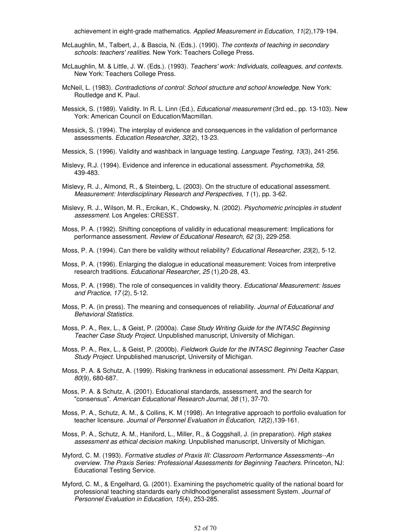achievement in eight-grade mathematics. Applied Measurement in Education, 11(2),179-194.

- McLaughlin, M., Talbert, J., & Bascia, N. (Eds.). (1990). The contexts of teaching in secondary schools: teachers' realities. New York: Teachers College Press.
- McLaughlin, M. & Little, J. W. (Eds.). (1993). Teachers' work: Individuals, colleagues, and contexts. New York: Teachers College Press.
- McNeil, L. (1983). Contradictions of control: School structure and school knowledge. New York: Routledge and K. Paul.
- Messick, S. (1989). Validity. In R. L. Linn (Ed.), Educational measurement (3rd ed., pp. 13-103). New York: American Council on Education/Macmillan.
- Messick, S. (1994). The interplay of evidence and consequences in the validation of performance assessments. Education Researcher, 32(2), 13-23.
- Messick, S. (1996). Validity and washback in language testing. Language Testing, 13(3), 241-256.
- Mislevy, R.J. (1994). Evidence and inference in educational assessment. Psychometrika, 59, 439-483.
- Mislevy, R. J., Almond, R., & Steinberg, L. (2003). On the structure of educational assessment. Measurement: Interdisciplinary Research and Perspectives, 1 (1), pp. 3-62.
- Mislevy, R. J., Wilson, M. R., Ercikan, K., Chdowsky, N. (2002). Psychometric principles in student assessment. Los Angeles: CRESST.
- Moss, P. A. (1992). Shifting conceptions of validity in educational measurement: Implications for performance assessment. Review of Educational Research, 62 (3), 229-258.
- Moss, P. A. (1994). Can there be validity without reliability? Educational Researcher, 23(2), 5-12.
- Moss, P. A. (1996). Enlarging the dialogue in educational measurement: Voices from interpretive research traditions. Educational Researcher, 25 (1),20-28, 43.
- Moss, P. A. (1998). The role of consequences in validity theory. Educational Measurement: Issues and Practice, 17 (2), 5-12.
- Moss, P. A. (in press). The meaning and consequences of reliability. Journal of Educational and Behavioral Statistics.
- Moss, P. A., Rex, L., & Geist, P. (2000a). Case Study Writing Guide for the INTASC Beginning Teacher Case Study Project. Unpublished manuscript, University of Michigan.
- Moss, P. A., Rex, L., & Geist, P. (2000b). Fieldwork Guide for the INTASC Beginning Teacher Case Study Project. Unpublished manuscript, University of Michigan.
- Moss, P. A. & Schutz, A. (1999). Risking frankness in educational assessment. Phi Delta Kappan, 80(9), 680-687.
- Moss, P. A. & Schutz, A. (2001). Educational standards, assessment, and the search for "consensus". American Educational Research Journal, 38 (1), 37-70.
- Moss, P. A., Schutz, A. M., & Collins, K. M (1998). An Integrative approach to portfolio evaluation for teacher licensure. Journal of Personnel Evaluation in Education, 12(2),139-161.
- Moss, P. A., Schutz, A. M., Haniford, L., Miller, R., & Coggshall, J. (in preparation). High stakes assessment as ethical decision making. Unpublished manuscript, University of Michigan.
- Myford, C. M. (1993). Formative studies of Praxis III: Classroom Performance Assessments--An overview. The Praxis Series: Professional Assessments for Beginning Teachers. Princeton, NJ: Educational Testing Service.
- Myford, C. M., & Engelhard, G. (2001). Examining the psychometric quality of the national board for professional teaching standards early childhood/generalist assessment System. Journal of Personnel Evaluation in Education, 15(4), 253-285.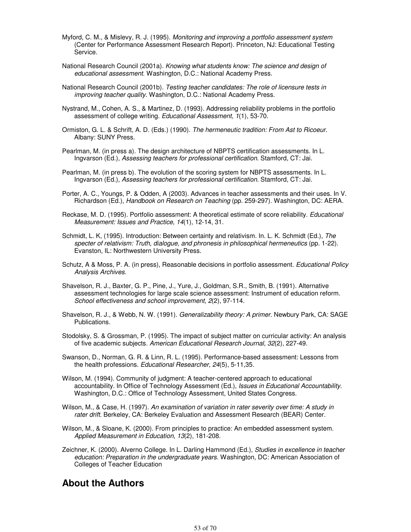- Myford, C. M., & Mislevy, R. J. (1995). Monitoring and improving a portfolio assessment system (Center for Performance Assessment Research Report). Princeton, NJ: Educational Testing Service.
- National Research Council (2001a). Knowing what students know: The science and design of educational assessment. Washington, D.C.: National Academy Press.
- National Research Council (2001b). Testing teacher candidates: The role of licensure tests in improving teacher quality. Washington, D.C.: National Academy Press.
- Nystrand, M., Cohen, A. S., & Martinez, D. (1993). Addressing reliability problems in the portfolio assessment of college writing. Educational Assessment, 1(1), 53-70.
- Ormiston, G. L. & Schrift, A. D. (Eds.) (1990). The hermeneutic tradition: From Ast to Ricoeur. Albany: SUNY Press.
- Pearlman, M. (in press a). The design architecture of NBPTS certification assessments. In L. Ingvarson (Ed.), Assessing teachers for professional certification. Stamford, CT: Jai.
- Pearlman, M. (in press b). The evolution of the scoring system for NBPTS assessments. In L. Ingvarson (Ed.), Assessing teachers for professional certification. Stamford, CT: Jai.
- Porter, A. C., Youngs, P. & Odden, A (2003). Advances in teacher assessments and their uses. In V. Richardson (Ed.), Handbook on Research on Teaching (pp. 259-297). Washington, DC: AERA.
- Reckase, M. D. (1995). Portfolio assessment: A theoretical estimate of score reliability. Educational Measurement: Issues and Practice, 14(1), 12-14, 31.
- Schmidt, L. K, (1995). Introduction: Between certainty and relativism. In. L. K. Schmidt (Ed.), The specter of relativism: Truth, dialogue, and phronesis in philosophical hermeneutics (pp. 1-22). Evanston, IL: Northwestern University Press.
- Schutz, A & Moss, P. A. (in press), Reasonable decisions in portfolio assessment. Educational Policy Analysis Archives.
- Shavelson, R. J., Baxter, G. P., Pine, J., Yure, J., Goldman, S.R., Smith, B. (1991). Alternative assessment technologies for large scale science assessment: Instrument of education reform. School effectiveness and school improvement, 2(2), 97-114.
- Shavelson, R. J., & Webb, N. W. (1991). Generalizability theory: A primer. Newbury Park, CA: SAGE Publications.
- Stodolsky, S. & Grossman, P. (1995). The impact of subject matter on curricular activity: An analysis of five academic subjects. American Educational Research Journal, 32(2), 227-49.
- Swanson, D., Norman, G. R. & Linn, R. L. (1995). Performance-based assessment: Lessons from the health professions. Educational Researcher, 24(5), 5-11,35.
- Wilson, M. (1994). Community of judgment: A teacher-centered approach to educational accountability. In Office of Technology Assessment (Ed.), Issues in Educational Accountability. Washington, D.C.: Office of Technology Assessment, United States Congress.
- Wilson, M., & Case, H. (1997). An examination of variation in rater severity over time: A study in rater drift. Berkeley, CA: Berkeley Evaluation and Assessment Research (BEAR) Center.
- Wilson, M., & Sloane, K. (2000). From principles to practice: An embedded assessment system. Applied Measurement in Education, 13(2), 181-208.
- Zeichner, K. (2000). Alverno College. In L. Darling Hammond (Ed.), Studies in excellence in teacher education: Preparation in the undergraduate years. Washington, DC: American Association of Colleges of Teacher Education

## **About the Authors**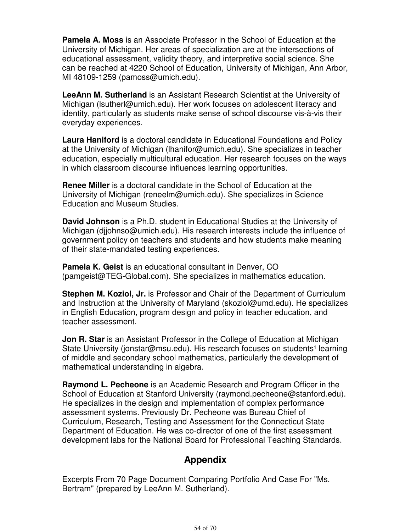**Pamela A. Moss** is an Associate Professor in the School of Education at the University of Michigan. Her areas of specialization are at the intersections of educational assessment, validity theory, and interpretive social science. She can be reached at 4220 School of Education, University of Michigan, Ann Arbor, MI 48109-1259 (pamoss@umich.edu).

**LeeAnn M. Sutherland** is an Assistant Research Scientist at the University of Michigan (lsutherl@umich.edu). Her work focuses on adolescent literacy and identity, particularly as students make sense of school discourse vis-à-vis their everyday experiences.

**Laura Haniford** is a doctoral candidate in Educational Foundations and Policy at the University of Michigan (lhanifor@umich.edu). She specializes in teacher education, especially multicultural education. Her research focuses on the ways in which classroom discourse influences learning opportunities.

**Renee Miller** is a doctoral candidate in the School of Education at the University of Michigan (reneelm@umich.edu). She specializes in Science Education and Museum Studies.

**David Johnson** is a Ph.D. student in Educational Studies at the University of Michigan (djjohnso@umich.edu). His research interests include the influence of government policy on teachers and students and how students make meaning of their state-mandated testing experiences.

**Pamela K. Geist** is an educational consultant in Denver, CO (pamgeist@TEG-Global.com). She specializes in mathematics education.

**Stephen M. Koziol, Jr.** is Professor and Chair of the Department of Curriculum and Instruction at the University of Maryland (skoziol@umd.edu). He specializes in English Education, program design and policy in teacher education, and teacher assessment.

**Jon R. Star** is an Assistant Professor in the College of Education at Michigan State University (jonstar@msu.edu). His research focuses on students<sup>1</sup> learning of middle and secondary school mathematics, particularly the development of mathematical understanding in algebra.

**Raymond L. Pecheone** is an Academic Research and Program Officer in the School of Education at Stanford University (raymond.pecheone@stanford.edu). He specializes in the design and implementation of complex performance assessment systems. Previously Dr. Pecheone was Bureau Chief of Curriculum, Research, Testing and Assessment for the Connecticut State Department of Education. He was co-director of one of the first assessment development labs for the National Board for Professional Teaching Standards.

# **Appendix**

Excerpts From 70 Page Document Comparing Portfolio And Case For "Ms. Bertram" (prepared by LeeAnn M. Sutherland).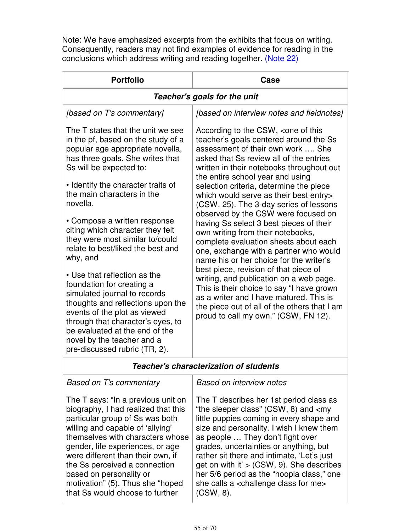Note: We have emphasized excerpts from the exhibits that focus on writing. Consequently, readers may not find examples of evidence for reading in the conclusions which address writing and reading together. (Note 22)

| <b>Portfolio</b>                                                                                                                                                                                                                                                                                                                                                                                                                                                                                                                                                                                                                                                                                                           | Case                                                                                                                                                                                                                                                                                                                                                                                                                                                                                                                                                                                                                                                                                                                                                                                                                                                                                                                                    |  |
|----------------------------------------------------------------------------------------------------------------------------------------------------------------------------------------------------------------------------------------------------------------------------------------------------------------------------------------------------------------------------------------------------------------------------------------------------------------------------------------------------------------------------------------------------------------------------------------------------------------------------------------------------------------------------------------------------------------------------|-----------------------------------------------------------------------------------------------------------------------------------------------------------------------------------------------------------------------------------------------------------------------------------------------------------------------------------------------------------------------------------------------------------------------------------------------------------------------------------------------------------------------------------------------------------------------------------------------------------------------------------------------------------------------------------------------------------------------------------------------------------------------------------------------------------------------------------------------------------------------------------------------------------------------------------------|--|
| Teacher's goals for the unit                                                                                                                                                                                                                                                                                                                                                                                                                                                                                                                                                                                                                                                                                               |                                                                                                                                                                                                                                                                                                                                                                                                                                                                                                                                                                                                                                                                                                                                                                                                                                                                                                                                         |  |
| [based on T's commentary]                                                                                                                                                                                                                                                                                                                                                                                                                                                                                                                                                                                                                                                                                                  | [based on interview notes and fieldnotes]                                                                                                                                                                                                                                                                                                                                                                                                                                                                                                                                                                                                                                                                                                                                                                                                                                                                                               |  |
| The T states that the unit we see<br>in the pf, based on the study of a<br>popular age appropriate novella,<br>has three goals. She writes that<br>Ss will be expected to:<br>• Identify the character traits of<br>the main characters in the<br>novella,<br>• Compose a written response<br>citing which character they felt<br>they were most similar to/could<br>relate to best/liked the best and<br>why, and<br>• Use that reflection as the<br>foundation for creating a<br>simulated journal to records<br>thoughts and reflections upon the<br>events of the plot as viewed<br>through that character's eyes, to<br>be evaluated at the end of the<br>novel by the teacher and a<br>pre-discussed rubric (TR, 2). | According to the CSW, <one of="" this<br="">teacher's goals centered around the Ss<br/>assessment of their own work  She<br/>asked that Ss review all of the entries<br/>written in their notebooks throughout out<br/>the entire school year and using<br/>selection criteria, determine the piece<br/>which would serve as their best entry&gt;<br/>(CSW, 25). The 3-day series of lessons<br/>observed by the CSW were focused on<br/>having Ss select 3 best pieces of their<br/>own writing from their notebooks,<br/>complete evaluation sheets about each<br/>one, exchange with a partner who would<br/>name his or her choice for the writer's<br/>best piece, revision of that piece of<br/>writing, and publication on a web page.<br/>This is their choice to say "I have grown<br/>as a writer and I have matured. This is<br/>the piece out of all of the others that I am<br/>proud to call my own." (CSW, FN 12).</one> |  |
|                                                                                                                                                                                                                                                                                                                                                                                                                                                                                                                                                                                                                                                                                                                            |                                                                                                                                                                                                                                                                                                                                                                                                                                                                                                                                                                                                                                                                                                                                                                                                                                                                                                                                         |  |

## **Teacher's characterization of students**

## Based on T's commentary

The T says: "In a previous unit on biography, I had realized that this particular group of Ss was both willing and capable of 'allying' themselves with characters whose gender, life experiences, or age were different than their own, if the Ss perceived a connection based on personality or motivation" (5). Thus she "hoped that Ss would choose to further

#### Based on interview notes

The T describes her 1st period class as "the sleeper class" (CSW, 8) and <my little puppies coming in every shape and size and personality. I wish I knew them as people … They don't fight over grades, uncertainties or anything, but rather sit there and intimate, 'Let's just get on with it'  $>$  (CSW, 9). She describes her 5/6 period as the "hoopla class," one she calls a <challenge class for me> (CSW, 8).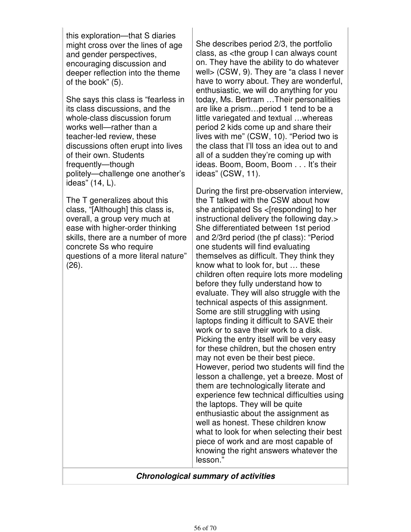this exploration—that S diaries might cross over the lines of age and gender perspectives, encouraging discussion and deeper reflection into the theme of the book" (5).

She says this class is "fearless in its class discussions, and the whole-class discussion forum works well—rather than a teacher-led review, these discussions often erupt into lives of their own. Students frequently—though politely—challenge one another's ideas" (14, L).

The T generalizes about this class, "[Although] this class is, overall, a group very much at ease with higher-order thinking skills, there are a number of more concrete Ss who require questions of a more literal nature" (26).

She describes period 2/3, the portfolio class, as <the group I can always count on. They have the ability to do whatever well> (CSW, 9). They are "a class I never have to worry about. They are wonderful, enthusiastic, we will do anything for you today, Ms. Bertram …Their personalities are like a prism…period 1 tend to be a little variegated and textual …whereas period 2 kids come up and share their lives with me" (CSW, 10). "Period two is the class that I'll toss an idea out to and all of a sudden they're coming up with ideas. Boom, Boom, Boom . . . It's their ideas" (CSW, 11).

During the first pre-observation interview, the T talked with the CSW about how she anticipated Ss <[responding] to her instructional delivery the following day.> She differentiated between 1st period and 2/3rd period (the pf class): "Period one students will find evaluating themselves as difficult. They think they know what to look for, but … these children often require lots more modeling before they fully understand how to evaluate. They will also struggle with the technical aspects of this assignment. Some are still struggling with using laptops finding it difficult to SAVE their work or to save their work to a disk. Picking the entry itself will be very easy for these children, but the chosen entry may not even be their best piece. However, period two students will find the lesson a challenge, yet a breeze. Most of them are technologically literate and experience few technical difficulties using the laptops. They will be quite enthusiastic about the assignment as well as honest. These children know what to look for when selecting their best piece of work and are most capable of knowing the right answers whatever the lesson."

## **Chronological summary of activities**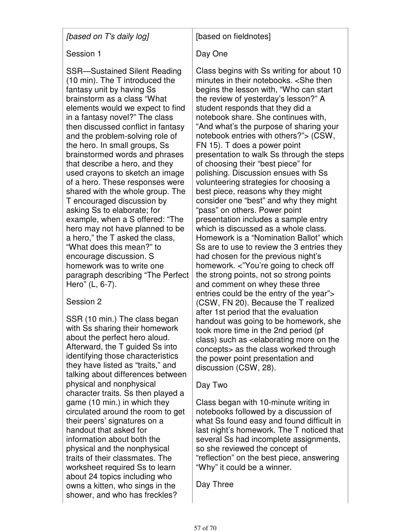[based on T's daily log]

## Session 1

SSR—Sustained Silent Reading (10 min). The T introduced the fantasy unit by having Ss brainstorm as a class "What elements would we expect to find in a fantasy novel?" The class then discussed conflict in fantasy and the problem-solving role of the hero. In small groups, Ss brainstormed words and phrases that describe a hero, and they used crayons to sketch an image of a hero. These responses were shared with the whole group. The T encouraged discussion by asking Ss to elaborate; for example, when a S offered: "The hero may not have planned to be a hero," the T asked the class, "What does this mean?" to encourage discussion. S homework was to write one paragraph describing "The Perfect Hero" (L, 6-7).

# Session 2

SSR (10 min.) The class began with Ss sharing their homework about the perfect hero aloud. Afterward, the T guided Ss into identifying those characteristics they have listed as "traits," and talking about differences between physical and nonphysical character traits. Ss then played a game (10 min.) in which they circulated around the room to get their peers' signatures on a handout that asked for information about both the physical and the nonphysical traits of their classmates. The worksheet required Ss to learn about 24 topics including who owns a kitten, who sings in the shower, and who has freckles?

# [based on fieldnotes]

# Day One

Class begins with Ss writing for about 10 minutes in their notebooks. <She then begins the lesson with, "Who can start the review of yesterday's lesson?" A student responds that they did a notebook share. She continues with, "And what's the purpose of sharing your notebook entries with others?"> (CSW, FN 15). T does a power point presentation to walk Ss through the steps of choosing their "best piece" for polishing. Discussion ensues with Ss volunteering strategies for choosing a best piece, reasons why they might consider one "best" and why they might "pass" on others. Power point presentation includes a sample entry which is discussed as a whole class. Homework is a "Nomination Ballot" which Ss are to use to review the 3 entries they had chosen for the previous night's homework. <"You're going to check off the strong points, not so strong points and comment on whey these three entries could be the entry of the year"> (CSW, FN 20). Because the T realized after 1st period that the evaluation handout was going to be homework, she took more time in the 2nd period (pf class) such as <elaborating more on the concepts> as the class worked through the power point presentation and discussion (CSW, 28).

# Day Two

Class began with 10-minute writing in notebooks followed by a discussion of what Ss found easy and found difficult in last night's homework. The T noticed that several Ss had incomplete assignments, so she reviewed the concept of "reflection" on the best piece, answering "Why" it could be a winner.

Day Three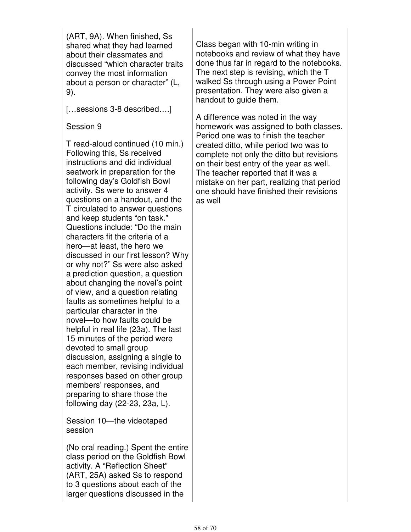(ART, 9A). When finished, Ss shared what they had learned about their classmates and discussed "which character traits convey the most information about a person or character" (L, 9).

[...sessions 3-8 described....]

Session 9

T read-aloud continued (10 min.) Following this, Ss received instructions and did individual seatwork in preparation for the following day's Goldfish Bowl activity. Ss were to answer 4 questions on a handout, and the T circulated to answer questions and keep students "on task." Questions include: "Do the main characters fit the criteria of a hero—at least, the hero we discussed in our first lesson? Why or why not?" Ss were also asked a prediction question, a question about changing the novel's point of view, and a question relating faults as sometimes helpful to a particular character in the novel—to how faults could be helpful in real life (23a). The last 15 minutes of the period were devoted to small group discussion, assigning a single to each member, revising individual responses based on other group members' responses, and preparing to share those the following day (22-23, 23a, L).

Session 10—the videotaped session

(No oral reading.) Spent the entire class period on the Goldfish Bowl activity. A "Reflection Sheet" (ART, 25A) asked Ss to respond to 3 questions about each of the larger questions discussed in the

Class began with 10-min writing in notebooks and review of what they have done thus far in regard to the notebooks. The next step is revising, which the T walked Ss through using a Power Point presentation. They were also given a handout to guide them.

A difference was noted in the way homework was assigned to both classes. Period one was to finish the teacher created ditto, while period two was to complete not only the ditto but revisions on their best entry of the year as well. The teacher reported that it was a mistake on her part, realizing that period one should have finished their revisions as well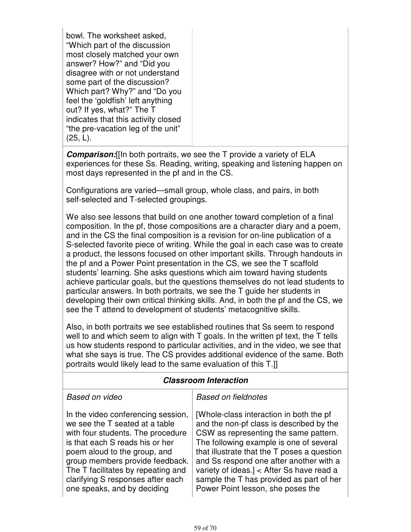bowl. The worksheet asked, "Which part of the discussion most closely matched your own answer? How?" and "Did you disagree with or not understand some part of the discussion? Which part? Why?" and "Do you feel the 'goldfish' left anything out? If yes, what?" The T indicates that this activity closed "the pre-vacation leg of the unit" (25, L).

**Comparison:**[[In both portraits, we see the T provide a variety of ELA experiences for these Ss. Reading, writing, speaking and listening happen on most days represented in the pf and in the CS.

Configurations are varied—small group, whole class, and pairs, in both self-selected and T-selected groupings.

We also see lessons that build on one another toward completion of a final composition. In the pf, those compositions are a character diary and a poem, and in the CS the final composition is a revision for on-line publication of a S-selected favorite piece of writing. While the goal in each case was to create a product, the lessons focused on other important skills. Through handouts in the pf and a Power Point presentation in the CS, we see the T scaffold students' learning. She asks questions which aim toward having students achieve particular goals, but the questions themselves do not lead students to particular answers. In both portraits, we see the T guide her students in developing their own critical thinking skills. And, in both the pf and the CS, we see the T attend to development of students' metacognitive skills.

Also, in both portraits we see established routines that Ss seem to respond well to and which seem to align with T goals. In the written pf text, the T tells us how students respond to particular activities, and in the video, we see that what she says is true. The CS provides additional evidence of the same. Both portraits would likely lead to the same evaluation of this T.]]

## **Classroom Interaction**

#### Based on video

Based on fieldnotes

In the video conferencing session, we see the T seated at a table with four students. The procedure is that each S reads his or her poem aloud to the group, and group members provide feedback. The T facilitates by repeating and clarifying S responses after each one speaks, and by deciding

[Whole-class interaction in both the pf and the non-pf class is described by the CSW as representing the same pattern. The following example is one of several that illustrate that the T poses a question and Ss respond one after another with a variety of ideas.] < After Ss have read a sample the T has provided as part of her Power Point lesson, she poses the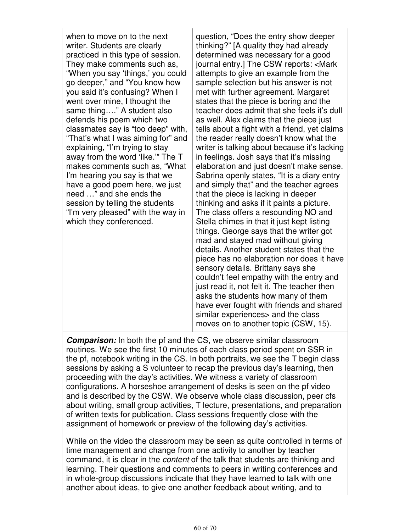when to move on to the next writer. Students are clearly practiced in this type of session. They make comments such as, "When you say 'things,' you could go deeper," and "You know how you said it's confusing? When I went over mine, I thought the same thing…." A student also defends his poem which two classmates say is "too deep" with, "That's what I was aiming for" and explaining, "I'm trying to stay away from the word 'like." The T makes comments such as, "What I'm hearing you say is that we have a good poem here, we just need …" and she ends the session by telling the students "I'm very pleased" with the way in which they conferenced.

question, "Does the entry show deeper thinking?" [A quality they had already determined was necessary for a good journal entry.] The CSW reports: <Mark attempts to give an example from the sample selection but his answer is not met with further agreement. Margaret states that the piece is boring and the teacher does admit that she feels it's dull as well. Alex claims that the piece just tells about a fight with a friend, yet claims the reader really doesn't know what the writer is talking about because it's lacking in feelings. Josh says that it's missing elaboration and just doesn't make sense. Sabrina openly states, "It is a diary entry and simply that" and the teacher agrees that the piece is lacking in deeper thinking and asks if it paints a picture. The class offers a resounding NO and Stella chimes in that it just kept listing things. George says that the writer got mad and stayed mad without giving details. Another student states that the piece has no elaboration nor does it have sensory details. Brittany says she couldn't feel empathy with the entry and just read it, not felt it. The teacher then asks the students how many of them have ever fought with friends and shared similar experiences> and the class moves on to another topic (CSW, 15).

**Comparison:** In both the pf and the CS, we observe similar classroom routines. We see the first 10 minutes of each class period spent on SSR in the pf, notebook writing in the CS. In both portraits, we see the T begin class sessions by asking a S volunteer to recap the previous day's learning, then proceeding with the day's activities. We witness a variety of classroom configurations. A horseshoe arrangement of desks is seen on the pf video and is described by the CSW. We observe whole class discussion, peer cfs about writing, small group activities, T lecture, presentations, and preparation of written texts for publication. Class sessions frequently close with the assignment of homework or preview of the following day's activities.

While on the video the classroom may be seen as quite controlled in terms of time management and change from one activity to another by teacher command, it is clear in the content of the talk that students are thinking and learning. Their questions and comments to peers in writing conferences and in whole-group discussions indicate that they have learned to talk with one another about ideas, to give one another feedback about writing, and to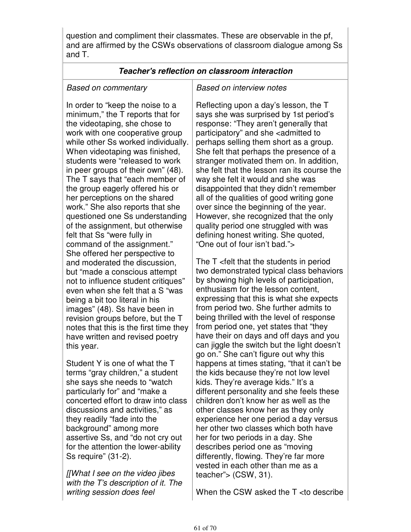question and compliment their classmates. These are observable in the pf, and are affirmed by the CSWs observations of classroom dialogue among Ss and T.

#### **Teacher's reflection on classroom interaction**

#### Based on commentary

In order to "keep the noise to a minimum," the T reports that for the videotaping, she chose to work with one cooperative group while other Ss worked individually. When videotaping was finished, students were "released to work in peer groups of their own" (48). The T says that "each member of the group eagerly offered his or her perceptions on the shared work." She also reports that she questioned one Ss understanding of the assignment, but otherwise felt that Ss "were fully in command of the assignment." She offered her perspective to and moderated the discussion, but "made a conscious attempt not to influence student critiques" even when she felt that a S "was being a bit too literal in his images" (48). Ss have been in revision groups before, but the T notes that this is the first time they have written and revised poetry this year.

Student Y is one of what the T terms "gray children," a student she says she needs to "watch particularly for" and "make a concerted effort to draw into class discussions and activities," as they readily "fade into the background" among more assertive Ss, and "do not cry out for the attention the lower-ability Ss require" (31-2).

[[What I see on the video jibes with the T's description of it. The writing session does feel

#### Based on interview notes

Reflecting upon a day's lesson, the T says she was surprised by 1st period's response: "They aren't generally that participatory" and she <admitted to perhaps selling them short as a group. She felt that perhaps the presence of a stranger motivated them on. In addition, she felt that the lesson ran its course the way she felt it would and she was disappointed that they didn't remember all of the qualities of good writing gone over since the beginning of the year. However, she recognized that the only quality period one struggled with was defining honest writing. She quoted, "One out of four isn't bad.">

The T <felt that the students in period two demonstrated typical class behaviors by showing high levels of participation, enthusiasm for the lesson content, expressing that this is what she expects from period two. She further admits to being thrilled with the level of response from period one, yet states that "they have their on days and off days and you can jiggle the switch but the light doesn't go on." She can't figure out why this happens at times stating, "that it can't be the kids because they're not low level kids. They're average kids." It's a different personality and she feels these children don't know her as well as the other classes know her as they only experience her one period a day versus her other two classes which both have her for two periods in a day. She describes period one as "moving differently, flowing. They're far more vested in each other than me as a teacher"> (CSW, 31).

When the CSW asked the T <to describe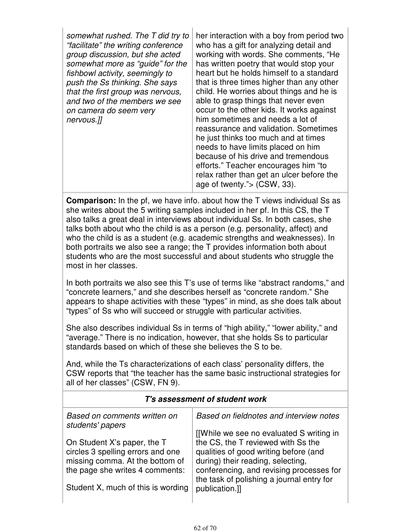| somewhat rushed. The T did try to<br>"facilitate" the writing conference<br>group discussion, but she acted<br>somewhat more as "guide" for the<br>fishbowl activity, seemingly to<br>push the Ss thinking. She says<br>that the first group was nervous,<br>and two of the members we see<br>on camera do seem very<br>nervous.]] | her interaction with a boy from period two<br>who has a gift for analyzing detail and<br>working with words. She comments, "He<br>has written poetry that would stop your<br>heart but he holds himself to a standard<br>that is three times higher than any other<br>child. He worries about things and he is<br>able to grasp things that never even<br>occur to the other kids. It works against<br>him sometimes and needs a lot of<br>reassurance and validation. Sometimes<br>he just thinks too much and at times<br>needs to have limits placed on him<br>because of his drive and tremendous<br>efforts." Teacher encourages him "to<br>relax rather than get an ulcer before the<br>age of twenty." $>$ (CSW, 33). |
|------------------------------------------------------------------------------------------------------------------------------------------------------------------------------------------------------------------------------------------------------------------------------------------------------------------------------------|------------------------------------------------------------------------------------------------------------------------------------------------------------------------------------------------------------------------------------------------------------------------------------------------------------------------------------------------------------------------------------------------------------------------------------------------------------------------------------------------------------------------------------------------------------------------------------------------------------------------------------------------------------------------------------------------------------------------------|
|------------------------------------------------------------------------------------------------------------------------------------------------------------------------------------------------------------------------------------------------------------------------------------------------------------------------------------|------------------------------------------------------------------------------------------------------------------------------------------------------------------------------------------------------------------------------------------------------------------------------------------------------------------------------------------------------------------------------------------------------------------------------------------------------------------------------------------------------------------------------------------------------------------------------------------------------------------------------------------------------------------------------------------------------------------------------|

**Comparison:** In the pf, we have info. about how the T views individual Ss as she writes about the 5 writing samples included in her pf. In this CS, the T also talks a great deal in interviews about individual Ss. In both cases, she talks both about who the child is as a person (e.g. personality, affect) and who the child is as a student (e.g. academic strengths and weaknesses). In both portraits we also see a range; the T provides information both about students who are the most successful and about students who struggle the most in her classes.

In both portraits we also see this T's use of terms like "abstract randoms," and "concrete learners," and she describes herself as "concrete random." She appears to shape activities with these "types" in mind, as she does talk about "types" of Ss who will succeed or struggle with particular activities.

She also describes individual Ss in terms of "high ability," "lower ability," and "average." There is no indication, however, that she holds Ss to particular standards based on which of these she believes the S to be.

And, while the Ts characterizations of each class' personality differs, the CSW reports that "the teacher has the same basic instructional strategies for all of her classes" (CSW, FN 9).

| T's assessment of student work                                     |                                                                                |  |
|--------------------------------------------------------------------|--------------------------------------------------------------------------------|--|
| Based on comments written on<br>students' papers                   | Based on fieldnotes and interview notes                                        |  |
| On Student X's paper, the T                                        | [[While we see no evaluated S writing in<br>the CS, the T reviewed with Ss the |  |
| circles 3 spelling errors and one                                  | qualities of good writing before (and                                          |  |
| missing comma. At the bottom of<br>the page she writes 4 comments: | during) their reading, selecting,<br>conferencing, and revising processes for  |  |
| Student X, much of this is wording                                 | the task of polishing a journal entry for<br>publication.]]                    |  |
|                                                                    |                                                                                |  |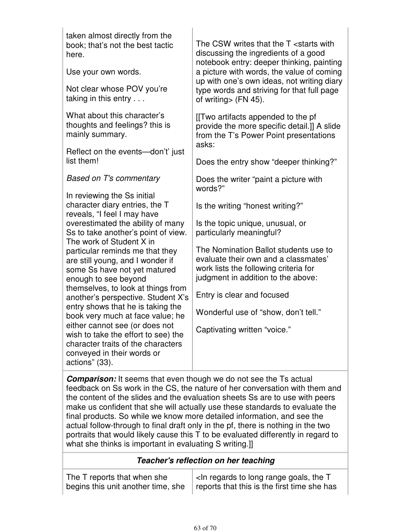taken almost directly from the book; that's not the best tactic here.

Use your own words.

Not clear whose POV you're taking in this entry . . .

What about this character's thoughts and feelings? this is mainly summary.

Reflect on the events—don't' just list them!

Based on T's commentary

In reviewing the Ss initial character diary entries, the T reveals, "I feel I may have overestimated the ability of many Ss to take another's point of view. The work of Student X in particular reminds me that they are still young, and I wonder if some Ss have not yet matured enough to see beyond themselves, to look at things from another's perspective. Student X's entry shows that he is taking the book very much at face value; he either cannot see (or does not wish to take the effort to see) the character traits of the characters conveyed in their words or actions" (33).

The CSW writes that the T <starts with discussing the ingredients of a good notebook entry: deeper thinking, painting a picture with words, the value of coming up with one's own ideas, not writing diary type words and striving for that full page of writing> (FN 45).

[[Two artifacts appended to the pf provide the more specific detail.]] A slide from the T's Power Point presentations asks:

Does the entry show "deeper thinking?"

Does the writer "paint a picture with words?"

Is the writing "honest writing?"

Is the topic unique, unusual, or particularly meaningful?

The Nomination Ballot students use to evaluate their own and a classmates' work lists the following criteria for judgment in addition to the above:

Entry is clear and focused

Wonderful use of "show, don't tell."

Captivating written "voice."

**Comparison:** It seems that even though we do not see the Ts actual feedback on Ss work in the CS, the nature of her conversation with them and the content of the slides and the evaluation sheets Ss are to use with peers make us confident that she will actually use these standards to evaluate the final products. So while we know more detailed information, and see the actual follow-through to final draft only in the pf, there is nothing in the two portraits that would likely cause this T to be evaluated differently in regard to what she thinks is important in evaluating S writing.]

## **Teacher's reflection on her teaching**

The T reports that when she begins this unit another time, she <In regards to long range goals, the T reports that this is the first time she has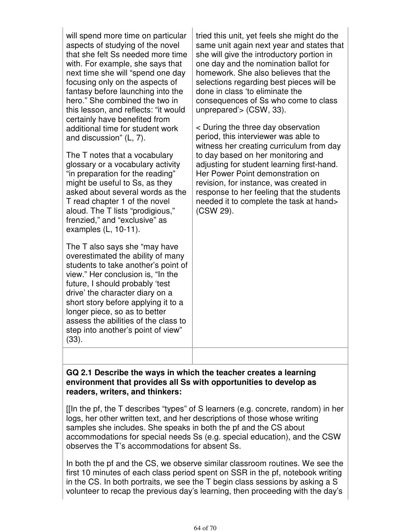| will spend more time on particular<br>aspects of studying of the novel<br>that she felt Ss needed more time<br>with. For example, she says that<br>next time she will "spend one day<br>focusing only on the aspects of<br>fantasy before launching into the<br>hero." She combined the two in<br>this lesson, and reflects: "it would<br>certainly have benefited from<br>additional time for student work<br>and discussion" (L, 7).<br>The T notes that a vocabulary<br>glossary or a vocabulary activity<br>"in preparation for the reading"<br>might be useful to Ss, as they<br>asked about several words as the<br>T read chapter 1 of the novel<br>aloud. The T lists "prodigious,"<br>frenzied," and "exclusive" as<br>examples $(L, 10-11)$ .<br>The T also says she "may have<br>overestimated the ability of many<br>students to take another's point of<br>view." Her conclusion is, "In the<br>future, I should probably 'test<br>drive' the character diary on a<br>short story before applying it to a<br>longer piece, so as to better<br>assess the abilities of the class to<br>step into another's point of view"<br>(33). | tried this unit, yet feels she might do the<br>same unit again next year and states that<br>she will give the introductory portion in<br>one day and the nomination ballot for<br>homework. She also believes that the<br>selections regarding best pieces will be<br>done in class 'to eliminate the<br>consequences of Ss who come to class<br>unprepared'> (CSW, 33).<br>< During the three day observation<br>period, this interviewer was able to<br>witness her creating curriculum from day<br>to day based on her monitoring and<br>adjusting for student learning first-hand.<br>Her Power Point demonstration on<br>revision, for instance, was created in<br>response to her feeling that the students<br>needed it to complete the task at hand><br>(CSW 29). |
|------------------------------------------------------------------------------------------------------------------------------------------------------------------------------------------------------------------------------------------------------------------------------------------------------------------------------------------------------------------------------------------------------------------------------------------------------------------------------------------------------------------------------------------------------------------------------------------------------------------------------------------------------------------------------------------------------------------------------------------------------------------------------------------------------------------------------------------------------------------------------------------------------------------------------------------------------------------------------------------------------------------------------------------------------------------------------------------------------------------------------------------------|---------------------------------------------------------------------------------------------------------------------------------------------------------------------------------------------------------------------------------------------------------------------------------------------------------------------------------------------------------------------------------------------------------------------------------------------------------------------------------------------------------------------------------------------------------------------------------------------------------------------------------------------------------------------------------------------------------------------------------------------------------------------------|
|                                                                                                                                                                                                                                                                                                                                                                                                                                                                                                                                                                                                                                                                                                                                                                                                                                                                                                                                                                                                                                                                                                                                                |                                                                                                                                                                                                                                                                                                                                                                                                                                                                                                                                                                                                                                                                                                                                                                           |

#### **GQ 2.1 Describe the ways in which the teacher creates a learning environment that provides all Ss with opportunities to develop as readers, writers, and thinkers:**

[[In the pf, the T describes "types" of S learners (e.g. concrete, random) in her logs, her other written text, and her descriptions of those whose writing samples she includes. She speaks in both the pf and the CS about accommodations for special needs Ss (e.g. special education), and the CSW observes the T's accommodations for absent Ss.

In both the pf and the CS, we observe similar classroom routines. We see the first 10 minutes of each class period spent on SSR in the pf, notebook writing in the CS. In both portraits, we see the T begin class sessions by asking a S volunteer to recap the previous day's learning, then proceeding with the day's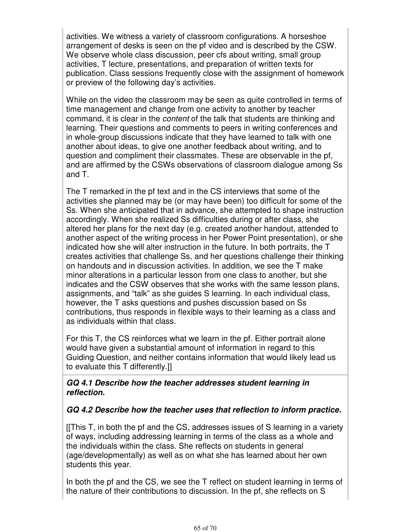activities. We witness a variety of classroom configurations. A horseshoe arrangement of desks is seen on the pf video and is described by the CSW. We observe whole class discussion, peer cfs about writing, small group activities, T lecture, presentations, and preparation of written texts for publication. Class sessions frequently close with the assignment of homework or preview of the following day's activities.

While on the video the classroom may be seen as quite controlled in terms of time management and change from one activity to another by teacher command, it is clear in the content of the talk that students are thinking and learning. Their questions and comments to peers in writing conferences and in whole-group discussions indicate that they have learned to talk with one another about ideas, to give one another feedback about writing, and to question and compliment their classmates. These are observable in the pf, and are affirmed by the CSWs observations of classroom dialogue among Ss and T.

The T remarked in the pf text and in the CS interviews that some of the activities she planned may be (or may have been) too difficult for some of the Ss. When she anticipated that in advance, she attempted to shape instruction accordingly. When she realized Ss difficulties during or after class, she altered her plans for the next day (e.g. created another handout, attended to another aspect of the writing process in her Power Point presentation), or she indicated how she will alter instruction in the future. In both portraits, the T creates activities that challenge Ss, and her questions challenge their thinking on handouts and in discussion activities. In addition, we see the T make minor alterations in a particular lesson from one class to another, but she indicates and the CSW observes that she works with the same lesson plans, assignments, and "talk" as she guides S learning. In each individual class, however, the T asks questions and pushes discussion based on Ss contributions, thus responds in flexible ways to their learning as a class and as individuals within that class.

For this T, the CS reinforces what we learn in the pf. Either portrait alone would have given a substantial amount of information in regard to this Guiding Question, and neither contains information that would likely lead us to evaluate this T differently.]]

#### **GQ 4.1 Describe how the teacher addresses student learning in reflection.**

## **GQ 4.2 Describe how the teacher uses that reflection to inform practice.**

[[This T, in both the pf and the CS, addresses issues of S learning in a variety of ways, including addressing learning in terms of the class as a whole and the individuals within the class. She reflects on students in general (age/developmentally) as well as on what she has learned about her own students this year.

In both the pf and the CS, we see the T reflect on student learning in terms of the nature of their contributions to discussion. In the pf, she reflects on S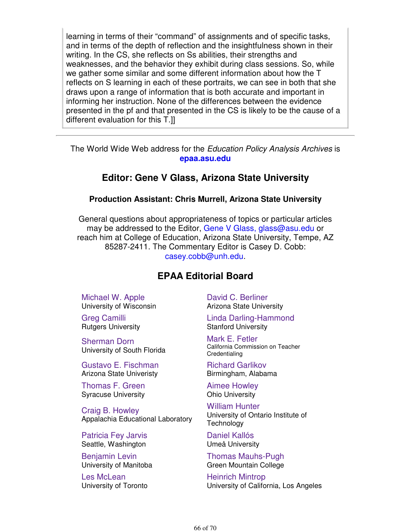learning in terms of their "command" of assignments and of specific tasks, and in terms of the depth of reflection and the insightfulness shown in their writing. In the CS, she reflects on Ss abilities, their strengths and weaknesses, and the behavior they exhibit during class sessions. So, while we gather some similar and some different information about how the T reflects on S learning in each of these portraits, we can see in both that she draws upon a range of information that is both accurate and important in informing her instruction. None of the differences between the evidence presented in the pf and that presented in the CS is likely to be the cause of a different evaluation for this T.]]

The World Wide Web address for the Education Policy Analysis Archives is **epaa.asu.edu**

# **Editor: Gene V Glass, Arizona State University**

#### **Production Assistant: Chris Murrell, Arizona State University**

General questions about appropriateness of topics or particular articles may be addressed to the Editor, Gene V Glass, glass@asu.edu or reach him at College of Education, Arizona State University, Tempe, AZ 85287-2411. The Commentary Editor is Casey D. Cobb: casey.cobb@unh.edu.

# **EPAA Editorial Board**

Michael W. Apple University of Wisconsin

Greg Camilli Rutgers University

Sherman Dorn University of South Florida

Gustavo E. Fischman Arizona State Univeristy

Thomas F. Green Syracuse University

Craig B. Howley Appalachia Educational Laboratory

Patricia Fey Jarvis Seattle, Washington

Benjamin Levin University of Manitoba

Les McLean University of Toronto David C. Berliner Arizona State University

Linda Darling-Hammond Stanford University

Mark E. Fetler California Commission on Teacher **Credentialing** 

Richard Garlikov Birmingham, Alabama

Aimee Howley Ohio University

William Hunter University of Ontario Institute of **Technology** 

Daniel Kallós Umeå University

Thomas Mauhs-Pugh Green Mountain College

Heinrich Mintrop University of California, Los Angeles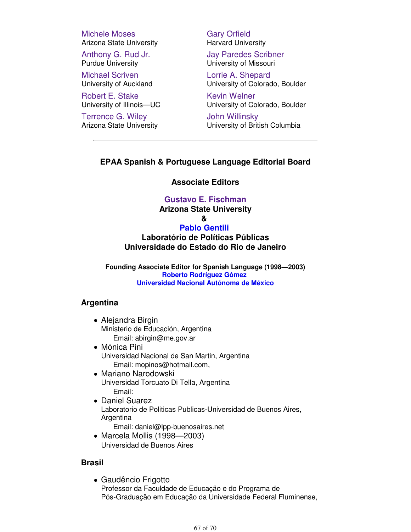Michele Moses Arizona State University

Anthony G. Rud Jr. Purdue University

Michael Scriven University of Auckland

Robert E. Stake University of Illinois—UC

Terrence G. Wiley Arizona State University Gary Orfield Harvard University

Jay Paredes Scribner University of Missouri

Lorrie A. Shepard University of Colorado, Boulder

Kevin Welner University of Colorado, Boulder

John Willinsky University of British Columbia

#### **EPAA Spanish & Portuguese Language Editorial Board**

#### **Associate Editors**

#### **Gustavo E. Fischman**

**Arizona State University**

**&** 

#### **Pablo Gentili**

**Laboratório de Políticas Públicas Universidade do Estado do Rio de Janeiro**

**Founding Associate Editor for Spanish Language (1998—2003) Roberto Rodríguez Gómez Universidad Nacional Autónoma de México**

#### **Argentina**

- Alejandra Birgin Ministerio de Educación, Argentina Email: abirgin@me.gov.ar
- Mónica Pini Universidad Nacional de San Martin, Argentina Email: mopinos@hotmail.com,
- Mariano Narodowski Universidad Torcuato Di Tella, Argentina Email:
- Daniel Suarez Laboratorio de Politicas Publicas-Universidad de Buenos Aires, Argentina

Email: daniel@lpp-buenosaires.net

Marcela Mollis (1998—2003) Universidad de Buenos Aires

#### **Brasil**

Gaudêncio Frigotto Professor da Faculdade de Educação e do Programa de Pós-Graduação em Educação da Universidade Federal Fluminense,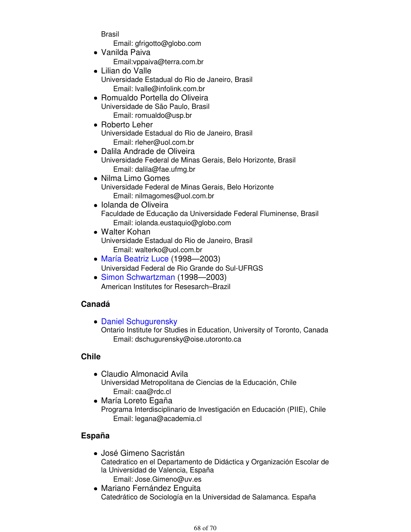Brasil

Email: gfrigotto@globo.com

- Vanilda Paiva Email:vppaiva@terra.com.br
- Lilian do Valle Universidade Estadual do Rio de Janeiro, Brasil Email: lvalle@infolink.com.br
- Romualdo Portella do Oliveira Universidade de São Paulo, Brasil Email: romualdo@usp.br
- Roberto Leher Universidade Estadual do Rio de Janeiro, Brasil Email: rleher@uol.com.br
- Dalila Andrade de Oliveira Universidade Federal de Minas Gerais, Belo Horizonte, Brasil Email: dalila@fae.ufmg.br
- Nilma Limo Gomes Universidade Federal de Minas Gerais, Belo Horizonte Email: nilmagomes@uol.com.br
- Iolanda de Oliveira Faculdade de Educação da Universidade Federal Fluminense, Brasil Email: iolanda.eustaquio@globo.com
- Walter Kohan Universidade Estadual do Rio de Janeiro, Brasil Email: walterko@uol.com.br
- María Beatriz Luce (1998—2003) Universidad Federal de Rio Grande do Sul-UFRGS
- Simon Schwartzman (1998—2003) American Institutes for Resesarch–Brazil

# **Canadá**

• Daniel Schugurensky Ontario Institute for Studies in Education, University of Toronto, Canada Email: dschugurensky@oise.utoronto.ca

## **Chile**

- Claudio Almonacid Avila Universidad Metropolitana de Ciencias de la Educación, Chile Email: caa@rdc.cl
- María Loreto Egaña Programa Interdisciplinario de Investigación en Educación (PIIE), Chile Email: legana@academia.cl

## **España**

- José Gimeno Sacristán Catedratico en el Departamento de Didáctica y Organización Escolar de la Universidad de Valencia, España Email: Jose.Gimeno@uv.es
- Mariano Fernández Enguita Catedrático de Sociología en la Universidad de Salamanca. España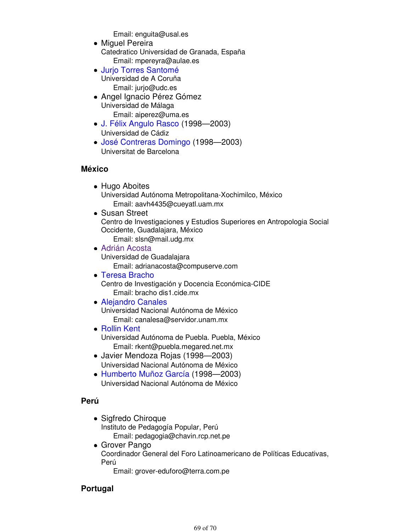Email: enguita@usal.es

- Miguel Pereira Catedratico Universidad de Granada, España Email: mpereyra@aulae.es
- Jurjo Torres Santomé Universidad de A Coruña Email: jurjo@udc.es
- Angel Ignacio Pérez Gómez Universidad de Málaga Email: aiperez@uma.es
- J. Félix Angulo Rasco (1998—2003) Universidad de Cádiz
- José Contreras Domingo (1998—2003) Universitat de Barcelona

#### **México**

- Hugo Aboites Universidad Autónoma Metropolitana-Xochimilco, México Email: aavh4435@cueyatl.uam.mx
- Susan Street Centro de Investigaciones y Estudios Superiores en Antropologia Social Occidente, Guadalajara, México Email: slsn@mail.udg.mx
- Adrián Acosta Universidad de Guadalajara Email: adrianacosta@compuserve.com
- Teresa Bracho Centro de Investigación y Docencia Económica-CIDE Email: bracho dis1.cide.mx
- Alejandro Canales Universidad Nacional Autónoma de México Email: canalesa@servidor.unam.mx
- Rollin Kent Universidad Autónoma de Puebla. Puebla, México Email: rkent@puebla.megared.net.mx
- Javier Mendoza Rojas (1998—2003) Universidad Nacional Autónoma de México
- Humberto Muñoz García (1998—2003) Universidad Nacional Autónoma de México

#### **Perú**

- Sigfredo Chiroque Instituto de Pedagogía Popular, Perú Email: pedagogia@chavin.rcp.net.pe
- Grover Pango Coordinador General del Foro Latinoamericano de Políticas Educativas, Perú

Email: grover-eduforo@terra.com.pe

## **Portugal**